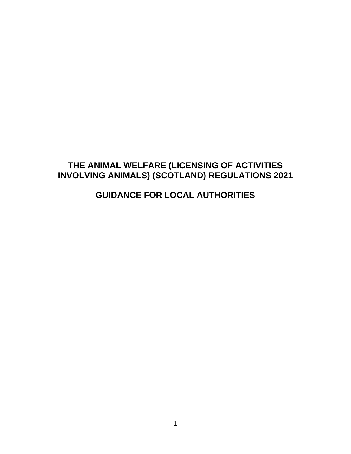# **THE ANIMAL WELFARE (LICENSING OF ACTIVITIES INVOLVING ANIMALS) (SCOTLAND) REGULATIONS 2021**

# **GUIDANCE FOR LOCAL AUTHORITIES**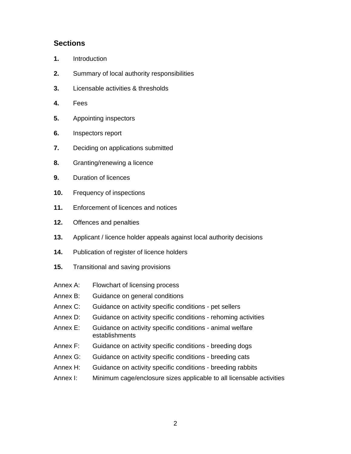# **Sections**

- **1.** Introduction
- **2.** Summary of local authority responsibilities
- **3.** Licensable activities & thresholds
- **4.** Fees
- **5.** Appointing inspectors
- **6.** Inspectors report
- **7.** Deciding on applications submitted
- **8.** Granting/renewing a licence
- **9.** Duration of licences
- **10.** Frequency of inspections
- **11.** Enforcement of licences and notices
- **12.** Offences and penalties
- **13.** Applicant / licence holder appeals against local authority decisions
- **14.** Publication of register of licence holders
- **15.** Transitional and saving provisions
- Annex A: Flowchart of licensing process
- Annex B: Guidance on general conditions
- Annex C: Guidance on activity specific conditions pet sellers
- Annex D: Guidance on activity specific conditions rehoming activities
- Annex E: Guidance on activity specific conditions animal welfare establishments
- Annex F: Guidance on activity specific conditions breeding dogs
- Annex G: Guidance on activity specific conditions breeding cats
- Annex H: Guidance on activity specific conditions breeding rabbits
- Annex I: Minimum cage/enclosure sizes applicable to all licensable activities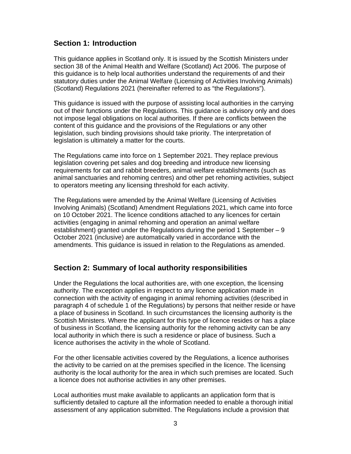# **Section 1: Introduction**

This guidance applies in Scotland only. It is issued by the Scottish Ministers under section 38 of the Animal Health and Welfare (Scotland) Act 2006. The purpose of this guidance is to help local authorities understand the requirements of and their statutory duties under the Animal Welfare (Licensing of Activities Involving Animals) (Scotland) Regulations 2021 (hereinafter referred to as "the Regulations").

This guidance is issued with the purpose of assisting local authorities in the carrying out of their functions under the Regulations. This guidance is advisory only and does not impose legal obligations on local authorities. If there are conflicts between the content of this guidance and the provisions of the Regulations or any other legislation, such binding provisions should take priority. The interpretation of legislation is ultimately a matter for the courts.

The Regulations came into force on 1 September 2021. They replace previous legislation covering pet sales and dog breeding and introduce new licensing requirements for cat and rabbit breeders, animal welfare establishments (such as animal sanctuaries and rehoming centres) and other pet rehoming activities, subject to operators meeting any licensing threshold for each activity.

The Regulations were amended by the Animal Welfare (Licensing of Activities Involving Animals) (Scotland) Amendment Regulations 2021, which came into force on 10 October 2021. The licence conditions attached to any licences for certain activities (engaging in animal rehoming and operation an animal welfare establishment) granted under the Regulations during the period 1 September  $-9$ October 2021 (inclusive) are automatically varied in accordance with the amendments. This guidance is issued in relation to the Regulations as amended.

# **Section 2: Summary of local authority responsibilities**

Under the Regulations the local authorities are, with one exception, the licensing authority. The exception applies in respect to any licence application made in connection with the activity of engaging in animal rehoming activities (described in paragraph 4 of schedule 1 of the Regulations) by persons that neither reside or have a place of business in Scotland. In such circumstances the licensing authority is the Scottish Ministers. Where the applicant for this type of licence resides or has a place of business in Scotland, the licensing authority for the rehoming activity can be any local authority in which there is such a residence or place of business. Such a licence authorises the activity in the whole of Scotland.

For the other licensable activities covered by the Regulations, a licence authorises the activity to be carried on at the premises specified in the licence. The licensing authority is the local authority for the area in which such premises are located. Such a licence does not authorise activities in any other premises.

Local authorities must make available to applicants an application form that is sufficiently detailed to capture all the information needed to enable a thorough initial assessment of any application submitted. The Regulations include a provision that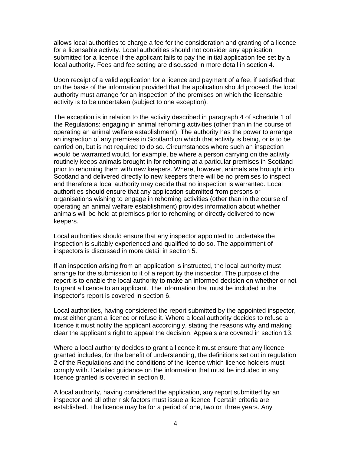allows local authorities to charge a fee for the consideration and granting of a licence for a licensable activity. Local authorities should not consider any application submitted for a licence if the applicant fails to pay the initial application fee set by a local authority. Fees and fee setting are discussed in more detail in section 4.

Upon receipt of a valid application for a licence and payment of a fee, if satisfied that on the basis of the information provided that the application should proceed, the local authority must arrange for an inspection of the premises on which the licensable activity is to be undertaken (subject to one exception).

The exception is in relation to the activity described in paragraph 4 of schedule 1 of the Regulations: engaging in animal rehoming activities (other than in the course of operating an animal welfare establishment). The authority has the power to arrange an inspection of any premises in Scotland on which that activity is being, or is to be carried on, but is not required to do so. Circumstances where such an inspection would be warranted would, for example, be where a person carrying on the activity routinely keeps animals brought in for rehoming at a particular premises in Scotland prior to rehoming them with new keepers. Where, however, animals are brought into Scotland and delivered directly to new keepers there will be no premises to inspect and therefore a local authority may decide that no inspection is warranted. Local authorities should ensure that any application submitted from persons or organisations wishing to engage in rehoming activities (other than in the course of operating an animal welfare establishment) provides information about whether animals will be held at premises prior to rehoming or directly delivered to new keepers.

Local authorities should ensure that any inspector appointed to undertake the inspection is suitably experienced and qualified to do so. The appointment of inspectors is discussed in more detail in section 5.

If an inspection arising from an application is instructed, the local authority must arrange for the submission to it of a report by the inspector. The purpose of the report is to enable the local authority to make an informed decision on whether or not to grant a licence to an applicant. The information that must be included in the inspector's report is covered in section 6.

Local authorities, having considered the report submitted by the appointed inspector, must either grant a licence or refuse it. Where a local authority decides to refuse a licence it must notify the applicant accordingly, stating the reasons why and making clear the applicant's right to appeal the decision. Appeals are covered in section 13.

Where a local authority decides to grant a licence it must ensure that any licence granted includes, for the benefit of understanding, the definitions set out in regulation 2 of the Regulations and the conditions of the licence which licence holders must comply with. Detailed guidance on the information that must be included in any licence granted is covered in section 8.

A local authority, having considered the application, any report submitted by an inspector and all other risk factors must issue a licence if certain criteria are established. The licence may be for a period of one, two or three years. Any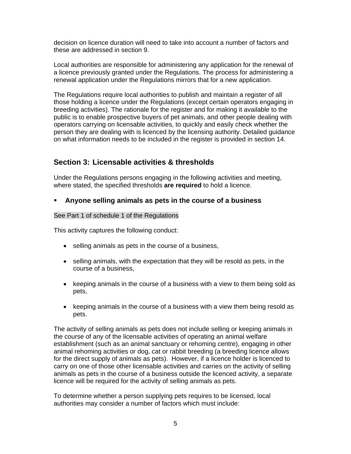decision on licence duration will need to take into account a number of factors and these are addressed in section 9.

Local authorities are responsible for administering any application for the renewal of a licence previously granted under the Regulations. The process for administering a renewal application under the Regulations mirrors that for a new application.

The Regulations require local authorities to publish and maintain a register of all those holding a licence under the Regulations (except certain operators engaging in breeding activities). The rationale for the register and for making it available to the public is to enable prospective buyers of pet animals, and other people dealing with operators carrying on licensable activities, to quickly and easily check whether the person they are dealing with is licenced by the licensing authority. Detailed guidance on what information needs to be included in the register is provided in section 14.

# **Section 3: Licensable activities & thresholds**

Under the Regulations persons engaging in the following activities and meeting, where stated, the specified thresholds **are required** to hold a licence.

### **Anyone selling animals as pets in the course of a business**

### See Part 1 of schedule 1 of the Regulations

This activity captures the following conduct:

- selling animals as pets in the course of a business,
- selling animals, with the expectation that they will be resold as pets, in the course of a business,
- keeping animals in the course of a business with a view to them being sold as pets,
- keeping animals in the course of a business with a view them being resold as pets.

The activity of selling animals as pets does not include selling or keeping animals in the course of any of the licensable activities of operating an animal welfare establishment (such as an animal sanctuary or rehoming centre), engaging in other animal rehoming activities or dog, cat or rabbit breeding (a breeding licence allows for the direct supply of animals as pets). However, if a licence holder is licenced to carry on one of those other licensable activities and carries on the activity of selling animals as pets in the course of a business outside the licenced activity, a separate licence will be required for the activity of selling animals as pets.

To determine whether a person supplying pets requires to be licensed, local authorities may consider a number of factors which must include: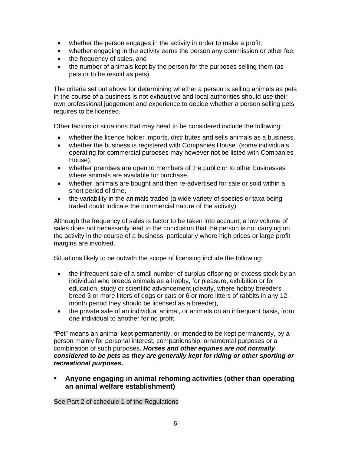- whether the person engages in the activity in order to make a profit,
- whether engaging in the activity earns the person any commission or other fee,
- the frequency of sales, and
- the number of animals kept by the person for the purposes selling them (as pets or to be resold as pets).

The criteria set out above for determining whether a person is selling animals as pets in the course of a business is not exhaustive and local authorities should use their own professional judgement and experience to decide whether a person selling pets requires to be licensed.

Other factors or situations that may need to be considered include the following:

- whether the licence holder imports, distributes and sells animals as a business,
- whether the business is registered with Companies House (some individuals operating for commercial purposes may however not be listed with Companies House),
- whether premises are open to members of the public or to other businesses where animals are available for purchase,
- whether animals are bought and then re-advertised for sale or sold within a short period of time,
- the variability in the animals traded (a wide variety of species or taxa being traded could indicate the commercial nature of the activity).

Although the frequency of sales is factor to be taken into account, a low volume of sales does not necessarily lead to the conclusion that the person is not carrying on the activity in the course of a business, particularly where high prices or large profit margins are involved.

Situations likely to be outwith the scope of licensing include the following:

- the infrequent sale of a small number of surplus offspring or excess stock by an individual who breeds animals as a hobby, for pleasure, exhibition or for education, study or scientific advancement (clearly, where hobby breeders breed 3 or more litters of dogs or cats or 6 or more litters of rabbits in any 12 month period they should be licensed as a breeder),
- the private sale of an individual animal, or animals on an infrequent basis, from one individual to another for no profit.

"Pet" means an animal kept permanently, or intended to be kept permanently, by a person mainly for personal interest, companionship, ornamental purposes or a combination of such purposes*. Horses and other equines are not normally considered to be pets as they are generally kept for riding or other sporting or recreational purposes.*

 **Anyone engaging in animal rehoming activities (other than operating an animal welfare establishment)** 

See Part 2 of schedule 1 of the Regulations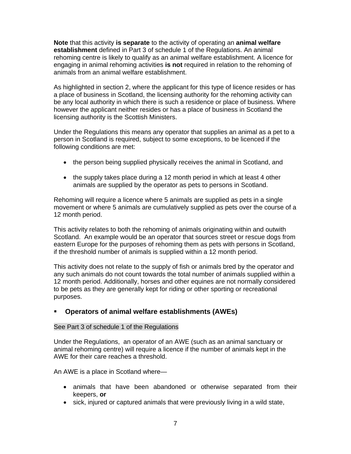**Note** that this activity **is separate** to the activity of operating an **animal welfare establishment** defined in Part 3 of schedule 1 of the Regulations. An animal rehoming centre is likely to qualify as an animal welfare establishment. A licence for engaging in animal rehoming activities **is not** required in relation to the rehoming of animals from an animal welfare establishment.

As highlighted in section 2, where the applicant for this type of licence resides or has a place of business in Scotland, the licensing authority for the rehoming activity can be any local authority in which there is such a residence or place of business. Where however the applicant neither resides or has a place of business in Scotland the licensing authority is the Scottish Ministers.

Under the Regulations this means any operator that supplies an animal as a pet to a person in Scotland is required, subject to some exceptions, to be licenced if the following conditions are met:

- the person being supplied physically receives the animal in Scotland, and
- $\bullet$  the supply takes place during a 12 month period in which at least 4 other animals are supplied by the operator as pets to persons in Scotland.

Rehoming will require a licence where 5 animals are supplied as pets in a single movement or where 5 animals are cumulatively supplied as pets over the course of a 12 month period.

This activity relates to both the rehoming of animals originating within and outwith Scotland. An example would be an operator that sources street or rescue dogs from eastern Europe for the purposes of rehoming them as pets with persons in Scotland, if the threshold number of animals is supplied within a 12 month period.

This activity does not relate to the supply of fish or animals bred by the operator and any such animals do not count towards the total number of animals supplied within a 12 month period. Additionally, horses and other equines are not normally considered to be pets as they are generally kept for riding or other sporting or recreational purposes.

### **Operators of animal welfare establishments (AWEs)**

#### See Part 3 of schedule 1 of the Regulations

Under the Regulations, an operator of an AWE (such as an animal sanctuary or animal rehoming centre) will require a licence if the number of animals kept in the AWE for their care reaches a threshold.

An AWE is a place in Scotland where—

- animals that have been abandoned or otherwise separated from their keepers, **or**
- sick, injured or captured animals that were previously living in a wild state,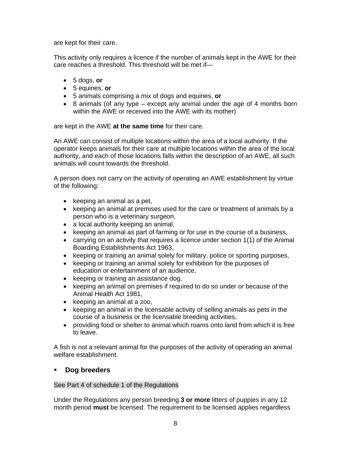are kept for their care.

This activity only requires a licence if the number of animals kept in the AWE for their care reaches a threshold. This threshold will be met if—

- 5 dogs, **or**
- 5 equines, **or**
- 5 animals comprising a mix of dogs and equines, **or**
- $\bullet$  8 animals (of any type except any animal under the age of 4 months born within the AWE or received into the AWE with its mother)

are kept in the AWE **at the same time** for their care.

An AWE can consist of multiple locations within the area of a local authority. If the operator keeps animals for their care at multiple locations within the area of the local authority, and each of those locations falls within the description of an AWE, all such animals will count towards the threshold.

A person does not carry on the activity of operating an AWE establishment by virtue of the following:

- $\bullet$  keeping an animal as a pet,
- keeping an animal at premises used for the care or treatment of animals by a person who is a veterinary surgeon,
- a local authority keeping an animal,
- keeping an animal as part of farming or for use in the course of a business,
- carrying on an activity that requires a licence under section 1(1) of the Animal Boarding Establishments Act 1963,
- keeping or training an animal solely for military, police or sporting purposes,
- keeping or training an animal solely for exhibition for the purposes of education or entertainment of an audience,
- keeping or training an assistance dog,
- keeping an animal on premises if required to do so under or because of the Animal Health Act 1981,
- keeping an animal at a zoo,
- keeping an animal in the licensable activity of selling animals as pets in the course of a business or the licensable breeding activities,
- providing food or shelter to animal which roams onto land from which it is free to leave.

A fish is not a relevant animal for the purposes of the activity of operating an animal welfare establishment.

### **Dog breeders**

#### See Part 4 of schedule 1 of the Regulations

Under the Regulations any person breeding **3 or more** litters of puppies in any 12 month period **must** be licensed. The requirement to be licensed applies regardless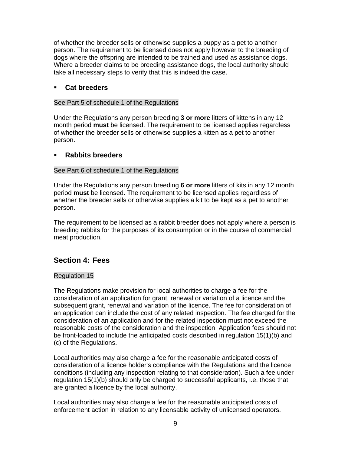of whether the breeder sells or otherwise supplies a puppy as a pet to another person. The requirement to be licensed does not apply however to the breeding of dogs where the offspring are intended to be trained and used as assistance dogs. Where a breeder claims to be breeding assistance dogs, the local authority should take all necessary steps to verify that this is indeed the case.

### **Cat breeders**

See Part 5 of schedule 1 of the Regulations

Under the Regulations any person breeding **3 or more** litters of kittens in any 12 month period **must** be licensed. The requirement to be licensed applies regardless of whether the breeder sells or otherwise supplies a kitten as a pet to another person.

### **Rabbits breeders**

#### See Part 6 of schedule 1 of the Regulations

Under the Regulations any person breeding **6 or more** litters of kits in any 12 month period **must** be licensed. The requirement to be licensed applies regardless of whether the breeder sells or otherwise supplies a kit to be kept as a pet to another person.

The requirement to be licensed as a rabbit breeder does not apply where a person is breeding rabbits for the purposes of its consumption or in the course of commercial meat production.

### **Section 4: Fees**

#### Regulation 15

The Regulations make provision for local authorities to charge a fee for the consideration of an application for grant, renewal or variation of a licence and the subsequent grant, renewal and variation of the licence. The fee for consideration of an application can include the cost of any related inspection. The fee charged for the consideration of an application and for the related inspection must not exceed the reasonable costs of the consideration and the inspection. Application fees should not be front-loaded to include the anticipated costs described in regulation 15(1)(b) and (c) of the Regulations.

Local authorities may also charge a fee for the reasonable anticipated costs of consideration of a licence holder's compliance with the Regulations and the licence conditions (including any inspection relating to that consideration). Such a fee under regulation 15(1)(b) should only be charged to successful applicants, i.e. those that are granted a licence by the local authority.

Local authorities may also charge a fee for the reasonable anticipated costs of enforcement action in relation to any licensable activity of unlicensed operators.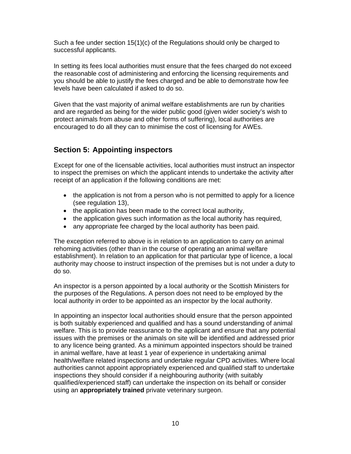Such a fee under section 15(1)(c) of the Regulations should only be charged to successful applicants.

In setting its fees local authorities must ensure that the fees charged do not exceed the reasonable cost of administering and enforcing the licensing requirements and you should be able to justify the fees charged and be able to demonstrate how fee levels have been calculated if asked to do so.

Given that the vast majority of animal welfare establishments are run by charities and are regarded as being for the wider public good (given wider society's wish to protect animals from abuse and other forms of suffering), local authorities are encouraged to do all they can to minimise the cost of licensing for AWEs.

# **Section 5: Appointing inspectors**

Except for one of the licensable activities, local authorities must instruct an inspector to inspect the premises on which the applicant intends to undertake the activity after receipt of an application if the following conditions are met:

- the application is not from a person who is not permitted to apply for a licence (see regulation 13),
- the application has been made to the correct local authority,
- the application gives such information as the local authority has required,
- any appropriate fee charged by the local authority has been paid.

The exception referred to above is in relation to an application to carry on animal rehoming activities (other than in the course of operating an animal welfare establishment). In relation to an application for that particular type of licence, a local authority may choose to instruct inspection of the premises but is not under a duty to do so.

An inspector is a person appointed by a local authority or the Scottish Ministers for the purposes of the Regulations. A person does not need to be employed by the local authority in order to be appointed as an inspector by the local authority.

In appointing an inspector local authorities should ensure that the person appointed is both suitably experienced and qualified and has a sound understanding of animal welfare. This is to provide reassurance to the applicant and ensure that any potential issues with the premises or the animals on site will be identified and addressed prior to any licence being granted. As a minimum appointed inspectors should be trained in animal welfare, have at least 1 year of experience in undertaking animal health/welfare related inspections and undertake regular CPD activities. Where local authorities cannot appoint appropriately experienced and qualified staff to undertake inspections they should consider if a neighbouring authority (with suitably qualified/experienced staff) can undertake the inspection on its behalf or consider using an **appropriately trained** private veterinary surgeon.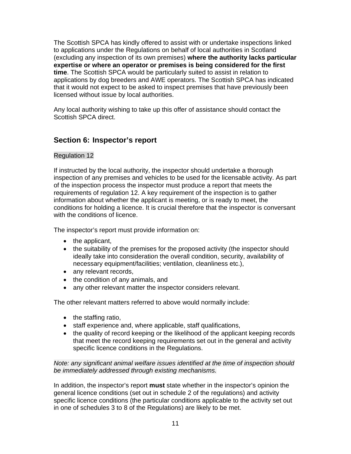The Scottish SPCA has kindly offered to assist with or undertake inspections linked to applications under the Regulations on behalf of local authorities in Scotland (excluding any inspection of its own premises) **where the authority lacks particular expertise or where an operator or premises is being considered for the first time**. The Scottish SPCA would be particularly suited to assist in relation to applications by dog breeders and AWE operators. The Scottish SPCA has indicated that it would not expect to be asked to inspect premises that have previously been licensed without issue by local authorities.

Any local authority wishing to take up this offer of assistance should contact the Scottish SPCA direct.

# **Section 6: Inspector's report**

#### Regulation 12

If instructed by the local authority, the inspector should undertake a thorough inspection of any premises and vehicles to be used for the licensable activity. As part of the inspection process the inspector must produce a report that meets the requirements of regulation 12. A key requirement of the inspection is to gather information about whether the applicant is meeting, or is ready to meet, the conditions for holding a licence. It is crucial therefore that the inspector is conversant with the conditions of licence.

The inspector's report must provide information on:

- $\bullet$  the applicant,
- the suitability of the premises for the proposed activity (the inspector should ideally take into consideration the overall condition, security, availability of necessary equipment/facilities; ventilation, cleanliness etc.),
- any relevant records.
- the condition of any animals, and
- any other relevant matter the inspector considers relevant.

The other relevant matters referred to above would normally include:

- $\bullet$  the staffing ratio,
- staff experience and, where applicable, staff qualifications,
- the quality of record keeping or the likelihood of the applicant keeping records that meet the record keeping requirements set out in the general and activity specific licence conditions in the Regulations.

*Note: any significant animal welfare issues identified at the time of inspection should be immediately addressed through existing mechanisms.*

In addition, the inspector's report **must** state whether in the inspector's opinion the general licence conditions (set out in schedule 2 of the regulations) and activity specific licence conditions (the particular conditions applicable to the activity set out in one of schedules 3 to 8 of the Regulations) are likely to be met.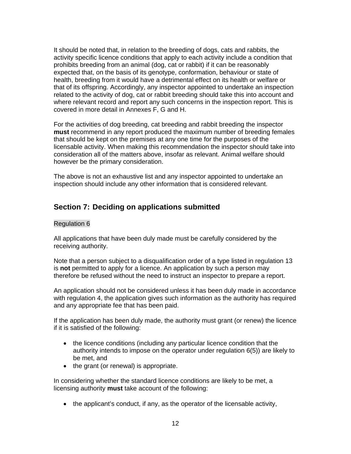It should be noted that, in relation to the breeding of dogs, cats and rabbits, the activity specific licence conditions that apply to each activity include a condition that prohibits breeding from an animal (dog, cat or rabbit) if it can be reasonably expected that, on the basis of its genotype, conformation, behaviour or state of health, breeding from it would have a detrimental effect on its health or welfare or that of its offspring. Accordingly, any inspector appointed to undertake an inspection related to the activity of dog, cat or rabbit breeding should take this into account and where relevant record and report any such concerns in the inspection report. This is covered in more detail in Annexes F, G and H.

For the activities of dog breeding, cat breeding and rabbit breeding the inspector **must** recommend in any report produced the maximum number of breeding females that should be kept on the premises at any one time for the purposes of the licensable activity. When making this recommendation the inspector should take into consideration all of the matters above, insofar as relevant. Animal welfare should however be the primary consideration.

The above is not an exhaustive list and any inspector appointed to undertake an inspection should include any other information that is considered relevant.

# **Section 7: Deciding on applications submitted**

#### Regulation 6

All applications that have been duly made must be carefully considered by the receiving authority.

Note that a person subject to a disqualification order of a type listed in regulation 13 is **not** permitted to apply for a licence. An application by such a person may therefore be refused without the need to instruct an inspector to prepare a report.

An application should not be considered unless it has been duly made in accordance with regulation 4, the application gives such information as the authority has required and any appropriate fee that has been paid.

If the application has been duly made, the authority must grant (or renew) the licence if it is satisfied of the following:

- the licence conditions (including any particular licence condition that the authority intends to impose on the operator under regulation 6(5)) are likely to be met, and
- the grant (or renewal) is appropriate.

In considering whether the standard licence conditions are likely to be met, a licensing authority **must** take account of the following:

• the applicant's conduct, if any, as the operator of the licensable activity,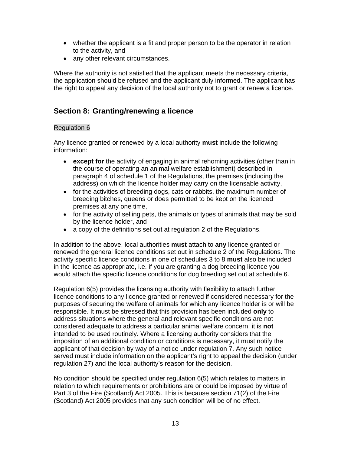- whether the applicant is a fit and proper person to be the operator in relation to the activity, and
- any other relevant circumstances.

Where the authority is not satisfied that the applicant meets the necessary criteria, the application should be refused and the applicant duly informed. The applicant has the right to appeal any decision of the local authority not to grant or renew a licence.

# **Section 8: Granting/renewing a licence**

### Regulation 6

Any licence granted or renewed by a local authority **must** include the following information:

- **except for** the activity of engaging in animal rehoming activities (other than in the course of operating an animal welfare establishment) described in paragraph 4 of schedule 1 of the Regulations, the premises (including the address) on which the licence holder may carry on the licensable activity,
- for the activities of breeding dogs, cats or rabbits, the maximum number of breeding bitches, queens or does permitted to be kept on the licenced premises at any one time,
- for the activity of selling pets, the animals or types of animals that may be sold by the licence holder, and
- a copy of the definitions set out at regulation 2 of the Regulations.

In addition to the above, local authorities **must** attach to **any** licence granted or renewed the general licence conditions set out in schedule 2 of the Regulations. The activity specific licence conditions in one of schedules 3 to 8 **must** also be included in the licence as appropriate, i.e. if you are granting a dog breeding licence you would attach the specific licence conditions for dog breeding set out at schedule 6.

Regulation 6(5) provides the licensing authority with flexibility to attach further licence conditions to any licence granted or renewed if considered necessary for the purposes of securing the welfare of animals for which any licence holder is or will be responsible. It must be stressed that this provision has been included **only** to address situations where the general and relevant specific conditions are not considered adequate to address a particular animal welfare concern; it is **not** intended to be used routinely. Where a licensing authority considers that the imposition of an additional condition or conditions is necessary, it must notify the applicant of that decision by way of a notice under regulation 7. Any such notice served must include information on the applicant's right to appeal the decision (under regulation 27) and the local authority's reason for the decision.

No condition should be specified under regulation 6(5) which relates to matters in relation to which requirements or prohibitions are or could be imposed by virtue of Part 3 of the Fire (Scotland) Act 2005. This is because section 71(2) of the Fire (Scotland) Act 2005 provides that any such condition will be of no effect.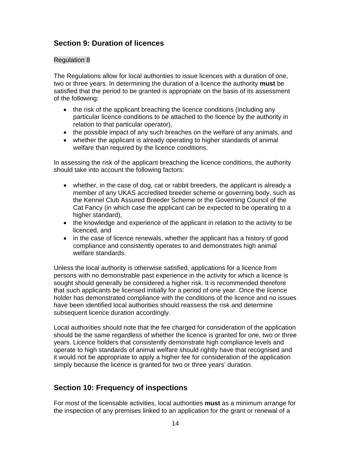# **Section 9: Duration of licences**

### Regulation 8

The Regulations allow for local authorities to issue licences with a duration of one, two or three years. In determining the duration of a licence the authority **must** be satisfied that the period to be granted is appropriate on the basis of its assessment of the following:

- the risk of the applicant breaching the licence conditions (including any particular licence conditions to be attached to the licence by the authority in relation to that particular operator),
- the possible impact of any such breaches on the welfare of any animals, and
- whether the applicant is already operating to higher standards of animal welfare than required by the licence conditions.

In assessing the risk of the applicant breaching the licence conditions, the authority should take into account the following factors:

- whether, in the case of dog, cat or rabbit breeders, the applicant is already a member of any UKAS accredited breeder scheme or governing body, such as the Kennel Club Assured Breeder Scheme or the Governing Council of the Cat Fancy (in which case the applicant can be expected to be operating to a higher standard).
- the knowledge and experience of the applicant in relation to the activity to be licenced, and
- in the case of licence renewals, whether the applicant has a history of good compliance and consistently operates to and demonstrates high animal welfare standards.

Unless the local authority is otherwise satisfied, applications for a licence from persons with no demonstrable past experience in the activity for which a licence is sought should generally be considered a higher risk. It is recommended therefore that such applicants be licensed initially for a period of one year. Once the licence holder has demonstrated compliance with the conditions of the licence and no issues have been identified local authorities should reassess the risk and determine subsequent licence duration accordingly.

Local authorities should note that the fee charged for consideration of the application should be the same regardless of whether the licence is granted for one, two or three years. Licence holders that consistently demonstrate high compliance levels and operate to high standards of animal welfare should rightly have that recognised and it would not be appropriate to apply a higher fee for consideration of the application simply because the licence is granted for two or three years' duration.

# **Section 10: Frequency of inspections**

For most of the licensable activities, local authorities **must** as a minimum arrange for the inspection of any premises linked to an application for the grant or renewal of a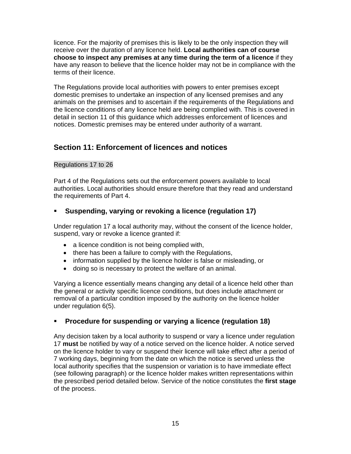licence. For the majority of premises this is likely to be the only inspection they will receive over the duration of any licence held. **Local authorities can of course choose to inspect any premises at any time during the term of a licence** if they have any reason to believe that the licence holder may not be in compliance with the terms of their licence.

The Regulations provide local authorities with powers to enter premises except domestic premises to undertake an inspection of any licensed premises and any animals on the premises and to ascertain if the requirements of the Regulations and the licence conditions of any licence held are being complied with. This is covered in detail in section 11 of this guidance which addresses enforcement of licences and notices. Domestic premises may be entered under authority of a warrant.

# **Section 11: Enforcement of licences and notices**

### Regulations 17 to 26

Part 4 of the Regulations sets out the enforcement powers available to local authorities. Local authorities should ensure therefore that they read and understand the requirements of Part 4.

# **Suspending, varying or revoking a licence (regulation 17)**

Under regulation 17 a local authority may, without the consent of the licence holder, suspend, vary or revoke a licence granted if:

- a licence condition is not being complied with,
- there has been a failure to comply with the Regulations,
- information supplied by the licence holder is false or misleading, or
- doing so is necessary to protect the welfare of an animal.

Varying a licence essentially means changing any detail of a licence held other than the general or activity specific licence conditions, but does include attachment or removal of a particular condition imposed by the authority on the licence holder under regulation 6(5).

# **Procedure for suspending or varying a licence (regulation 18)**

Any decision taken by a local authority to suspend or vary a licence under regulation 17 **must** be notified by way of a notice served on the licence holder. A notice served on the licence holder to vary or suspend their licence will take effect after a period of 7 working days, beginning from the date on which the notice is served unless the local authority specifies that the suspension or variation is to have immediate effect (see following paragraph) or the licence holder makes written representations within the prescribed period detailed below. Service of the notice constitutes the **first stage**  of the process.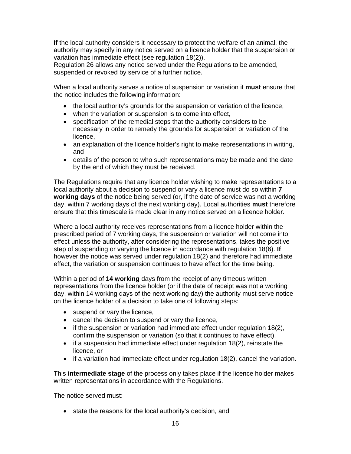**If** the local authority considers it necessary to protect the welfare of an animal, the authority may specify in any notice served on a licence holder that the suspension or variation has immediate effect (see regulation 18(2)).

Regulation 26 allows any notice served under the Regulations to be amended, suspended or revoked by service of a further notice.

When a local authority serves a notice of suspension or variation it **must** ensure that the notice includes the following information:

- the local authority's grounds for the suspension or variation of the licence,
- when the variation or suspension is to come into effect,
- specification of the remedial steps that the authority considers to be necessary in order to remedy the grounds for suspension or variation of the licence,
- an explanation of the licence holder's right to make representations in writing, and
- details of the person to who such representations may be made and the date by the end of which they must be received.

The Regulations require that any licence holder wishing to make representations to a local authority about a decision to suspend or vary a licence must do so within **7 working days** of the notice being served (or, if the date of service was not a working day, within 7 working days of the next working day). Local authorities **must** therefore ensure that this timescale is made clear in any notice served on a licence holder.

Where a local authority receives representations from a licence holder within the prescribed period of 7 working days, the suspension or variation will not come into effect unless the authority, after considering the representations, takes the positive step of suspending or varying the licence in accordance with regulation 18(6). **If** however the notice was served under regulation 18(2) and therefore had immediate effect, the variation or suspension continues to have effect for the time being.

Within a period of **14 working** days from the receipt of any timeous written representations from the licence holder (or if the date of receipt was not a working day, within 14 working days of the next working day) the authority must serve notice on the licence holder of a decision to take one of following steps:

- suspend or vary the licence,
- cancel the decision to suspend or vary the licence,
- if the suspension or variation had immediate effect under regulation 18(2), confirm the suspension or variation (so that it continues to have effect),
- if a suspension had immediate effect under regulation 18(2), reinstate the licence, or
- $\bullet$  if a variation had immediate effect under regulation 18(2), cancel the variation.

This **intermediate stage** of the process only takes place if the licence holder makes written representations in accordance with the Regulations.

The notice served must:

• state the reasons for the local authority's decision, and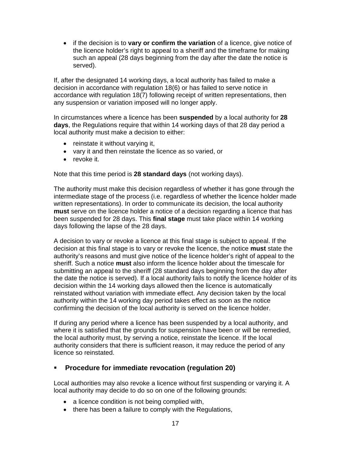if the decision is to **vary or confirm the variation** of a licence, give notice of the licence holder's right to appeal to a sheriff and the timeframe for making such an appeal (28 days beginning from the day after the date the notice is served).

If, after the designated 14 working days, a local authority has failed to make a decision in accordance with regulation 18(6) or has failed to serve notice in accordance with regulation 18(7) following receipt of written representations, then any suspension or variation imposed will no longer apply.

In circumstances where a licence has been **suspended** by a local authority for **28 days**, the Regulations require that within 14 working days of that 28 day period a local authority must make a decision to either:

- reinstate it without varying it,
- vary it and then reinstate the licence as so varied, or
- revoke it.

Note that this time period is **28 standard days** (not working days).

The authority must make this decision regardless of whether it has gone through the intermediate stage of the process (i.e. regardless of whether the licence holder made written representations). In order to communicate its decision, the local authority **must** serve on the licence holder a notice of a decision regarding a licence that has been suspended for 28 days. This **final stage** must take place within 14 working days following the lapse of the 28 days.

A decision to vary or revoke a licence at this final stage is subject to appeal. If the decision at this final stage is to vary or revoke the licence, the notice **must** state the authority's reasons and must give notice of the licence holder's right of appeal to the sheriff. Such a notice **must** also inform the licence holder about the timescale for submitting an appeal to the sheriff (28 standard days beginning from the day after the date the notice is served). If a local authority fails to notify the licence holder of its decision within the 14 working days allowed then the licence is automatically reinstated without variation with immediate effect. Any decision taken by the local authority within the 14 working day period takes effect as soon as the notice confirming the decision of the local authority is served on the licence holder.

If during any period where a licence has been suspended by a local authority, and where it is satisfied that the grounds for suspension have been or will be remedied, the local authority must, by serving a notice, reinstate the licence. If the local authority considers that there is sufficient reason, it may reduce the period of any licence so reinstated.

### **Procedure for immediate revocation (regulation 20)**

Local authorities may also revoke a licence without first suspending or varying it. A local authority may decide to do so on one of the following grounds:

- a licence condition is not being complied with,
- there has been a failure to comply with the Regulations,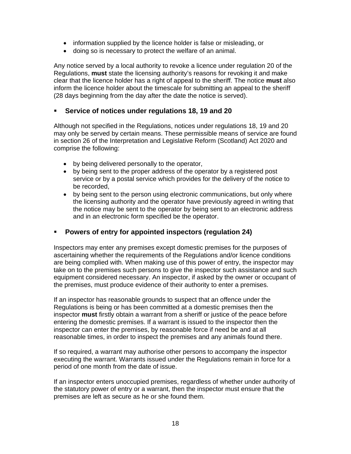- information supplied by the licence holder is false or misleading, or
- doing so is necessary to protect the welfare of an animal.

Any notice served by a local authority to revoke a licence under regulation 20 of the Regulations, **must** state the licensing authority's reasons for revoking it and make clear that the licence holder has a right of appeal to the sheriff. The notice **must** also inform the licence holder about the timescale for submitting an appeal to the sheriff (28 days beginning from the day after the date the notice is served).

### **Service of notices under regulations 18, 19 and 20**

Although not specified in the Regulations, notices under regulations 18, 19 and 20 may only be served by certain means. These permissible means of service are found in section 26 of the Interpretation and Legislative Reform (Scotland) Act 2020 and comprise the following:

- by being delivered personally to the operator,
- by being sent to the proper address of the operator by a registered post service or by a postal service which provides for the delivery of the notice to be recorded,
- by being sent to the person using electronic communications, but only where the licensing authority and the operator have previously agreed in writing that the notice may be sent to the operator by being sent to an electronic address and in an electronic form specified be the operator.

### **Powers of entry for appointed inspectors (regulation 24)**

Inspectors may enter any premises except domestic premises for the purposes of ascertaining whether the requirements of the Regulations and/or licence conditions are being complied with. When making use of this power of entry, the inspector may take on to the premises such persons to give the inspector such assistance and such equipment considered necessary. An inspector, if asked by the owner or occupant of the premises, must produce evidence of their authority to enter a premises.

If an inspector has reasonable grounds to suspect that an offence under the Regulations is being or has been committed at a domestic premises then the inspector **must** firstly obtain a warrant from a sheriff or justice of the peace before entering the domestic premises. If a warrant is issued to the inspector then the inspector can enter the premises, by reasonable force if need be and at all reasonable times, in order to inspect the premises and any animals found there.

If so required, a warrant may authorise other persons to accompany the inspector executing the warrant. Warrants issued under the Regulations remain in force for a period of one month from the date of issue.

If an inspector enters unoccupied premises, regardless of whether under authority of the statutory power of entry or a warrant, then the inspector must ensure that the premises are left as secure as he or she found them.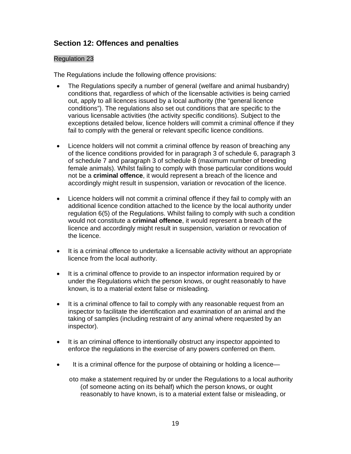# **Section 12: Offences and penalties**

### Regulation 23

The Regulations include the following offence provisions:

- The Regulations specify a number of general (welfare and animal husbandry) conditions that, regardless of which of the licensable activities is being carried out, apply to all licences issued by a local authority (the "general licence conditions"). The regulations also set out conditions that are specific to the various licensable activities (the activity specific conditions). Subject to the exceptions detailed below, licence holders will commit a criminal offence if they fail to comply with the general or relevant specific licence conditions.
- Licence holders will not commit a criminal offence by reason of breaching any of the licence conditions provided for in paragraph 3 of schedule 6, paragraph 3 of schedule 7 and paragraph 3 of schedule 8 (maximum number of breeding female animals). Whilst failing to comply with those particular conditions would not be a **criminal offence**, it would represent a breach of the licence and accordingly might result in suspension, variation or revocation of the licence.
- Licence holders will not commit a criminal offence if they fail to comply with an additional licence condition attached to the licence by the local authority under regulation 6(5) of the Regulations. Whilst failing to comply with such a condition would not constitute a **criminal offence**, it would represent a breach of the licence and accordingly might result in suspension, variation or revocation of the licence.
- It is a criminal offence to undertake a licensable activity without an appropriate licence from the local authority.
- It is a criminal offence to provide to an inspector information required by or under the Regulations which the person knows, or ought reasonably to have known, is to a material extent false or misleading.
- It is a criminal offence to fail to comply with any reasonable request from an inspector to facilitate the identification and examination of an animal and the taking of samples (including restraint of any animal where requested by an inspector).
- It is an criminal offence to intentionally obstruct any inspector appointed to enforce the regulations in the exercise of any powers conferred on them.
- It is a criminal offence for the purpose of obtaining or holding a licence
	- o to make a statement required by or under the Regulations to a local authority (of someone acting on its behalf) which the person knows, or ought reasonably to have known, is to a material extent false or misleading, or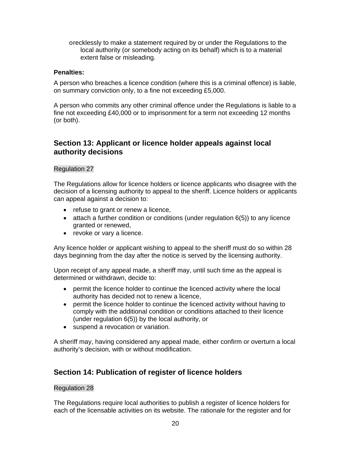o recklessly to make a statement required by or under the Regulations to the local authority (or somebody acting on its behalf) which is to a material extent false or misleading.

### **Penalties:**

A person who breaches a licence condition (where this is a criminal offence) is liable, on summary conviction only, to a fine not exceeding £5,000.

A person who commits any other criminal offence under the Regulations is liable to a fine not exceeding £40,000 or to imprisonment for a term not exceeding 12 months (or both).

### **Section 13: Applicant or licence holder appeals against local authority decisions**

### Regulation 27

The Regulations allow for licence holders or licence applicants who disagree with the decision of a licensing authority to appeal to the sheriff. Licence holders or applicants can appeal against a decision to:

- refuse to grant or renew a licence,
- $\bullet$  attach a further condition or conditions (under regulation 6(5)) to any licence granted or renewed,
- revoke or vary a licence.

Any licence holder or applicant wishing to appeal to the sheriff must do so within 28 days beginning from the day after the notice is served by the licensing authority.

Upon receipt of any appeal made, a sheriff may, until such time as the appeal is determined or withdrawn, decide to:

- permit the licence holder to continue the licenced activity where the local authority has decided not to renew a licence,
- permit the licence holder to continue the licenced activity without having to comply with the additional condition or conditions attached to their licence (under regulation 6(5)) by the local authority, or
- suspend a revocation or variation.

A sheriff may, having considered any appeal made, either confirm or overturn a local authority's decision, with or without modification.

# **Section 14: Publication of register of licence holders**

#### Regulation 28

The Regulations require local authorities to publish a register of licence holders for each of the licensable activities on its website. The rationale for the register and for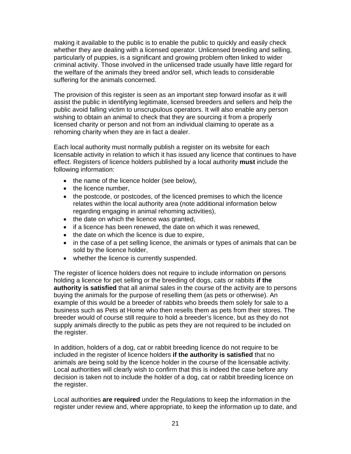making it available to the public is to enable the public to quickly and easily check whether they are dealing with a licensed operator. Unlicensed breeding and selling, particularly of puppies, is a significant and growing problem often linked to wider criminal activity. Those involved in the unlicensed trade usually have little regard for the welfare of the animals they breed and/or sell, which leads to considerable suffering for the animals concerned.

The provision of this register is seen as an important step forward insofar as it will assist the public in identifying legitimate, licensed breeders and sellers and help the public avoid falling victim to unscrupulous operators. It will also enable any person wishing to obtain an animal to check that they are sourcing it from a properly licensed charity or person and not from an individual claiming to operate as a rehoming charity when they are in fact a dealer.

Each local authority must normally publish a register on its website for each licensable activity in relation to which it has issued any licence that continues to have effect. Registers of licence holders published by a local authority **must** include the following information:

- the name of the licence holder (see below),
- the licence number,
- the postcode, or postcodes, of the licenced premises to which the licence relates within the local authority area (note additional information below regarding engaging in animal rehoming activities),
- the date on which the licence was granted,
- if a licence has been renewed, the date on which it was renewed,
- $\bullet$  the date on which the licence is due to expire,
- in the case of a pet selling licence, the animals or types of animals that can be sold by the licence holder,
- whether the licence is currently suspended.

The register of licence holders does not require to include information on persons holding a licence for pet selling or the breeding of dogs, cats or rabbits **if the authority is satisfied** that all animal sales in the course of the activity are to persons buying the animals for the purpose of reselling them (as pets or otherwise). An example of this would be a breeder of rabbits who breeds them solely for sale to a business such as Pets at Home who then resells them as pets from their stores. The breeder would of course still require to hold a breeder's licence, but as they do not supply animals directly to the public as pets they are not required to be included on the register.

In addition, holders of a dog, cat or rabbit breeding licence do not require to be included in the register of licence holders **if the authority is satisfied** that no animals are being sold by the licence holder in the course of the licensable activity. Local authorities will clearly wish to confirm that this is indeed the case before any decision is taken not to include the holder of a dog, cat or rabbit breeding licence on the register.

Local authorities **are required** under the Regulations to keep the information in the register under review and, where appropriate, to keep the information up to date, and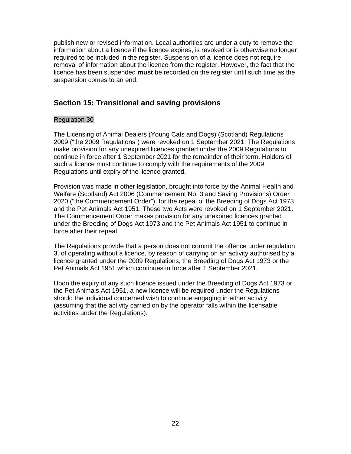publish new or revised information. Local authorities are under a duty to remove the information about a licence if the licence expires, is revoked or is otherwise no longer required to be included in the register. Suspension of a licence does not require removal of information about the licence from the register. However, the fact that the licence has been suspended **must** be recorded on the register until such time as the suspension comes to an end.

# **Section 15: Transitional and saving provisions**

### Regulation 30

The Licensing of Animal Dealers (Young Cats and Dogs) (Scotland) Regulations 2009 ("the 2009 Regulations") were revoked on 1 September 2021. The Regulations make provision for any unexpired licences granted under the 2009 Regulations to continue in force after 1 September 2021 for the remainder of their term. Holders of such a licence must continue to comply with the requirements of the 2009 Regulations until expiry of the licence granted.

Provision was made in other legislation, brought into force by the Animal Health and Welfare (Scotland) Act 2006 (Commencement No. 3 and Saving Provisions) Order 2020 ("the Commencement Order"), for the repeal of the Breeding of Dogs Act 1973 and the Pet Animals Act 1951. These two Acts were revoked on 1 September 2021. The Commencement Order makes provision for any unexpired licences granted under the Breeding of Dogs Act 1973 and the Pet Animals Act 1951 to continue in force after their repeal.

The Regulations provide that a person does not commit the offence under regulation 3, of operating without a licence, by reason of carrying on an activity authorised by a licence granted under the 2009 Regulations, the Breeding of Dogs Act 1973 or the Pet Animals Act 1951 which continues in force after 1 September 2021.

Upon the expiry of any such licence issued under the Breeding of Dogs Act 1973 or the Pet Animals Act 1951, a new licence will be required under the Regulations should the individual concerned wish to continue engaging in either activity (assuming that the activity carried on by the operator falls within the licensable activities under the Regulations).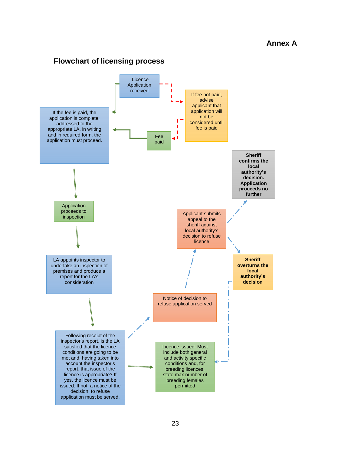# **Flowchart of licensing process**

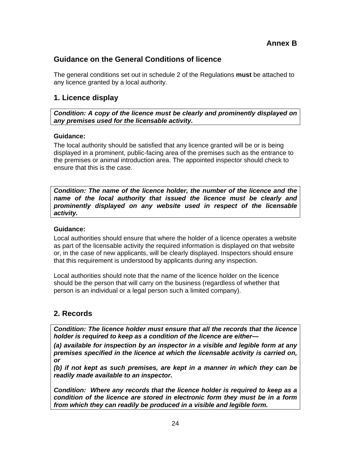# **Guidance on the General Conditions of licence**

The general conditions set out in schedule 2 of the Regulations **must** be attached to any licence granted by a local authority.

### **1. Licence display**

*Condition: A copy of the licence must be clearly and prominently displayed on any premises used for the licensable activity.* 

### **Guidance:**

The local authority should be satisfied that any licence granted will be or is being displayed in a prominent, public-facing area of the premises such as the entrance to the premises or animal introduction area. The appointed inspector should check to ensure that this is the case.

*Condition: The name of the licence holder, the number of the licence and the name of the local authority that issued the licence must be clearly and prominently displayed on any website used in respect of the licensable activity.* 

#### **Guidance:**

Local authorities should ensure that where the holder of a licence operates a website as part of the licensable activity the required information is displayed on that website or, in the case of new applicants, will be clearly displayed. Inspectors should ensure that this requirement is understood by applicants during any inspection.

Local authorities should note that the name of the licence holder on the licence should be the person that will carry on the business (regardless of whether that person is an individual or a legal person such a limited company).

# **2. Records**

*Condition: The licence holder must ensure that all the records that the licence holder is required to keep as a condition of the licence are either***—**

*(a) available for inspection by an inspector in a visible and legible form at any premises specified in the licence at which the licensable activity is carried on, or* 

*(b) if not kept as such premises, are kept in a manner in which they can be readily made available to an inspector.* 

*Condition: Where any records that the licence holder is required to keep as a condition of the licence are stored in electronic form they must be in a form from which they can readily be produced in a visible and legible form.*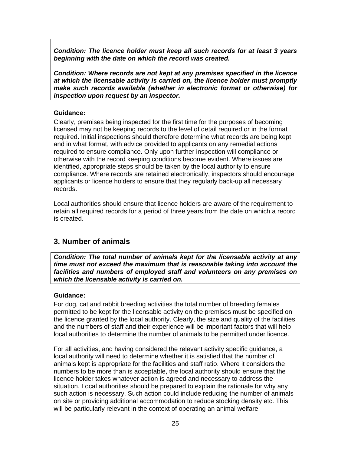*Condition: The licence holder must keep all such records for at least 3 years beginning with the date on which the record was created.* 

*Condition: Where records are not kept at any premises specified in the licence at which the licensable activity is carried on, the licence holder must promptly make such records available (whether in electronic format or otherwise) for inspection upon request by an inspector.* 

#### **Guidance:**

Clearly, premises being inspected for the first time for the purposes of becoming licensed may not be keeping records to the level of detail required or in the format required. Initial inspections should therefore determine what records are being kept and in what format, with advice provided to applicants on any remedial actions required to ensure compliance. Only upon further inspection will compliance or otherwise with the record keeping conditions become evident. Where issues are identified, appropriate steps should be taken by the local authority to ensure compliance. Where records are retained electronically, inspectors should encourage applicants or licence holders to ensure that they regularly back-up all necessary records.

Local authorities should ensure that licence holders are aware of the requirement to retain all required records for a period of three years from the date on which a record is created.

### **3. Number of animals**

*Condition: The total number of animals kept for the licensable activity at any time must not exceed the maximum that is reasonable taking into account the facilities and numbers of employed staff and volunteers on any premises on which the licensable activity is carried on.* 

#### **Guidance:**

For dog, cat and rabbit breeding activities the total number of breeding females permitted to be kept for the licensable activity on the premises must be specified on the licence granted by the local authority. Clearly, the size and quality of the facilities and the numbers of staff and their experience will be important factors that will help local authorities to determine the number of animals to be permitted under licence.

For all activities, and having considered the relevant activity specific guidance, a local authority will need to determine whether it is satisfied that the number of animals kept is appropriate for the facilities and staff ratio. Where it considers the numbers to be more than is acceptable, the local authority should ensure that the licence holder takes whatever action is agreed and necessary to address the situation. Local authorities should be prepared to explain the rationale for why any such action is necessary. Such action could include reducing the number of animals on site or providing additional accommodation to reduce stocking density etc. This will be particularly relevant in the context of operating an animal welfare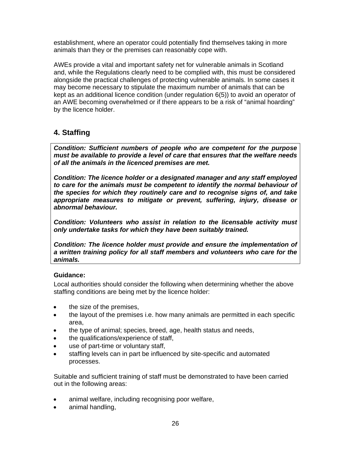establishment, where an operator could potentially find themselves taking in more animals than they or the premises can reasonably cope with.

AWEs provide a vital and important safety net for vulnerable animals in Scotland and, while the Regulations clearly need to be complied with, this must be considered alongside the practical challenges of protecting vulnerable animals. In some cases it may become necessary to stipulate the maximum number of animals that can be kept as an additional licence condition (under regulation 6(5)) to avoid an operator of an AWE becoming overwhelmed or if there appears to be a risk of "animal hoarding" by the licence holder.

# **4. Staffing**

*Condition: Sufficient numbers of people who are competent for the purpose must be available to provide a level of care that ensures that the welfare needs of all the animals in the licenced premises are met.* 

*Condition: The licence holder or a designated manager and any staff employed to care for the animals must be competent to identify the normal behaviour of the species for which they routinely care and to recognise signs of, and take appropriate measures to mitigate or prevent, suffering, injury, disease or abnormal behaviour.* 

*Condition: Volunteers who assist in relation to the licensable activity must only undertake tasks for which they have been suitably trained.* 

*Condition: The licence holder must provide and ensure the implementation of a written training policy for all staff members and volunteers who care for the animals.* 

### **Guidance:**

Local authorities should consider the following when determining whether the above staffing conditions are being met by the licence holder:

- the size of the premises,
- the layout of the premises i.e. how many animals are permitted in each specific area,
- the type of animal; species, breed, age, health status and needs,
- the qualifications/experience of staff,
- use of part-time or voluntary staff,
- staffing levels can in part be influenced by site-specific and automated processes.

Suitable and sufficient training of staff must be demonstrated to have been carried out in the following areas:

- animal welfare, including recognising poor welfare,
- animal handling,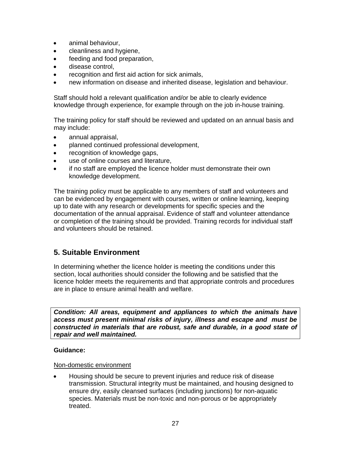- animal behaviour,
- cleanliness and hygiene,
- feeding and food preparation,
- disease control,
- recognition and first aid action for sick animals,
- new information on disease and inherited disease, legislation and behaviour.

Staff should hold a relevant qualification and/or be able to clearly evidence knowledge through experience, for example through on the job in-house training.

The training policy for staff should be reviewed and updated on an annual basis and may include:

- annual appraisal,
- planned continued professional development,
- recognition of knowledge gaps,
- use of online courses and literature,
- if no staff are employed the licence holder must demonstrate their own knowledge development.

The training policy must be applicable to any members of staff and volunteers and can be evidenced by engagement with courses, written or online learning, keeping up to date with any research or developments for specific species and the documentation of the annual appraisal. Evidence of staff and volunteer attendance or completion of the training should be provided. Training records for individual staff and volunteers should be retained.

### **5. Suitable Environment**

In determining whether the licence holder is meeting the conditions under this section, local authorities should consider the following and be satisfied that the licence holder meets the requirements and that appropriate controls and procedures are in place to ensure animal health and welfare.

*Condition: All areas, equipment and appliances to which the animals have access must present minimal risks of injury, illness and escape and must be constructed in materials that are robust, safe and durable, in a good state of repair and well maintained.* 

#### **Guidance:**

#### Non-domestic environment

 Housing should be secure to prevent injuries and reduce risk of disease transmission. Structural integrity must be maintained, and housing designed to ensure dry, easily cleansed surfaces (including junctions) for non-aquatic species. Materials must be non-toxic and non-porous or be appropriately treated.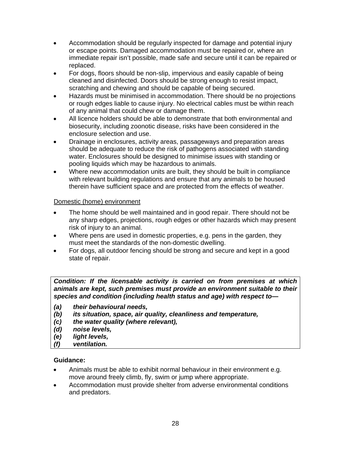- Accommodation should be regularly inspected for damage and potential injury or escape points. Damaged accommodation must be repaired or, where an immediate repair isn't possible, made safe and secure until it can be repaired or replaced.
- For dogs, floors should be non-slip, impervious and easily capable of being cleaned and disinfected. Doors should be strong enough to resist impact, scratching and chewing and should be capable of being secured.
- Hazards must be minimised in accommodation. There should be no projections or rough edges liable to cause injury. No electrical cables must be within reach of any animal that could chew or damage them.
- All licence holders should be able to demonstrate that both environmental and biosecurity, including zoonotic disease, risks have been considered in the enclosure selection and use.
- Drainage in enclosures, activity areas, passageways and preparation areas should be adequate to reduce the risk of pathogens associated with standing water. Enclosures should be designed to minimise issues with standing or pooling liquids which may be hazardous to animals.
- Where new accommodation units are built, they should be built in compliance with relevant building regulations and ensure that any animals to be housed therein have sufficient space and are protected from the effects of weather.

#### Domestic (home) environment

- The home should be well maintained and in good repair. There should not be any sharp edges, projections, rough edges or other hazards which may present risk of injury to an animal.
- Where pens are used in domestic properties, e.g. pens in the garden, they must meet the standards of the non-domestic dwelling.
- For dogs, all outdoor fencing should be strong and secure and kept in a good state of repair.

*Condition: If the licensable activity is carried on from premises at which animals are kept, such premises must provide an environment suitable to their species and condition (including health status and age) with respect to***—**

- *(a) their behavioural needs,*
- *(b) its situation, space, air quality, cleanliness and temperature,*
- *(c) the water quality (where relevant),*
- *(d) noise levels,*
- *(e) light levels,*
- *(f) ventilation.*

#### **Guidance:**

- Animals must be able to exhibit normal behaviour in their environment e.g. move around freely climb, fly, swim or jump where appropriate.
- Accommodation must provide shelter from adverse environmental conditions and predators.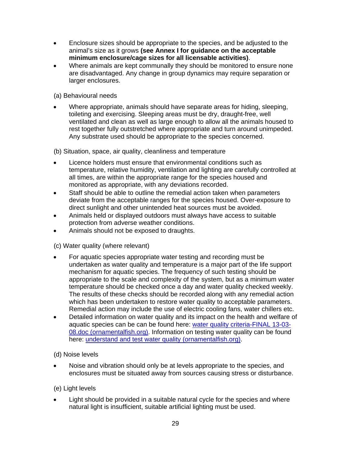- Enclosure sizes should be appropriate to the species, and be adjusted to the animal's size as it grows **(see Annex I for guidance on the acceptable minimum enclosure/cage sizes for all licensable activities)**.
- Where animals are kept communally they should be monitored to ensure none are disadvantaged. Any change in group dynamics may require separation or larger enclosures.

(a) Behavioural needs

 Where appropriate, animals should have separate areas for hiding, sleeping, toileting and exercising. Sleeping areas must be dry, draught-free, well ventilated and clean as well as large enough to allow all the animals housed to rest together fully outstretched where appropriate and turn around unimpeded. Any substrate used should be appropriate to the species concerned.

(b) Situation, space, air quality, cleanliness and temperature

- Licence holders must ensure that environmental conditions such as temperature, relative humidity, ventilation and lighting are carefully controlled at all times, are within the appropriate range for the species housed and monitored as appropriate, with any deviations recorded.
- Staff should be able to outline the remedial action taken when parameters deviate from the acceptable ranges for the species housed. Over-exposure to direct sunlight and other unintended heat sources must be avoided.
- Animals held or displayed outdoors must always have access to suitable protection from adverse weather conditions.
- Animals should not be exposed to draughts.

(c) Water quality (where relevant)

- For aquatic species appropriate water testing and recording must be undertaken as water quality and temperature is a major part of the life support mechanism for aquatic species. The frequency of such testing should be appropriate to the scale and complexity of the system, but as a minimum water temperature should be checked once a day and water quality checked weekly. The results of these checks should be recorded along with any remedial action which has been undertaken to restore water quality to acceptable parameters. Remedial action may include the use of electric cooling fans, water chillers etc.
- Detailed information on water quality and its impact on the health and welfare of aquatic species can be can be found here: water quality criteria-FINAL 13-03-08.doc (ornamentalfish.org). Information on testing water quality can be found here: understand and test water quality (ornamentalfish.org).

(d) Noise levels

 Noise and vibration should only be at levels appropriate to the species, and enclosures must be situated away from sources causing stress or disturbance.

### (e) Light levels

 Light should be provided in a suitable natural cycle for the species and where natural light is insufficient, suitable artificial lighting must be used.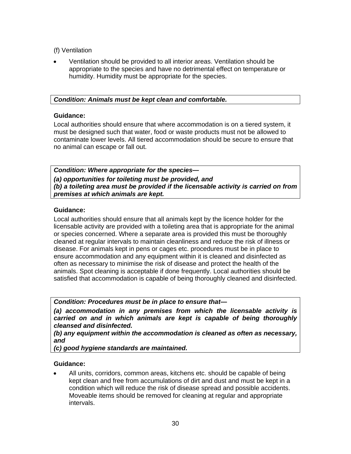(f) Ventilation

 Ventilation should be provided to all interior areas. Ventilation should be appropriate to the species and have no detrimental effect on temperature or humidity. Humidity must be appropriate for the species.

### *Condition: Animals must be kept clean and comfortable.*

#### **Guidance:**

Local authorities should ensure that where accommodation is on a tiered system, it must be designed such that water, food or waste products must not be allowed to contaminate lower levels. All tiered accommodation should be secure to ensure that no animal can escape or fall out.

*Condition: Where appropriate for the species***—** *(a) opportunities for toileting must be provided, and (b) a toileting area must be provided if the licensable activity is carried on from premises at which animals are kept.*

### **Guidance:**

Local authorities should ensure that all animals kept by the licence holder for the licensable activity are provided with a toileting area that is appropriate for the animal or species concerned. Where a separate area is provided this must be thoroughly cleaned at regular intervals to maintain cleanliness and reduce the risk of illness or disease. For animals kept in pens or cages etc. procedures must be in place to ensure accommodation and any equipment within it is cleaned and disinfected as often as necessary to minimise the risk of disease and protect the health of the animals. Spot cleaning is acceptable if done frequently. Local authorities should be satisfied that accommodation is capable of being thoroughly cleaned and disinfected.

*Condition: Procedures must be in place to ensure that***—**

*(a) accommodation in any premises from which the licensable activity is carried on and in which animals are kept is capable of being thoroughly cleansed and disinfected.* 

*(b) any equipment within the accommodation is cleaned as often as necessary, and* 

*(c) good hygiene standards are maintained.*

### **Guidance:**

 All units, corridors, common areas, kitchens etc. should be capable of being kept clean and free from accumulations of dirt and dust and must be kept in a condition which will reduce the risk of disease spread and possible accidents. Moveable items should be removed for cleaning at regular and appropriate intervals.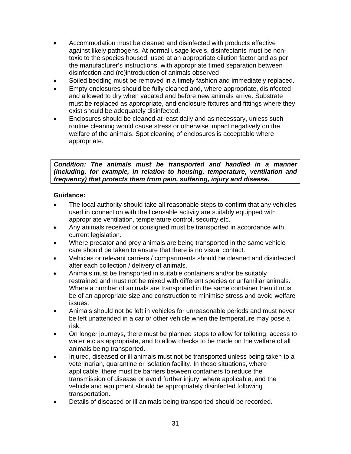- Accommodation must be cleaned and disinfected with products effective against likely pathogens. At normal usage levels, disinfectants must be nontoxic to the species housed, used at an appropriate dilution factor and as per the manufacturer's instructions, with appropriate timed separation between disinfection and (re)introduction of animals observed
- Soiled bedding must be removed in a timely fashion and immediately replaced.
- Empty enclosures should be fully cleaned and, where appropriate, disinfected and allowed to dry when vacated and before new animals arrive. Substrate must be replaced as appropriate, and enclosure fixtures and fittings where they exist should be adequately disinfected.
- Enclosures should be cleaned at least daily and as necessary, unless such routine cleaning would cause stress or otherwise impact negatively on the welfare of the animals. Spot cleaning of enclosures is acceptable where appropriate.

*Condition: The animals must be transported and handled in a manner (including, for example, in relation to housing, temperature, ventilation and frequency) that protects them from pain, suffering, injury and disease.* 

#### **Guidance:**

- The local authority should take all reasonable steps to confirm that any vehicles used in connection with the licensable activity are suitably equipped with appropriate ventilation, temperature control, security etc.
- Any animals received or consigned must be transported in accordance with current legislation.
- Where predator and prey animals are being transported in the same vehicle care should be taken to ensure that there is no visual contact.
- Vehicles or relevant carriers / compartments should be cleaned and disinfected after each collection / delivery of animals.
- Animals must be transported in suitable containers and/or be suitably restrained and must not be mixed with different species or unfamiliar animals. Where a number of animals are transported in the same container then it must be of an appropriate size and construction to minimise stress and avoid welfare issues.
- Animals should not be left in vehicles for unreasonable periods and must never be left unattended in a car or other vehicle when the temperature may pose a risk.
- On longer journeys, there must be planned stops to allow for toileting, access to water etc as appropriate, and to allow checks to be made on the welfare of all animals being transported.
- Injured, diseased or ill animals must not be transported unless being taken to a veterinarian, quarantine or isolation facility. In these situations, where applicable, there must be barriers between containers to reduce the transmission of disease or avoid further injury, where applicable, and the vehicle and equipment should be appropriately disinfected following transportation.
- Details of diseased or ill animals being transported should be recorded.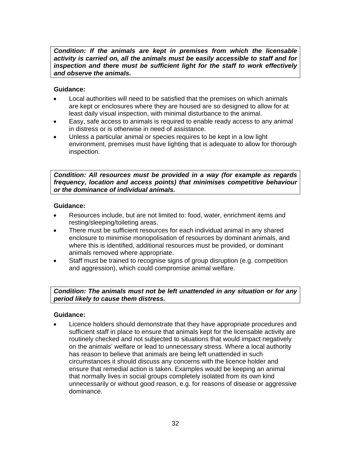*Condition: If the animals are kept in premises from which the licensable activity is carried on, all the animals must be easily accessible to staff and for inspection and there must be sufficient light for the staff to work effectively and observe the animals.*

### **Guidance:**

- Local authorities will need to be satisfied that the premises on which animals are kept or enclosures where they are housed are so designed to allow for at least daily visual inspection, with minimal disturbance to the animal.
- Easy, safe access to animals is required to enable ready access to any animal in distress or is otherwise in need of assistance.
- Unless a particular animal or species requires to be kept in a low light environment, premises must have lighting that is adequate to allow for thorough inspection.

*Condition: All resources must be provided in a way (for example as regards frequency, location and access points) that minimises competitive behaviour or the dominance of individual animals.*

#### **Guidance:**

- Resources include, but are not limited to: food, water, enrichment items and resting/sleeping/toileting areas.
- There must be sufficient resources for each individual animal in any shared enclosure to minimise monopolisation of resources by dominant animals, and where this is identified, additional resources must be provided, or dominant animals removed where appropriate.
- Staff must be trained to recognise signs of group disruption (e.g. competition and aggression), which could compromise animal welfare.

*Condition: The animals must not be left unattended in any situation or for any period likely to cause them distress.*

#### **Guidance:**

 Licence holders should demonstrate that they have appropriate procedures and sufficient staff in place to ensure that animals kept for the licensable activity are routinely checked and not subjected to situations that would impact negatively on the animals' welfare or lead to unnecessary stress. Where a local authority has reason to believe that animals are being left unattended in such circumstances it should discuss any concerns with the licence holder and ensure that remedial action is taken. Examples would be keeping an animal that normally lives in social groups completely isolated from its own kind unnecessarily or without good reason, e.g. for reasons of disease or aggressive dominance.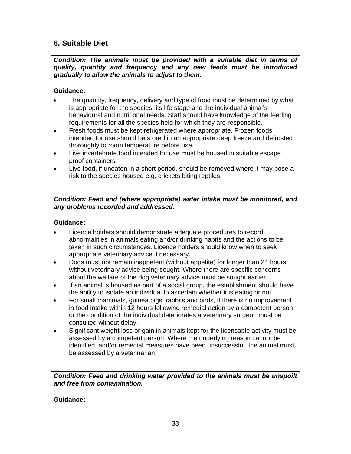# **6. Suitable Diet**

*Condition: The animals must be provided with a suitable diet in terms of quality, quantity and frequency and any new feeds must be introduced gradually to allow the animals to adjust to them.*

### **Guidance:**

- The quantity, frequency, delivery and type of food must be determined by what is appropriate for the species, its life stage and the individual animal's behavioural and nutritional needs. Staff should have knowledge of the feeding requirements for all the species held for which they are responsible.
- Fresh foods must be kept refrigerated where appropriate. Frozen foods intended for use should be stored in an appropriate deep freeze and defrosted thoroughly to room temperature before use.
- Live invertebrate food intended for use must be housed in suitable escape proof containers.
- Live food, if uneaten in a short period, should be removed where it may pose a risk to the species housed e.g. crickets biting reptiles.

### *Condition: Feed and (where appropriate) water intake must be monitored, and any problems recorded and addressed.*

### **Guidance:**

- Licence holders should demonstrate adequate procedures to record abnormalities in animals eating and/or drinking habits and the actions to be taken in such circumstances. Licence holders should know when to seek appropriate veterinary advice if necessary.
- Dogs must not remain inappetent (without appetite) for longer than 24 hours without veterinary advice being sought. Where there are specific concerns about the welfare of the dog veterinary advice must be sought earlier.
- If an animal is housed as part of a social group, the establishment should have the ability to isolate an individual to ascertain whether it is eating or not.
- For small mammals, guinea pigs, rabbits and birds, if there is no improvement in food intake within 12 hours following remedial action by a competent person or the condition of the individual deteriorates a veterinary surgeon must be consulted without delay.
- Significant weight loss or gain in animals kept for the licensable activity must be assessed by a competent person. Where the underlying reason cannot be identified, and/or remedial measures have been unsuccessful, the animal must be assessed by a veterinarian.

*Condition: Feed and drinking water provided to the animals must be unspoilt and free from contamination.* 

### **Guidance:**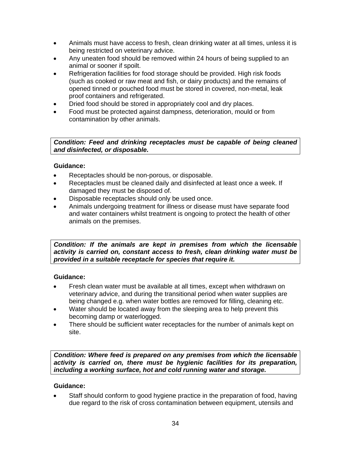- Animals must have access to fresh, clean drinking water at all times, unless it is being restricted on veterinary advice.
- Any uneaten food should be removed within 24 hours of being supplied to an animal or sooner if spoilt.
- Refrigeration facilities for food storage should be provided. High risk foods (such as cooked or raw meat and fish, or dairy products) and the remains of opened tinned or pouched food must be stored in covered, non-metal, leak proof containers and refrigerated.
- Dried food should be stored in appropriately cool and dry places.
- Food must be protected against dampness, deterioration, mould or from contamination by other animals.

*Condition: Feed and drinking receptacles must be capable of being cleaned and disinfected, or disposable.* 

### **Guidance:**

- Receptacles should be non-porous, or disposable.
- Receptacles must be cleaned daily and disinfected at least once a week. If damaged they must be disposed of.
- Disposable receptacles should only be used once.
- Animals undergoing treatment for illness or disease must have separate food and water containers whilst treatment is ongoing to protect the health of other animals on the premises.

*Condition: If the animals are kept in premises from which the licensable activity is carried on, constant access to fresh, clean drinking water must be provided in a suitable receptacle for species that require it.* 

#### **Guidance:**

- Fresh clean water must be available at all times, except when withdrawn on veterinary advice, and during the transitional period when water supplies are being changed e.g. when water bottles are removed for filling, cleaning etc.
- Water should be located away from the sleeping area to help prevent this becoming damp or waterlogged.
- There should be sufficient water receptacles for the number of animals kept on site.

*Condition: Where feed is prepared on any premises from which the licensable activity is carried on, there must be hygienic facilities for its preparation, including a working surface, hot and cold running water and storage.* 

### **Guidance:**

 Staff should conform to good hygiene practice in the preparation of food, having due regard to the risk of cross contamination between equipment, utensils and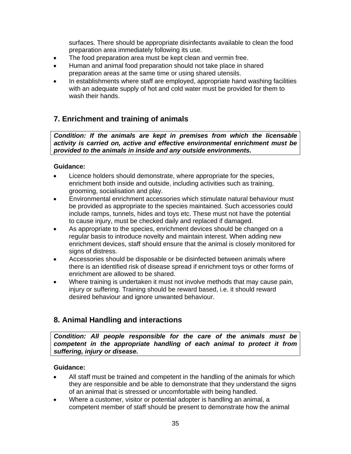surfaces. There should be appropriate disinfectants available to clean the food preparation area immediately following its use.

- The food preparation area must be kept clean and vermin free.
- Human and animal food preparation should not take place in shared preparation areas at the same time or using shared utensils.
- In establishments where staff are employed, appropriate hand washing facilities with an adequate supply of hot and cold water must be provided for them to wash their hands.

# **7. Enrichment and training of animals**

*Condition: If the animals are kept in premises from which the licensable activity is carried on, active and effective environmental enrichment must be provided to the animals in inside and any outside environments.* 

### **Guidance:**

- Licence holders should demonstrate, where appropriate for the species, enrichment both inside and outside, including activities such as training, grooming, socialisation and play.
- Environmental enrichment accessories which stimulate natural behaviour must be provided as appropriate to the species maintained. Such accessories could include ramps, tunnels, hides and toys etc. These must not have the potential to cause injury, must be checked daily and replaced if damaged.
- As appropriate to the species, enrichment devices should be changed on a regular basis to introduce novelty and maintain interest. When adding new enrichment devices, staff should ensure that the animal is closely monitored for signs of distress.
- Accessories should be disposable or be disinfected between animals where there is an identified risk of disease spread if enrichment toys or other forms of enrichment are allowed to be shared.
- Where training is undertaken it must not involve methods that may cause pain, injury or suffering. Training should be reward based, i.e. it should reward desired behaviour and ignore unwanted behaviour.

# **8. Animal Handling and interactions**

*Condition: All people responsible for the care of the animals must be competent in the appropriate handling of each animal to protect it from suffering, injury or disease.* 

### **Guidance:**

- All staff must be trained and competent in the handling of the animals for which they are responsible and be able to demonstrate that they understand the signs of an animal that is stressed or uncomfortable with being handled.
- Where a customer, visitor or potential adopter is handling an animal, a competent member of staff should be present to demonstrate how the animal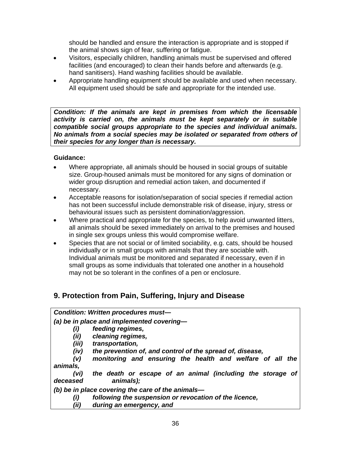should be handled and ensure the interaction is appropriate and is stopped if the animal shows sign of fear, suffering or fatigue.

- Visitors, especially children, handling animals must be supervised and offered facilities (and encouraged) to clean their hands before and afterwards (e.g. hand sanitisers). Hand washing facilities should be available.
- Appropriate handling equipment should be available and used when necessary. All equipment used should be safe and appropriate for the intended use.

*Condition: If the animals are kept in premises from which the licensable activity is carried on, the animals must be kept separately or in suitable compatible social groups appropriate to the species and individual animals. No animals from a social species may be isolated or separated from others of their species for any longer than is necessary.* 

### **Guidance:**

- Where appropriate, all animals should be housed in social groups of suitable size. Group-housed animals must be monitored for any signs of domination or wider group disruption and remedial action taken, and documented if necessary.
- Acceptable reasons for isolation/separation of social species if remedial action has not been successful include demonstrable risk of disease, injury, stress or behavioural issues such as persistent domination/aggression.
- Where practical and appropriate for the species, to help avoid unwanted litters, all animals should be sexed immediately on arrival to the premises and housed in single sex groups unless this would compromise welfare.
- Species that are not social or of limited sociability, e.g. cats, should be housed individually or in small groups with animals that they are sociable with. Individual animals must be monitored and separated if necessary, even if in small groups as some individuals that tolerated one another in a household may not be so tolerant in the confines of a pen or enclosure.

# **9. Protection from Pain, Suffering, Injury and Disease**

### *Condition: Written procedures must—*

*(a) be in place and implemented covering—* 

- *(i) feeding regimes,*
- *(ii) cleaning regimes,*
- *(iii) transportation,*
- *(iv) the prevention of, and control of the spread of, disease,*

 *(v) monitoring and ensuring the health and welfare of all the animals,* 

 *(vi) the death or escape of an animal (including the storage of deceased animals);* 

*(b) be in place covering the care of the animals—* 

- *(i) following the suspension or revocation of the licence,*
- *(ii) during an emergency, and*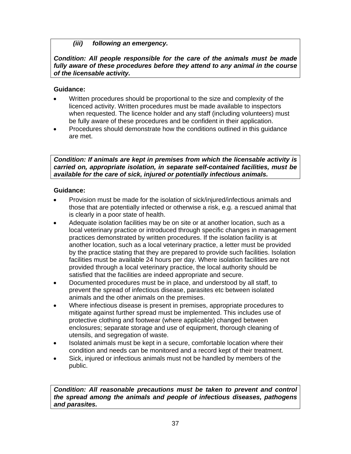## *(iii) following an emergency.*

*Condition: All people responsible for the care of the animals must be made fully aware of these procedures before they attend to any animal in the course of the licensable activity.* 

## **Guidance:**

- Written procedures should be proportional to the size and complexity of the licenced activity. Written procedures must be made available to inspectors when requested. The licence holder and any staff (including volunteers) must be fully aware of these procedures and be confident in their application.
- Procedures should demonstrate how the conditions outlined in this guidance are met.

*Condition: If animals are kept in premises from which the licensable activity is carried on, appropriate isolation, in separate self-contained facilities, must be available for the care of sick, injured or potentially infectious animals.*

## **Guidance:**

- Provision must be made for the isolation of sick/injured/infectious animals and those that are potentially infected or otherwise a risk, e.g. a rescued animal that is clearly in a poor state of health.
- Adequate isolation facilities may be on site or at another location, such as a local veterinary practice or introduced through specific changes in management practices demonstrated by written procedures. If the isolation facility is at another location, such as a local veterinary practice, a letter must be provided by the practice stating that they are prepared to provide such facilities. Isolation facilities must be available 24 hours per day. Where isolation facilities are not provided through a local veterinary practice, the local authority should be satisfied that the facilities are indeed appropriate and secure.
- Documented procedures must be in place, and understood by all staff, to prevent the spread of infectious disease, parasites etc between isolated animals and the other animals on the premises.
- Where infectious disease is present in premises, appropriate procedures to mitigate against further spread must be implemented. This includes use of protective clothing and footwear (where applicable) changed between enclosures; separate storage and use of equipment, thorough cleaning of utensils, and segregation of waste.
- Isolated animals must be kept in a secure, comfortable location where their condition and needs can be monitored and a record kept of their treatment.
- Sick, injured or infectious animals must not be handled by members of the public.

*Condition: All reasonable precautions must be taken to prevent and control the spread among the animals and people of infectious diseases, pathogens and parasites.*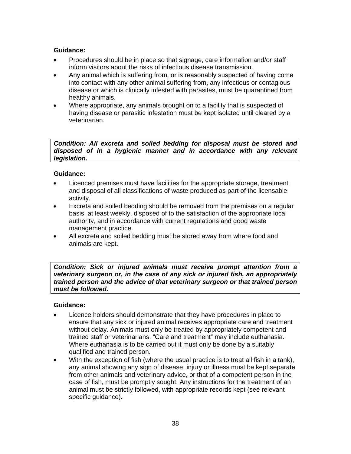## **Guidance:**

- Procedures should be in place so that signage, care information and/or staff inform visitors about the risks of infectious disease transmission.
- Any animal which is suffering from, or is reasonably suspected of having come into contact with any other animal suffering from, any infectious or contagious disease or which is clinically infested with parasites, must be quarantined from healthy animals.
- Where appropriate, any animals brought on to a facility that is suspected of having disease or parasitic infestation must be kept isolated until cleared by a veterinarian.

*Condition: All excreta and soiled bedding for disposal must be stored and disposed of in a hygienic manner and in accordance with any relevant legislation.* 

## **Guidance:**

- Licenced premises must have facilities for the appropriate storage, treatment and disposal of all classifications of waste produced as part of the licensable activity.
- Excreta and soiled bedding should be removed from the premises on a regular basis, at least weekly, disposed of to the satisfaction of the appropriate local authority, and in accordance with current regulations and good waste management practice.
- All excreta and soiled bedding must be stored away from where food and animals are kept.

*Condition: Sick or injured animals must receive prompt attention from a veterinary surgeon or, in the case of any sick or injured fish, an appropriately trained person and the advice of that veterinary surgeon or that trained person must be followed.* 

- Licence holders should demonstrate that they have procedures in place to ensure that any sick or injured animal receives appropriate care and treatment without delay. Animals must only be treated by appropriately competent and trained staff or veterinarians. "Care and treatment" may include euthanasia. Where euthanasia is to be carried out it must only be done by a suitably qualified and trained person.
- With the exception of fish (where the usual practice is to treat all fish in a tank), any animal showing any sign of disease, injury or illness must be kept separate from other animals and veterinary advice, or that of a competent person in the case of fish, must be promptly sought. Any instructions for the treatment of an animal must be strictly followed, with appropriate records kept (see relevant specific guidance).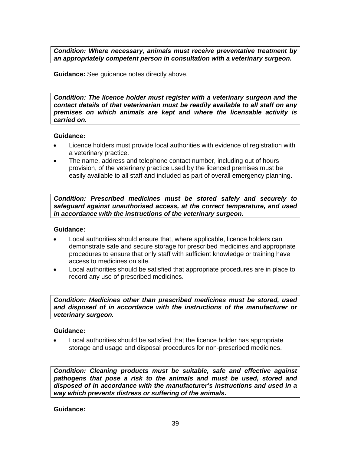*Condition: Where necessary, animals must receive preventative treatment by an appropriately competent person in consultation with a veterinary surgeon.* 

**Guidance:** See guidance notes directly above.

*Condition: The licence holder must register with a veterinary surgeon and the contact details of that veterinarian must be readily available to all staff on any premises on which animals are kept and where the licensable activity is carried on.* 

## **Guidance:**

- Licence holders must provide local authorities with evidence of registration with a veterinary practice.
- The name, address and telephone contact number, including out of hours provision, of the veterinary practice used by the licenced premises must be easily available to all staff and included as part of overall emergency planning.

*Condition: Prescribed medicines must be stored safely and securely to safeguard against unauthorised access, at the correct temperature, and used in accordance with the instructions of the veterinary surgeon.* 

## **Guidance:**

- Local authorities should ensure that, where applicable, licence holders can demonstrate safe and secure storage for prescribed medicines and appropriate procedures to ensure that only staff with sufficient knowledge or training have access to medicines on site.
- Local authorities should be satisfied that appropriate procedures are in place to record any use of prescribed medicines.

*Condition: Medicines other than prescribed medicines must be stored, used and disposed of in accordance with the instructions of the manufacturer or veterinary surgeon.* 

## **Guidance:**

 Local authorities should be satisfied that the licence holder has appropriate storage and usage and disposal procedures for non-prescribed medicines.

*Condition: Cleaning products must be suitable, safe and effective against pathogens that pose a risk to the animals and must be used, stored and disposed of in accordance with the manufacturer's instructions and used in a way which prevents distress or suffering of the animals.*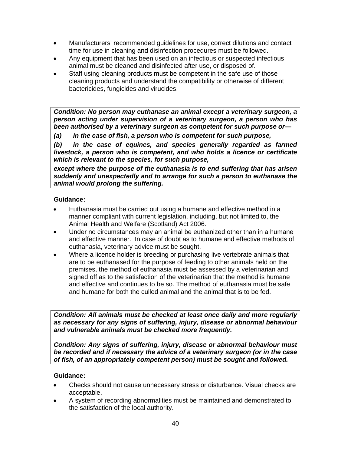- Manufacturers' recommended guidelines for use, correct dilutions and contact time for use in cleaning and disinfection procedures must be followed.
- Any equipment that has been used on an infectious or suspected infectious animal must be cleaned and disinfected after use, or disposed of.
- Staff using cleaning products must be competent in the safe use of those cleaning products and understand the compatibility or otherwise of different bactericides, fungicides and virucides.

*Condition: No person may euthanase an animal except a veterinary surgeon, a person acting under supervision of a veterinary surgeon, a person who has been authorised by a veterinary surgeon as competent for such purpose or***—**

*(a) in the case of fish, a person who is competent for such purpose,* 

*(b) in the case of equines, and species generally regarded as farmed livestock, a person who is competent, and who holds a licence or certificate which is relevant to the species, for such purpose,* 

*except where the purpose of the euthanasia is to end suffering that has arisen suddenly and unexpectedly and to arrange for such a person to euthanase the animal would prolong the suffering.* 

## **Guidance:**

- Euthanasia must be carried out using a humane and effective method in a manner compliant with current legislation, including, but not limited to, the Animal Health and Welfare (Scotland) Act 2006.
- Under no circumstances may an animal be euthanized other than in a humane and effective manner. In case of doubt as to humane and effective methods of euthanasia, veterinary advice must be sought.
- Where a licence holder is breeding or purchasing live vertebrate animals that are to be euthanased for the purpose of feeding to other animals held on the premises, the method of euthanasia must be assessed by a veterinarian and signed off as to the satisfaction of the veterinarian that the method is humane and effective and continues to be so. The method of euthanasia must be safe and humane for both the culled animal and the animal that is to be fed.

*Condition: All animals must be checked at least once daily and more regularly as necessary for any signs of suffering, injury, disease or abnormal behaviour and vulnerable animals must be checked more frequently.* 

*Condition: Any signs of suffering, injury, disease or abnormal behaviour must be recorded and if necessary the advice of a veterinary surgeon (or in the case of fish, of an appropriately competent person) must be sought and followed.*

- Checks should not cause unnecessary stress or disturbance. Visual checks are acceptable.
- A system of recording abnormalities must be maintained and demonstrated to the satisfaction of the local authority.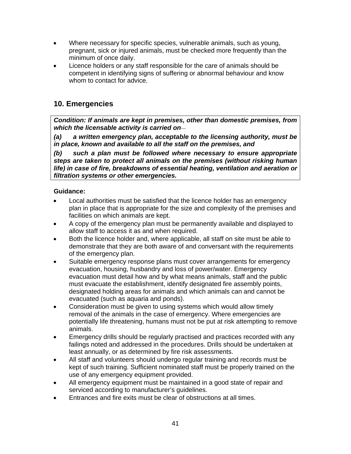- Where necessary for specific species, vulnerable animals, such as young, pregnant, sick or injured animals, must be checked more frequently than the minimum of once daily.
- Licence holders or any staff responsible for the care of animals should be competent in identifying signs of suffering or abnormal behaviour and know whom to contact for advice.

# **10. Emergencies**

*Condition: If animals are kept in premises, other than domestic premises, from which the licensable activity is carried on*—

*(a) a written emergency plan, acceptable to the licensing authority, must be in place, known and available to all the staff on the premises, and* 

*(b) such a plan must be followed where necessary to ensure appropriate steps are taken to protect all animals on the premises (without risking human life) in case of fire, breakdowns of essential heating, ventilation and aeration or filtration systems or other emergencies.* 

- Local authorities must be satisfied that the licence holder has an emergency plan in place that is appropriate for the size and complexity of the premises and facilities on which animals are kept.
- A copy of the emergency plan must be permanently available and displayed to allow staff to access it as and when required.
- Both the licence holder and, where applicable, all staff on site must be able to demonstrate that they are both aware of and conversant with the requirements of the emergency plan.
- Suitable emergency response plans must cover arrangements for emergency evacuation, housing, husbandry and loss of power/water. Emergency evacuation must detail how and by what means animals, staff and the public must evacuate the establishment, identify designated fire assembly points, designated holding areas for animals and which animals can and cannot be evacuated (such as aquaria and ponds).
- Consideration must be given to using systems which would allow timely removal of the animals in the case of emergency. Where emergencies are potentially life threatening, humans must not be put at risk attempting to remove animals.
- Emergency drills should be regularly practised and practices recorded with any failings noted and addressed in the procedures. Drills should be undertaken at least annually, or as determined by fire risk assessments.
- All staff and volunteers should undergo regular training and records must be kept of such training. Sufficient nominated staff must be properly trained on the use of any emergency equipment provided.
- All emergency equipment must be maintained in a good state of repair and serviced according to manufacturer's guidelines.
- Entrances and fire exits must be clear of obstructions at all times.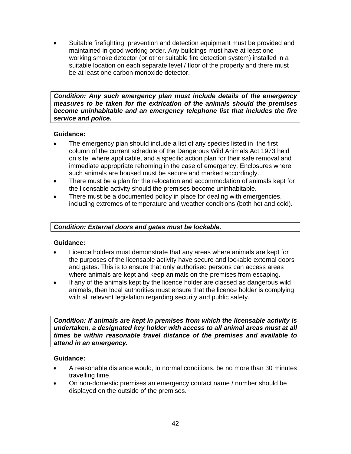Suitable firefighting, prevention and detection equipment must be provided and maintained in good working order. Any buildings must have at least one working smoke detector (or other suitable fire detection system) installed in a suitable location on each separate level / floor of the property and there must be at least one carbon monoxide detector.

*Condition: Any such emergency plan must include details of the emergency measures to be taken for the extrication of the animals should the premises become uninhabitable and an emergency telephone list that includes the fire service and police.*

## **Guidance:**

- The emergency plan should include a list of any species listed in the first column of the current schedule of the Dangerous Wild Animals Act 1973 held on site, where applicable, and a specific action plan for their safe removal and immediate appropriate rehoming in the case of emergency. Enclosures where such animals are housed must be secure and marked accordingly.
- There must be a plan for the relocation and accommodation of animals kept for the licensable activity should the premises become uninhabitable.
- There must be a documented policy in place for dealing with emergencies, including extremes of temperature and weather conditions (both hot and cold).

## *Condition: External doors and gates must be lockable.*

## **Guidance:**

- Licence holders must demonstrate that any areas where animals are kept for the purposes of the licensable activity have secure and lockable external doors and gates. This is to ensure that only authorised persons can access areas where animals are kept and keep animals on the premises from escaping.
- If any of the animals kept by the licence holder are classed as dangerous wild animals, then local authorities must ensure that the licence holder is complying with all relevant legislation regarding security and public safety.

*Condition: If animals are kept in premises from which the licensable activity is undertaken, a designated key holder with access to all animal areas must at all times be within reasonable travel distance of the premises and available to attend in an emergency.* 

- A reasonable distance would, in normal conditions, be no more than 30 minutes travelling time.
- On non-domestic premises an emergency contact name / number should be displayed on the outside of the premises.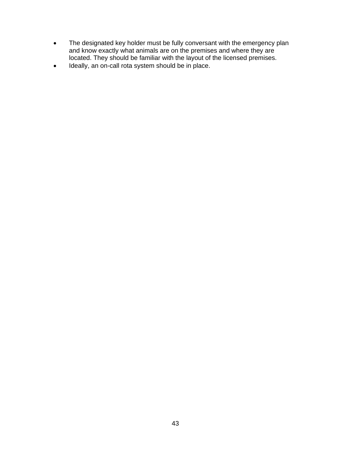- The designated key holder must be fully conversant with the emergency plan and know exactly what animals are on the premises and where they are located. They should be familiar with the layout of the licensed premises.
- Ideally, an on-call rota system should be in place.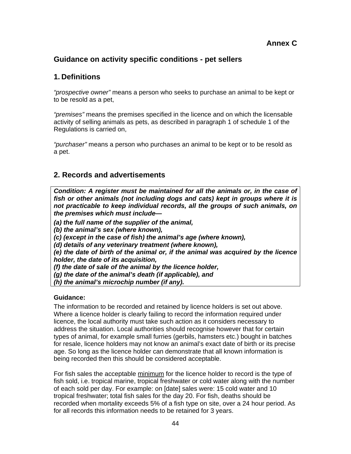# **Guidance on activity specific conditions - pet sellers**

# **1. Definitions**

*"prospective owner"* means a person who seeks to purchase an animal to be kept or to be resold as a pet,

*"premises"* means the premises specified in the licence and on which the licensable activity of selling animals as pets, as described in paragraph 1 of schedule 1 of the Regulations is carried on,

*"purchaser"* means a person who purchases an animal to be kept or to be resold as a pet.

# **2. Records and advertisements**

*Condition: A register must be maintained for all the animals or, in the case of fish or other animals (not including dogs and cats) kept in groups where it is not practicable to keep individual records, all the groups of such animals, on the premises which must include—* 

*(a) the full name of the supplier of the animal,* 

*(b) the animal's sex (where known),* 

*(c) (except in the case of fish) the animal's age (where known),* 

*(d) details of any veterinary treatment (where known),* 

*(e) the date of birth of the animal or, if the animal was acquired by the licence holder, the date of its acquisition,* 

*(f) the date of sale of the animal by the licence holder,* 

*(g) the date of the animal's death (if applicable), and* 

*(h) the animal's microchip number (if any).*

## **Guidance:**

The information to be recorded and retained by licence holders is set out above. Where a licence holder is clearly failing to record the information required under licence, the local authority must take such action as it considers necessary to address the situation. Local authorities should recognise however that for certain types of animal, for example small furries (gerbils, hamsters etc.) bought in batches for resale, licence holders may not know an animal's exact date of birth or its precise age. So long as the licence holder can demonstrate that all known information is being recorded then this should be considered acceptable.

For fish sales the acceptable minimum for the licence holder to record is the type of fish sold, i.e. tropical marine, tropical freshwater or cold water along with the number of each sold per day. For example: on [date] sales were: 15 cold water and 10 tropical freshwater; total fish sales for the day 20. For fish, deaths should be recorded when mortality exceeds 5% of a fish type on site, over a 24 hour period. As for all records this information needs to be retained for 3 years.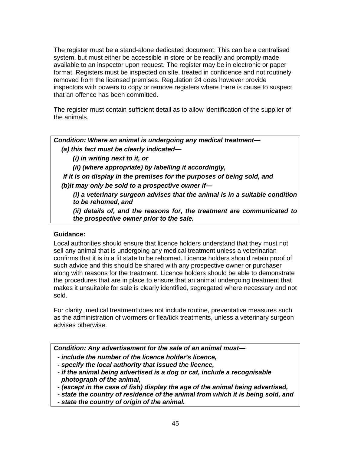The register must be a stand-alone dedicated document. This can be a centralised system, but must either be accessible in store or be readily and promptly made available to an inspector upon request. The register may be in electronic or paper format. Registers must be inspected on site, treated in confidence and not routinely removed from the licensed premises. Regulation 24 does however provide inspectors with powers to copy or remove registers where there is cause to suspect that an offence has been committed.

The register must contain sufficient detail as to allow identification of the supplier of the animals.

*Condition: Where an animal is undergoing any medical treatment— (a) this fact must be clearly indicated—* 

 *(i) in writing next to it, or* 

 *(ii) (where appropriate) by labelling it accordingly,* 

 *if it is on display in the premises for the purposes of being sold, and (b)it may only be sold to a prospective owner if—* 

 *(i) a veterinary surgeon advises that the animal is in a suitable condition to be rehomed, and* 

 *(ii) details of, and the reasons for, the treatment are communicated to the prospective owner prior to the sale.* 

## **Guidance:**

Local authorities should ensure that licence holders understand that they must not sell any animal that is undergoing any medical treatment unless a veterinarian confirms that it is in a fit state to be rehomed. Licence holders should retain proof of such advice and this should be shared with any prospective owner or purchaser along with reasons for the treatment. Licence holders should be able to demonstrate the procedures that are in place to ensure that an animal undergoing treatment that makes it unsuitable for sale is clearly identified, segregated where necessary and not sold.

For clarity, medical treatment does not include routine, preventative measures such as the administration of wormers or flea/tick treatments, unless a veterinary surgeon advises otherwise.

*Condition: Any advertisement for the sale of an animal must—* 

- *include the number of the licence holder's licence,*
- *specify the local authority that issued the licence,*
- *if the animal being advertised is a dog or cat, include a recognisable photograph of the animal,*
- *(except in the case of fish) display the age of the animal being advertised,*
- *state the country of residence of the animal from which it is being sold, and*
- *state the country of origin of the animal.*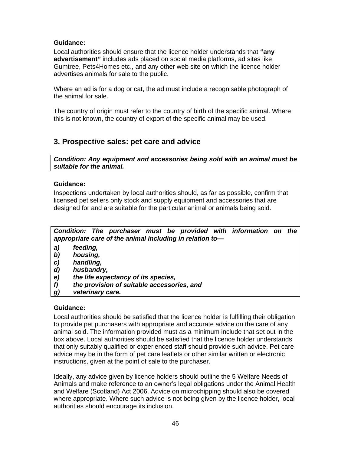## **Guidance:**

Local authorities should ensure that the licence holder understands that **"any advertisement"** includes ads placed on social media platforms, ad sites like Gumtree, Pets4Homes etc., and any other web site on which the licence holder advertises animals for sale to the public.

Where an ad is for a dog or cat, the ad must include a recognisable photograph of the animal for sale.

The country of origin must refer to the country of birth of the specific animal. Where this is not known, the country of export of the specific animal may be used.

# **3. Prospective sales: pet care and advice**

*Condition: Any equipment and accessories being sold with an animal must be suitable for the animal.* 

## **Guidance:**

Inspections undertaken by local authorities should, as far as possible, confirm that licensed pet sellers only stock and supply equipment and accessories that are designed for and are suitable for the particular animal or animals being sold.



- *a) feeding,*
- *b) housing,*
- *c) handling,*
- *d) husbandry,*
- *e) the life expectancy of its species,*
- *f) the provision of suitable accessories, and*
- *g) veterinary care.*

## **Guidance:**

Local authorities should be satisfied that the licence holder is fulfilling their obligation to provide pet purchasers with appropriate and accurate advice on the care of any animal sold. The information provided must as a minimum include that set out in the box above. Local authorities should be satisfied that the licence holder understands that only suitably qualified or experienced staff should provide such advice. Pet care advice may be in the form of pet care leaflets or other similar written or electronic instructions, given at the point of sale to the purchaser.

Ideally, any advice given by licence holders should outline the 5 Welfare Needs of Animals and make reference to an owner's legal obligations under the Animal Health and Welfare (Scotland) Act 2006. Advice on microchipping should also be covered where appropriate. Where such advice is not being given by the licence holder, local authorities should encourage its inclusion.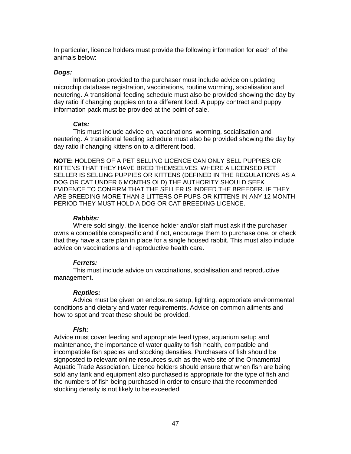In particular, licence holders must provide the following information for each of the animals below:

#### *Dogs:*

 Information provided to the purchaser must include advice on updating microchip database registration, vaccinations, routine worming, socialisation and neutering. A transitional feeding schedule must also be provided showing the day by day ratio if changing puppies on to a different food. A puppy contract and puppy information pack must be provided at the point of sale.

## *Cats:*

 This must include advice on, vaccinations, worming, socialisation and neutering. A transitional feeding schedule must also be provided showing the day by day ratio if changing kittens on to a different food.

**NOTE:** HOLDERS OF A PET SELLING LICENCE CAN ONLY SELL PUPPIES OR KITTENS THAT THEY HAVE BRED THEMSELVES. WHERE A LICENSED PET SELLER IS SELLING PUPPIES OR KITTENS (DEFINED IN THE REGULATIONS AS A DOG OR CAT UNDER 6 MONTHS OLD) THE AUTHORITY SHOULD SEEK EVIDENCE TO CONFIRM THAT THE SELLER IS INDEED THE BREEDER. IF THEY ARE BREEDING MORE THAN 3 LITTERS OF PUPS OR KITTENS IN ANY 12 MONTH PERIOD THEY MUST HOLD A DOG OR CAT BREEDING LICENCE.

#### *Rabbits:*

 Where sold singly, the licence holder and/or staff must ask if the purchaser owns a compatible conspecific and if not, encourage them to purchase one, or check that they have a care plan in place for a single housed rabbit. This must also include advice on vaccinations and reproductive health care.

## *Ferrets:*

 This must include advice on vaccinations, socialisation and reproductive management.

## *Reptiles:*

 Advice must be given on enclosure setup, lighting, appropriate environmental conditions and dietary and water requirements. Advice on common ailments and how to spot and treat these should be provided.

## *Fish:*

Advice must cover feeding and appropriate feed types, aquarium setup and maintenance, the importance of water quality to fish health, compatible and incompatible fish species and stocking densities. Purchasers of fish should be signposted to relevant online resources such as the web site of the Ornamental Aquatic Trade Association. Licence holders should ensure that when fish are being sold any tank and equipment also purchased is appropriate for the type of fish and the numbers of fish being purchased in order to ensure that the recommended stocking density is not likely to be exceeded.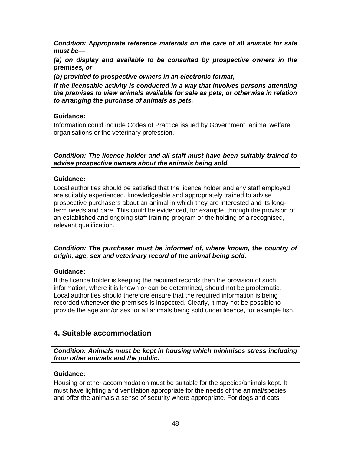*Condition: Appropriate reference materials on the care of all animals for sale must be—* 

*(a) on display and available to be consulted by prospective owners in the premises, or* 

*(b) provided to prospective owners in an electronic format,* 

*if the licensable activity is conducted in a way that involves persons attending the premises to view animals available for sale as pets, or otherwise in relation to arranging the purchase of animals as pets.* 

## **Guidance:**

Information could include Codes of Practice issued by Government, animal welfare organisations or the veterinary profession.

*Condition: The licence holder and all staff must have been suitably trained to advise prospective owners about the animals being sold.* 

## **Guidance:**

Local authorities should be satisfied that the licence holder and any staff employed are suitably experienced, knowledgeable and appropriately trained to advise prospective purchasers about an animal in which they are interested and its longterm needs and care. This could be evidenced, for example, through the provision of an established and ongoing staff training program or the holding of a recognised, relevant qualification.

*Condition: The purchaser must be informed of, where known, the country of origin, age, sex and veterinary record of the animal being sold.* 

## **Guidance:**

If the licence holder is keeping the required records then the provision of such information, where it is known or can be determined, should not be problematic. Local authorities should therefore ensure that the required information is being recorded whenever the premises is inspected. Clearly, it may not be possible to provide the age and/or sex for all animals being sold under licence, for example fish.

# **4. Suitable accommodation**

*Condition: Animals must be kept in housing which minimises stress including from other animals and the public.* 

## **Guidance:**

Housing or other accommodation must be suitable for the species/animals kept. It must have lighting and ventilation appropriate for the needs of the animal/species and offer the animals a sense of security where appropriate. For dogs and cats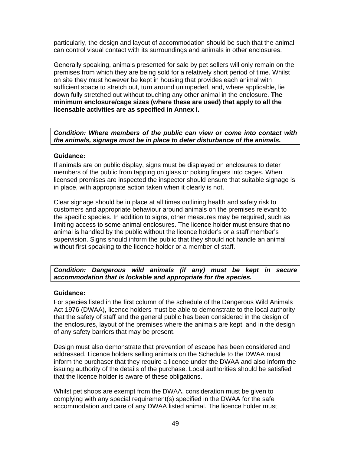particularly, the design and layout of accommodation should be such that the animal can control visual contact with its surroundings and animals in other enclosures.

Generally speaking, animals presented for sale by pet sellers will only remain on the premises from which they are being sold for a relatively short period of time. Whilst on site they must however be kept in housing that provides each animal with sufficient space to stretch out, turn around unimpeded, and, where applicable, lie down fully stretched out without touching any other animal in the enclosure. **The minimum enclosure/cage sizes (where these are used) that apply to all the licensable activities are as specified in Annex I.**

*Condition: Where members of the public can view or come into contact with the animals, signage must be in place to deter disturbance of the animals.* 

## **Guidance:**

If animals are on public display, signs must be displayed on enclosures to deter members of the public from tapping on glass or poking fingers into cages. When licensed premises are inspected the inspector should ensure that suitable signage is in place, with appropriate action taken when it clearly is not.

Clear signage should be in place at all times outlining health and safety risk to customers and appropriate behaviour around animals on the premises relevant to the specific species. In addition to signs, other measures may be required, such as limiting access to some animal enclosures. The licence holder must ensure that no animal is handled by the public without the licence holder's or a staff member's supervision. Signs should inform the public that they should not handle an animal without first speaking to the licence holder or a member of staff.

## *Condition: Dangerous wild animals (if any) must be kept in secure accommodation that is lockable and appropriate for the species.*

## **Guidance:**

For species listed in the first column of the schedule of the Dangerous Wild Animals Act 1976 (DWAA), licence holders must be able to demonstrate to the local authority that the safety of staff and the general public has been considered in the design of the enclosures, layout of the premises where the animals are kept, and in the design of any safety barriers that may be present.

Design must also demonstrate that prevention of escape has been considered and addressed. Licence holders selling animals on the Schedule to the DWAA must inform the purchaser that they require a licence under the DWAA and also inform the issuing authority of the details of the purchase. Local authorities should be satisfied that the licence holder is aware of these obligations.

Whilst pet shops are exempt from the DWAA, consideration must be given to complying with any special requirement(s) specified in the DWAA for the safe accommodation and care of any DWAA listed animal. The licence holder must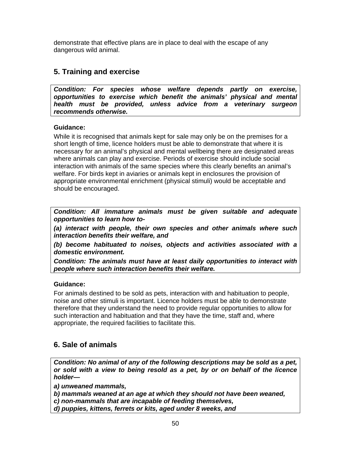demonstrate that effective plans are in place to deal with the escape of any dangerous wild animal.

# **5. Training and exercise**

*Condition: For species whose welfare depends partly on exercise, opportunities to exercise which benefit the animals' physical and mental health must be provided, unless advice from a veterinary surgeon recommends otherwise.* 

## **Guidance:**

While it is recognised that animals kept for sale may only be on the premises for a short length of time, licence holders must be able to demonstrate that where it is necessary for an animal's physical and mental wellbeing there are designated areas where animals can play and exercise. Periods of exercise should include social interaction with animals of the same species where this clearly benefits an animal's welfare. For birds kept in aviaries or animals kept in enclosures the provision of appropriate environmental enrichment (physical stimuli) would be acceptable and should be encouraged.

*Condition: All immature animals must be given suitable and adequate opportunities to learn how to-* 

*(a) interact with people, their own species and other animals where such interaction benefits their welfare, and* 

*(b) become habituated to noises, objects and activities associated with a domestic environment.* 

*Condition: The animals must have at least daily opportunities to interact with people where such interaction benefits their welfare.* 

## **Guidance:**

For animals destined to be sold as pets, interaction with and habituation to people, noise and other stimuli is important. Licence holders must be able to demonstrate therefore that they understand the need to provide regular opportunities to allow for such interaction and habituation and that they have the time, staff and, where appropriate, the required facilities to facilitate this.

# **6. Sale of animals**

*Condition: No animal of any of the following descriptions may be sold as a pet, or sold with a view to being resold as a pet, by or on behalf of the licence holder—* 

*a) unweaned mammals,* 

*b) mammals weaned at an age at which they should not have been weaned,* 

*c) non-mammals that are incapable of feeding themselves,* 

*d) puppies, kittens, ferrets or kits, aged under 8 weeks, and*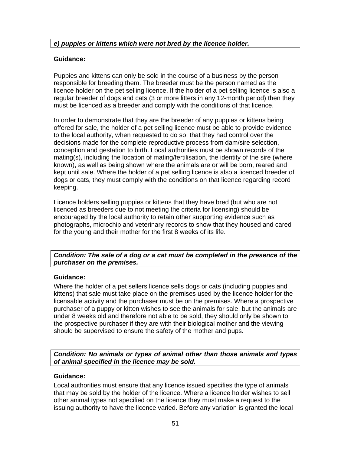## *e) puppies or kittens which were not bred by the licence holder.*

## **Guidance:**

Puppies and kittens can only be sold in the course of a business by the person responsible for breeding them. The breeder must be the person named as the licence holder on the pet selling licence. If the holder of a pet selling licence is also a regular breeder of dogs and cats (3 or more litters in any 12-month period) then they must be licenced as a breeder and comply with the conditions of that licence.

In order to demonstrate that they are the breeder of any puppies or kittens being offered for sale, the holder of a pet selling licence must be able to provide evidence to the local authority, when requested to do so, that they had control over the decisions made for the complete reproductive process from dam/sire selection, conception and gestation to birth. Local authorities must be shown records of the mating(s), including the location of mating/fertilisation, the identity of the sire (where known), as well as being shown where the animals are or will be born, reared and kept until sale. Where the holder of a pet selling licence is also a licenced breeder of dogs or cats, they must comply with the conditions on that licence regarding record keeping.

Licence holders selling puppies or kittens that they have bred (but who are not licenced as breeders due to not meeting the criteria for licensing) should be encouraged by the local authority to retain other supporting evidence such as photographs, microchip and veterinary records to show that they housed and cared for the young and their mother for the first 8 weeks of its life.

## *Condition: The sale of a dog or a cat must be completed in the presence of the purchaser on the premises.*

## **Guidance:**

Where the holder of a pet sellers licence sells dogs or cats (including puppies and kittens) that sale must take place on the premises used by the licence holder for the licensable activity and the purchaser must be on the premises. Where a prospective purchaser of a puppy or kitten wishes to see the animals for sale, but the animals are under 8 weeks old and therefore not able to be sold, they should only be shown to the prospective purchaser if they are with their biological mother and the viewing should be supervised to ensure the safety of the mother and pups.

*Condition: No animals or types of animal other than those animals and types of animal specified in the licence may be sold.* 

## **Guidance:**

Local authorities must ensure that any licence issued specifies the type of animals that may be sold by the holder of the licence. Where a licence holder wishes to sell other animal types not specified on the licence they must make a request to the issuing authority to have the licence varied. Before any variation is granted the local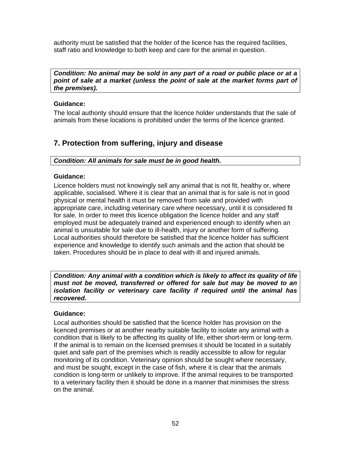authority must be satisfied that the holder of the licence has the required facilities, staff ratio and knowledge to both keep and care for the animal in question.

*Condition: No animal may be sold in any part of a road or public place or at a point of sale at a market (unless the point of sale at the market forms part of the premises).* 

## **Guidance:**

The local authority should ensure that the licence holder understands that the sale of animals from these locations is prohibited under the terms of the licence granted.

# **7. Protection from suffering, injury and disease**

*Condition: All animals for sale must be in good health.* 

## **Guidance:**

Licence holders must not knowingly sell any animal that is not fit, healthy or, where applicable, socialised. Where it is clear that an animal that is for sale is not in good physical or mental health it must be removed from sale and provided with appropriate care, including veterinary care where necessary, until it is considered fit for sale. In order to meet this licence obligation the licence holder and any staff employed must be adequately trained and experienced enough to identify when an animal is unsuitable for sale due to ill-health, injury or another form of suffering. Local authorities should therefore be satisfied that the licence holder has sufficient experience and knowledge to identify such animals and the action that should be taken. Procedures should be in place to deal with ill and injured animals.

*Condition: Any animal with a condition which is likely to affect its quality of life must not be moved, transferred or offered for sale but may be moved to an isolation facility or veterinary care facility if required until the animal has recovered.* 

## **Guidance:**

Local authorities should be satisfied that the licence holder has provision on the licenced premises or at another nearby suitable facility to isolate any animal with a condition that is likely to be affecting its quality of life, either short-term or long-term. If the animal is to remain on the licensed premises it should be located in a suitably quiet and safe part of the premises which is readily accessible to allow for regular monitoring of its condition. Veterinary opinion should be sought where necessary, and must be sought, except in the case of fish, where it is clear that the animals condition is long-term or unlikely to improve. If the animal requires to be transported to a veterinary facility then it should be done in a manner that minimises the stress on the animal.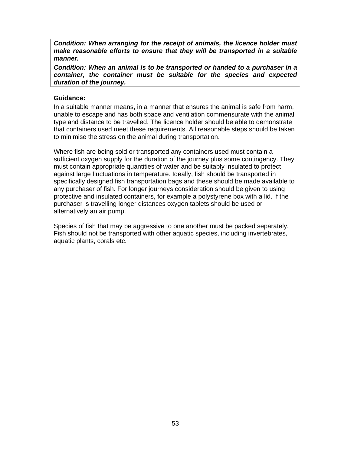*Condition: When arranging for the receipt of animals, the licence holder must make reasonable efforts to ensure that they will be transported in a suitable manner.* 

*Condition: When an animal is to be transported or handed to a purchaser in a container, the container must be suitable for the species and expected duration of the journey.* 

#### **Guidance:**

In a suitable manner means, in a manner that ensures the animal is safe from harm, unable to escape and has both space and ventilation commensurate with the animal type and distance to be travelled. The licence holder should be able to demonstrate that containers used meet these requirements. All reasonable steps should be taken to minimise the stress on the animal during transportation.

Where fish are being sold or transported any containers used must contain a sufficient oxygen supply for the duration of the journey plus some contingency. They must contain appropriate quantities of water and be suitably insulated to protect against large fluctuations in temperature. Ideally, fish should be transported in specifically designed fish transportation bags and these should be made available to any purchaser of fish. For longer journeys consideration should be given to using protective and insulated containers, for example a polystyrene box with a lid. If the purchaser is travelling longer distances oxygen tablets should be used or alternatively an air pump.

Species of fish that may be aggressive to one another must be packed separately. Fish should not be transported with other aquatic species, including invertebrates, aquatic plants, corals etc.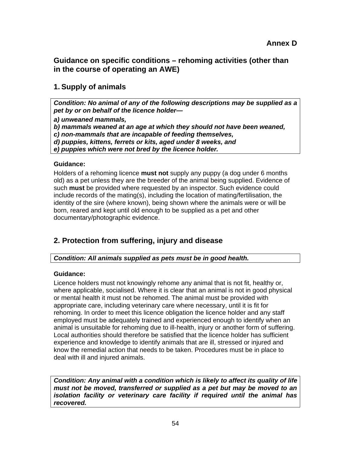**Guidance on specific conditions – rehoming activities (other than in the course of operating an AWE)** 

# **1. Supply of animals**

*Condition: No animal of any of the following descriptions may be supplied as a pet by or on behalf of the licence holder—* 

*a) unweaned mammals,* 

*b) mammals weaned at an age at which they should not have been weaned,* 

*c) non-mammals that are incapable of feeding themselves,* 

*d) puppies, kittens, ferrets or kits, aged under 8 weeks, and* 

*e) puppies which were not bred by the licence holder.* 

## **Guidance:**

Holders of a rehoming licence **must not** supply any puppy (a dog under 6 months old) as a pet unless they are the breeder of the animal being supplied. Evidence of such **must** be provided where requested by an inspector. Such evidence could include records of the mating(s), including the location of mating/fertilisation, the identity of the sire (where known), being shown where the animals were or will be born, reared and kept until old enough to be supplied as a pet and other documentary/photographic evidence.

# **2. Protection from suffering, injury and disease**

# *Condition: All animals supplied as pets must be in good health.*

## **Guidance:**

Licence holders must not knowingly rehome any animal that is not fit, healthy or, where applicable, socialised. Where it is clear that an animal is not in good physical or mental health it must not be rehomed. The animal must be provided with appropriate care, including veterinary care where necessary, until it is fit for rehoming. In order to meet this licence obligation the licence holder and any staff employed must be adequately trained and experienced enough to identify when an animal is unsuitable for rehoming due to ill-health, injury or another form of suffering. Local authorities should therefore be satisfied that the licence holder has sufficient experience and knowledge to identify animals that are ill, stressed or injured and know the remedial action that needs to be taken. Procedures must be in place to deal with ill and injured animals.

*Condition: Any animal with a condition which is likely to affect its quality of life must not be moved, transferred or supplied as a pet but may be moved to an isolation facility or veterinary care facility if required until the animal has recovered.*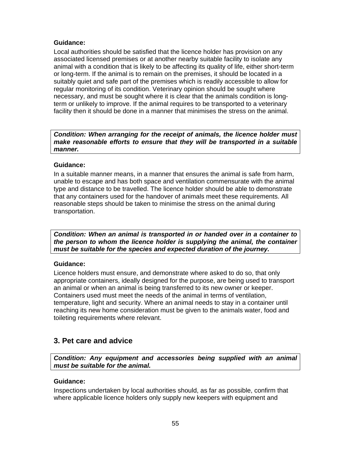## **Guidance:**

Local authorities should be satisfied that the licence holder has provision on any associated licensed premises or at another nearby suitable facility to isolate any animal with a condition that is likely to be affecting its quality of life, either short-term or long-term. If the animal is to remain on the premises, it should be located in a suitably quiet and safe part of the premises which is readily accessible to allow for regular monitoring of its condition. Veterinary opinion should be sought where necessary, and must be sought where it is clear that the animals condition is longterm or unlikely to improve. If the animal requires to be transported to a veterinary facility then it should be done in a manner that minimises the stress on the animal.

*Condition: When arranging for the receipt of animals, the licence holder must make reasonable efforts to ensure that they will be transported in a suitable manner.* 

## **Guidance:**

In a suitable manner means, in a manner that ensures the animal is safe from harm, unable to escape and has both space and ventilation commensurate with the animal type and distance to be travelled. The licence holder should be able to demonstrate that any containers used for the handover of animals meet these requirements. All reasonable steps should be taken to minimise the stress on the animal during transportation.

*Condition: When an animal is transported in or handed over in a container to the person to whom the licence holder is supplying the animal, the container must be suitable for the species and expected duration of the journey.* 

## **Guidance:**

Licence holders must ensure, and demonstrate where asked to do so, that only appropriate containers, ideally designed for the purpose, are being used to transport an animal or when an animal is being transferred to its new owner or keeper. Containers used must meet the needs of the animal in terms of ventilation, temperature, light and security. Where an animal needs to stay in a container until reaching its new home consideration must be given to the animals water, food and toileting requirements where relevant.

# **3. Pet care and advice**

*Condition: Any equipment and accessories being supplied with an animal must be suitable for the animal.* 

## **Guidance:**

Inspections undertaken by local authorities should, as far as possible, confirm that where applicable licence holders only supply new keepers with equipment and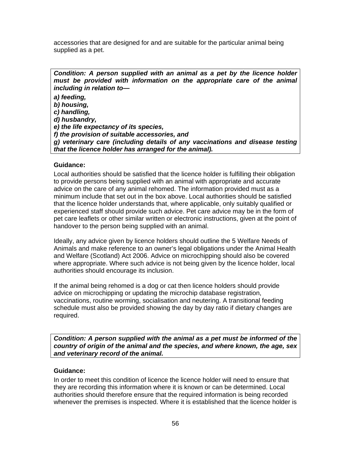accessories that are designed for and are suitable for the particular animal being supplied as a pet.

*Condition: A person supplied with an animal as a pet by the licence holder must be provided with information on the appropriate care of the animal including in relation to—* 

*a) feeding,* 

*b) housing,* 

*c) handling,* 

*d) husbandry,* 

*e) the life expectancy of its species,* 

*f) the provision of suitable accessories, and* 

*g) veterinary care (including details of any vaccinations and disease testing that the licence holder has arranged for the animal).* 

## **Guidance:**

Local authorities should be satisfied that the licence holder is fulfilling their obligation to provide persons being supplied with an animal with appropriate and accurate advice on the care of any animal rehomed. The information provided must as a minimum include that set out in the box above. Local authorities should be satisfied that the licence holder understands that, where applicable, only suitably qualified or experienced staff should provide such advice. Pet care advice may be in the form of pet care leaflets or other similar written or electronic instructions, given at the point of handover to the person being supplied with an animal.

Ideally, any advice given by licence holders should outline the 5 Welfare Needs of Animals and make reference to an owner's legal obligations under the Animal Health and Welfare (Scotland) Act 2006. Advice on microchipping should also be covered where appropriate. Where such advice is not being given by the licence holder, local authorities should encourage its inclusion.

If the animal being rehomed is a dog or cat then licence holders should provide advice on microchipping or updating the microchip database registration, vaccinations, routine worming, socialisation and neutering. A transitional feeding schedule must also be provided showing the day by day ratio if dietary changes are required.

*Condition: A person supplied with the animal as a pet must be informed of the country of origin of the animal and the species, and where known, the age, sex and veterinary record of the animal.* 

## **Guidance:**

In order to meet this condition of licence the licence holder will need to ensure that they are recording this information where it is known or can be determined. Local authorities should therefore ensure that the required information is being recorded whenever the premises is inspected. Where it is established that the licence holder is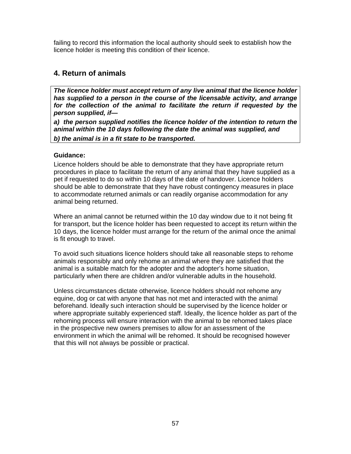failing to record this information the local authority should seek to establish how the licence holder is meeting this condition of their licence.

# **4. Return of animals**

*The licence holder must accept return of any live animal that the licence holder has supplied to a person in the course of the licensable activity, and arrange*  for the collection of the animal to facilitate the return if requested by the *person supplied, if—* 

*a) the person supplied notifies the licence holder of the intention to return the animal within the 10 days following the date the animal was supplied, and b) the animal is in a fit state to be transported.* 

## **Guidance:**

Licence holders should be able to demonstrate that they have appropriate return procedures in place to facilitate the return of any animal that they have supplied as a pet if requested to do so within 10 days of the date of handover. Licence holders should be able to demonstrate that they have robust contingency measures in place to accommodate returned animals or can readily organise accommodation for any animal being returned.

Where an animal cannot be returned within the 10 day window due to it not being fit for transport, but the licence holder has been requested to accept its return within the 10 days, the licence holder must arrange for the return of the animal once the animal is fit enough to travel.

To avoid such situations licence holders should take all reasonable steps to rehome animals responsibly and only rehome an animal where they are satisfied that the animal is a suitable match for the adopter and the adopter's home situation, particularly when there are children and/or vulnerable adults in the household.

Unless circumstances dictate otherwise, licence holders should not rehome any equine, dog or cat with anyone that has not met and interacted with the animal beforehand. Ideally such interaction should be supervised by the licence holder or where appropriate suitably experienced staff. Ideally, the licence holder as part of the rehoming process will ensure interaction with the animal to be rehomed takes place in the prospective new owners premises to allow for an assessment of the environment in which the animal will be rehomed. It should be recognised however that this will not always be possible or practical.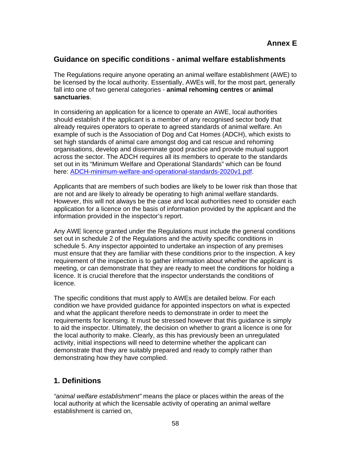# **Guidance on specific conditions - animal welfare establishments**

The Regulations require anyone operating an animal welfare establishment (AWE) to be licensed by the local authority. Essentially, AWEs will, for the most part, generally fall into one of two general categories - **animal rehoming centres** or **animal sanctuaries**.

In considering an application for a licence to operate an AWE, local authorities should establish if the applicant is a member of any recognised sector body that already requires operators to operate to agreed standards of animal welfare. An example of such is the Association of Dog and Cat Homes (ADCH), which exists to set high standards of animal care amongst dog and cat rescue and rehoming organisations, develop and disseminate good practice and provide mutual support across the sector. The ADCH requires all its members to operate to the standards set out in its "Minimum Welfare and Operational Standards" which can be found here: ADCH-minimum-welfare-and-operational-standards-2020v1.pdf.

Applicants that are members of such bodies are likely to be lower risk than those that are not and are likely to already be operating to high animal welfare standards. However, this will not always be the case and local authorities need to consider each application for a licence on the basis of information provided by the applicant and the information provided in the inspector's report.

Any AWE licence granted under the Regulations must include the general conditions set out in schedule 2 of the Regulations and the activity specific conditions in schedule 5. Any inspector appointed to undertake an inspection of any premises must ensure that they are familiar with these conditions prior to the inspection. A key requirement of the inspection is to gather information about whether the applicant is meeting, or can demonstrate that they are ready to meet the conditions for holding a licence. It is crucial therefore that the inspector understands the conditions of licence.

The specific conditions that must apply to AWEs are detailed below. For each condition we have provided guidance for appointed inspectors on what is expected and what the applicant therefore needs to demonstrate in order to meet the requirements for licensing. It must be stressed however that this guidance is simply to aid the inspector. Ultimately, the decision on whether to grant a licence is one for the local authority to make. Clearly, as this has previously been an unregulated activity, initial inspections will need to determine whether the applicant can demonstrate that they are suitably prepared and ready to comply rather than demonstrating how they have complied.

# **1. Definitions**

*"animal welfare establishment"* means the place or places within the areas of the local authority at which the licensable activity of operating an animal welfare establishment is carried on,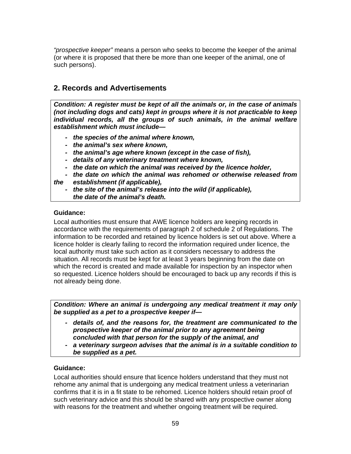*"prospective keeper"* means a person who seeks to become the keeper of the animal (or where it is proposed that there be more than one keeper of the animal, one of such persons).

# **2. Records and Advertisements**

*Condition: A register must be kept of all the animals or, in the case of animals (not including dogs and cats) kept in groups where it is not practicable to keep individual records, all the groups of such animals, in the animal welfare establishment which must include—* 

- *the species of the animal where known,*
- *the animal's sex where known,*
- *the animal's age where known (except in the case of fish),*
- *details of any veterinary treatment where known,*
- *the date on which the animal was received by the licence holder,*
- *the date on which the animal was rehomed or otherwise released from the establishment (if applicable),* 
	- *the site of the animal's release into the wild (if applicable), the date of the animal's death.*

## **Guidance:**

Local authorities must ensure that AWE licence holders are keeping records in accordance with the requirements of paragraph 2 of schedule 2 of Regulations. The information to be recorded and retained by licence holders is set out above. Where a licence holder is clearly failing to record the information required under licence, the local authority must take such action as it considers necessary to address the situation. All records must be kept for at least 3 years beginning from the date on which the record is created and made available for inspection by an inspector when so requested. Licence holders should be encouraged to back up any records if this is not already being done.

*Condition: Where an animal is undergoing any medical treatment it may only be supplied as a pet to a prospective keeper if—* 

- *details of, and the reasons for, the treatment are communicated to the prospective keeper of the animal prior to any agreement being concluded with that person for the supply of the animal, and*
- a veterinary surgeon advises that the animal is in a suitable condition to  *be supplied as a pet.*

## **Guidance:**

Local authorities should ensure that licence holders understand that they must not rehome any animal that is undergoing any medical treatment unless a veterinarian confirms that it is in a fit state to be rehomed. Licence holders should retain proof of such veterinary advice and this should be shared with any prospective owner along with reasons for the treatment and whether ongoing treatment will be required.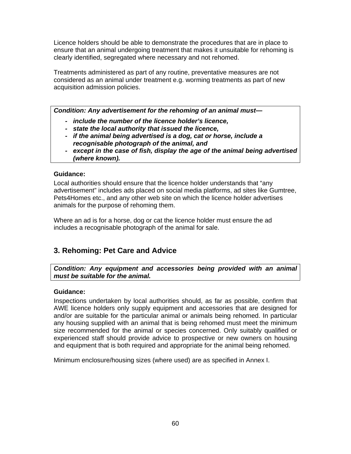Licence holders should be able to demonstrate the procedures that are in place to ensure that an animal undergoing treatment that makes it unsuitable for rehoming is clearly identified, segregated where necessary and not rehomed.

Treatments administered as part of any routine, preventative measures are not considered as an animal under treatment e.g. worming treatments as part of new acquisition admission policies.

*Condition: Any advertisement for the rehoming of an animal must—* 

- *include the number of the licence holder's licence,*
- *state the local authority that issued the licence,*
- *if the animal being advertised is a dog, cat or horse, include a recognisable photograph of the animal, and*
- *except in the case of fish, display the age of the animal being advertised (where known).*

## **Guidance:**

Local authorities should ensure that the licence holder understands that "any advertisement" includes ads placed on social media platforms, ad sites like Gumtree, Pets4Homes etc., and any other web site on which the licence holder advertises animals for the purpose of rehoming them.

Where an ad is for a horse, dog or cat the licence holder must ensure the ad includes a recognisable photograph of the animal for sale.

# **3. Rehoming: Pet Care and Advice**

*Condition: Any equipment and accessories being provided with an animal must be suitable for the animal.* 

## **Guidance:**

Inspections undertaken by local authorities should, as far as possible, confirm that AWE licence holders only supply equipment and accessories that are designed for and/or are suitable for the particular animal or animals being rehomed. In particular any housing supplied with an animal that is being rehomed must meet the minimum size recommended for the animal or species concerned. Only suitably qualified or experienced staff should provide advice to prospective or new owners on housing and equipment that is both required and appropriate for the animal being rehomed.

Minimum enclosure/housing sizes (where used) are as specified in Annex I.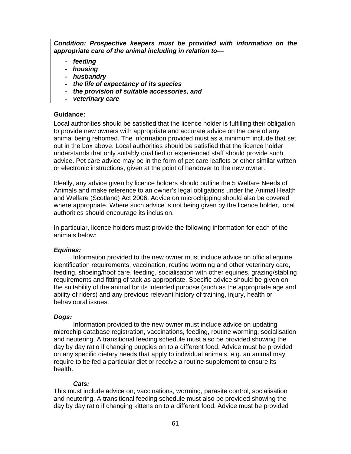*Condition: Prospective keepers must be provided with information on the appropriate care of the animal including in relation to—* 

- *feeding*
- *housing*
- *husbandry*
- *the life of expectancy of its species*
- *the provision of suitable accessories, and*
- *veterinary care*

#### **Guidance:**

Local authorities should be satisfied that the licence holder is fulfilling their obligation to provide new owners with appropriate and accurate advice on the care of any animal being rehomed. The information provided must as a minimum include that set out in the box above. Local authorities should be satisfied that the licence holder understands that only suitably qualified or experienced staff should provide such advice. Pet care advice may be in the form of pet care leaflets or other similar written or electronic instructions, given at the point of handover to the new owner.

Ideally, any advice given by licence holders should outline the 5 Welfare Needs of Animals and make reference to an owner's legal obligations under the Animal Health and Welfare (Scotland) Act 2006. Advice on microchipping should also be covered where appropriate. Where such advice is not being given by the licence holder, local authorities should encourage its inclusion.

In particular, licence holders must provide the following information for each of the animals below:

## *Equines:*

 Information provided to the new owner must include advice on official equine identification requirements, vaccination, routine worming and other veterinary care, feeding, shoeing/hoof care, feeding, socialisation with other equines, grazing/stabling requirements and fitting of tack as appropriate. Specific advice should be given on the suitability of the animal for its intended purpose (such as the appropriate age and ability of riders) and any previous relevant history of training, injury, health or behavioural issues.

## *Dogs:*

 Information provided to the new owner must include advice on updating microchip database registration, vaccinations, feeding, routine worming, socialisation and neutering. A transitional feeding schedule must also be provided showing the day by day ratio if changing puppies on to a different food. Advice must be provided on any specific dietary needs that apply to individual animals, e.g. an animal may require to be fed a particular diet or receive a routine supplement to ensure its health.

## *Cats:*

This must include advice on, vaccinations, worming, parasite control, socialisation and neutering. A transitional feeding schedule must also be provided showing the day by day ratio if changing kittens on to a different food. Advice must be provided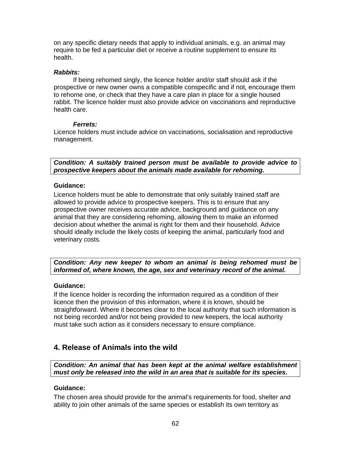on any specific dietary needs that apply to individual animals, e.g. an animal may require to be fed a particular diet or receive a routine supplement to ensure its health.

#### *Rabbits:*

 If being rehomed singly, the licence holder and/or staff should ask if the prospective or new owner owns a compatible conspecific and if not, encourage them to rehome one, or check that they have a care plan in place for a single housed rabbit. The licence holder must also provide advice on vaccinations and reproductive health care.

#### *Ferrets:*

Licence holders must include advice on vaccinations, socialisation and reproductive management.

*Condition: A suitably trained person must be available to provide advice to prospective keepers about the animals made available for rehoming.* 

#### **Guidance:**

Licence holders must be able to demonstrate that only suitably trained staff are allowed to provide advice to prospective keepers. This is to ensure that any prospective owner receives accurate advice, background and guidance on any animal that they are considering rehoming, allowing them to make an informed decision about whether the animal is right for them and their household. Advice should ideally include the likely costs of keeping the animal, particularly food and veterinary costs.

*Condition: Any new keeper to whom an animal is being rehomed must be informed of, where known, the age, sex and veterinary record of the animal.* 

## **Guidance:**

If the licence holder is recording the information required as a condition of their licence then the provision of this information, where it is known, should be straightforward. Where it becomes clear to the local authority that such information is not being recorded and/or not being provided to new keepers, the local authority must take such action as it considers necessary to ensure compliance.

# **4. Release of Animals into the wild**

*Condition: An animal that has been kept at the animal welfare establishment must only be released into the wild in an area that is suitable for its species.* 

## **Guidance:**

The chosen area should provide for the animal's requirements for food, shelter and ability to join other animals of the same species or establish its own territory as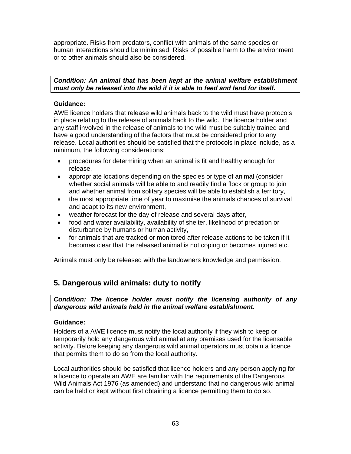appropriate. Risks from predators, conflict with animals of the same species or human interactions should be minimised. Risks of possible harm to the environment or to other animals should also be considered.

## *Condition: An animal that has been kept at the animal welfare establishment must only be released into the wild if it is able to feed and fend for itself.*

## **Guidance:**

AWE licence holders that release wild animals back to the wild must have protocols in place relating to the release of animals back to the wild. The licence holder and any staff involved in the release of animals to the wild must be suitably trained and have a good understanding of the factors that must be considered prior to any release. Local authorities should be satisfied that the protocols in place include, as a minimum, the following considerations:

- procedures for determining when an animal is fit and healthy enough for release,
- appropriate locations depending on the species or type of animal (consider whether social animals will be able to and readily find a flock or group to join and whether animal from solitary species will be able to establish a territory,
- the most appropriate time of year to maximise the animals chances of survival and adapt to its new environment,
- weather forecast for the day of release and several days after,
- food and water availability, availability of shelter, likelihood of predation or disturbance by humans or human activity,
- for animals that are tracked or monitored after release actions to be taken if it becomes clear that the released animal is not coping or becomes injured etc.

Animals must only be released with the landowners knowledge and permission.

# **5. Dangerous wild animals: duty to notify**

*Condition: The licence holder must notify the licensing authority of any dangerous wild animals held in the animal welfare establishment.* 

## **Guidance:**

Holders of a AWE licence must notify the local authority if they wish to keep or temporarily hold any dangerous wild animal at any premises used for the licensable activity. Before keeping any dangerous wild animal operators must obtain a licence that permits them to do so from the local authority.

Local authorities should be satisfied that licence holders and any person applying for a licence to operate an AWE are familiar with the requirements of the Dangerous Wild Animals Act 1976 (as amended) and understand that no dangerous wild animal can be held or kept without first obtaining a licence permitting them to do so.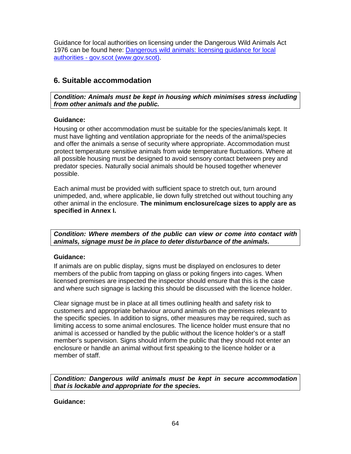Guidance for local authorities on licensing under the Dangerous Wild Animals Act 1976 can be found here: Dangerous wild animals: licensing guidance for local authorities - gov.scot (www.gov.scot).

# **6. Suitable accommodation**

*Condition: Animals must be kept in housing which minimises stress including from other animals and the public.* 

## **Guidance:**

Housing or other accommodation must be suitable for the species/animals kept. It must have lighting and ventilation appropriate for the needs of the animal/species and offer the animals a sense of security where appropriate. Accommodation must protect temperature sensitive animals from wide temperature fluctuations. Where at all possible housing must be designed to avoid sensory contact between prey and predator species. Naturally social animals should be housed together whenever possible.

Each animal must be provided with sufficient space to stretch out, turn around unimpeded, and, where applicable, lie down fully stretched out without touching any other animal in the enclosure. **The minimum enclosure/cage sizes to apply are as specified in Annex I.**

*Condition: Where members of the public can view or come into contact with animals, signage must be in place to deter disturbance of the animals.* 

## **Guidance:**

If animals are on public display, signs must be displayed on enclosures to deter members of the public from tapping on glass or poking fingers into cages. When licensed premises are inspected the inspector should ensure that this is the case and where such signage is lacking this should be discussed with the licence holder.

Clear signage must be in place at all times outlining health and safety risk to customers and appropriate behaviour around animals on the premises relevant to the specific species. In addition to signs, other measures may be required, such as limiting access to some animal enclosures. The licence holder must ensure that no animal is accessed or handled by the public without the licence holder's or a staff member's supervision. Signs should inform the public that they should not enter an enclosure or handle an animal without first speaking to the licence holder or a member of staff.

*Condition: Dangerous wild animals must be kept in secure accommodation that is lockable and appropriate for the species.*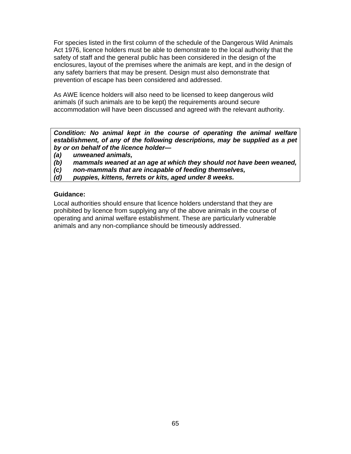For species listed in the first column of the schedule of the Dangerous Wild Animals Act 1976, licence holders must be able to demonstrate to the local authority that the safety of staff and the general public has been considered in the design of the enclosures, layout of the premises where the animals are kept, and in the design of any safety barriers that may be present. Design must also demonstrate that prevention of escape has been considered and addressed.

As AWE licence holders will also need to be licensed to keep dangerous wild animals (if such animals are to be kept) the requirements around secure accommodation will have been discussed and agreed with the relevant authority.

*Condition: No animal kept in the course of operating the animal welfare establishment, of any of the following descriptions, may be supplied as a pet by or on behalf of the licence holder—* 

- *(a) unweaned animals,*
- *(b) mammals weaned at an age at which they should not have been weaned,*
- *(c) non-mammals that are incapable of feeding themselves,*
- *(d) puppies, kittens, ferrets or kits, aged under 8 weeks.*

#### **Guidance:**

Local authorities should ensure that licence holders understand that they are prohibited by licence from supplying any of the above animals in the course of operating and animal welfare establishment. These are particularly vulnerable animals and any non-compliance should be timeously addressed.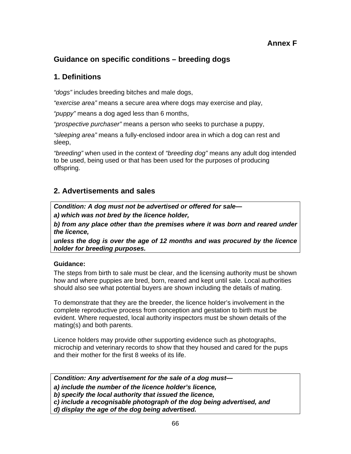# **Guidance on specific conditions – breeding dogs**

# **1. Definitions**

*"dogs"* includes breeding bitches and male dogs,

*"exercise area"* means a secure area where dogs may exercise and play,

*"puppy"* means a dog aged less than 6 months,

*"prospective purchaser"* means a person who seeks to purchase a puppy,

*"sleeping area"* means a fully-enclosed indoor area in which a dog can rest and sleep,

*"breeding"* when used in the context of *"breeding dog"* means any adult dog intended to be used, being used or that has been used for the purposes of producing offspring.

# **2. Advertisements and sales**

*Condition: A dog must not be advertised or offered for sale—* 

*a) which was not bred by the licence holder,* 

*b) from any place other than the premises where it was born and reared under the licence,* 

*unless the dog is over the age of 12 months and was procured by the licence holder for breeding purposes.* 

## **Guidance:**

The steps from birth to sale must be clear, and the licensing authority must be shown how and where puppies are bred, born, reared and kept until sale. Local authorities should also see what potential buyers are shown including the details of mating.

To demonstrate that they are the breeder, the licence holder's involvement in the complete reproductive process from conception and gestation to birth must be evident. Where requested, local authority inspectors must be shown details of the mating(s) and both parents.

Licence holders may provide other supporting evidence such as photographs, microchip and veterinary records to show that they housed and cared for the pups and their mother for the first 8 weeks of its life.

*Condition: Any advertisement for the sale of a dog must—* 

*a) include the number of the licence holder's licence,* 

*b) specify the local authority that issued the licence,* 

*c) include a recognisable photograph of the dog being advertised, and* 

*d) display the age of the dog being advertised.*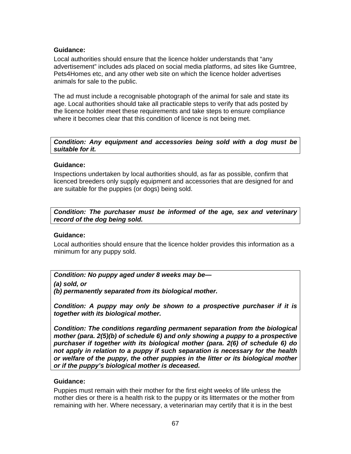## **Guidance:**

Local authorities should ensure that the licence holder understands that "any advertisement" includes ads placed on social media platforms, ad sites like Gumtree, Pets4Homes etc, and any other web site on which the licence holder advertises animals for sale to the public.

The ad must include a recognisable photograph of the animal for sale and state its age. Local authorities should take all practicable steps to verify that ads posted by the licence holder meet these requirements and take steps to ensure compliance where it becomes clear that this condition of licence is not being met.

*Condition: Any equipment and accessories being sold with a dog must be suitable for it.* 

#### **Guidance:**

Inspections undertaken by local authorities should, as far as possible, confirm that licenced breeders only supply equipment and accessories that are designed for and are suitable for the puppies (or dogs) being sold.

*Condition: The purchaser must be informed of the age, sex and veterinary record of the dog being sold.* 

## **Guidance:**

Local authorities should ensure that the licence holder provides this information as a minimum for any puppy sold.

*Condition: No puppy aged under 8 weeks may be—* 

*(a) sold, or* 

*(b) permanently separated from its biological mother.* 

*Condition: A puppy may only be shown to a prospective purchaser if it is together with its biological mother.* 

*Condition: The conditions regarding permanent separation from the biological mother (para. 2(5)(b) of schedule 6) and only showing a puppy to a prospective purchaser if together with its biological mother (para. 2(6) of schedule 6) do not apply in relation to a puppy if such separation is necessary for the health or welfare of the puppy, the other puppies in the litter or its biological mother or if the puppy's biological mother is deceased.* 

#### **Guidance:**

Puppies must remain with their mother for the first eight weeks of life unless the mother dies or there is a health risk to the puppy or its littermates or the mother from remaining with her. Where necessary, a veterinarian may certify that it is in the best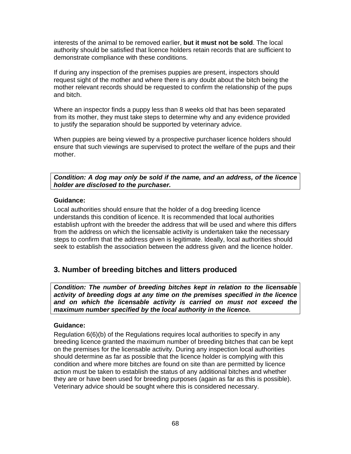interests of the animal to be removed earlier, **but it must not be sold**. The local authority should be satisfied that licence holders retain records that are sufficient to demonstrate compliance with these conditions.

If during any inspection of the premises puppies are present, inspectors should request sight of the mother and where there is any doubt about the bitch being the mother relevant records should be requested to confirm the relationship of the pups and bitch.

Where an inspector finds a puppy less than 8 weeks old that has been separated from its mother, they must take steps to determine why and any evidence provided to justify the separation should be supported by veterinary advice.

When puppies are being viewed by a prospective purchaser licence holders should ensure that such viewings are supervised to protect the welfare of the pups and their mother.

*Condition: A dog may only be sold if the name, and an address, of the licence holder are disclosed to the purchaser.* 

#### **Guidance:**

Local authorities should ensure that the holder of a dog breeding licence understands this condition of licence. It is recommended that local authorities establish upfront with the breeder the address that will be used and where this differs from the address on which the licensable activity is undertaken take the necessary steps to confirm that the address given is legitimate. Ideally, local authorities should seek to establish the association between the address given and the licence holder.

# **3. Number of breeding bitches and litters produced**

*Condition: The number of breeding bitches kept in relation to the licensable activity of breeding dogs at any time on the premises specified in the licence and on which the licensable activity is carried on must not exceed the maximum number specified by the local authority in the licence.* 

## **Guidance:**

Regulation 6(6)(b) of the Regulations requires local authorities to specify in any breeding licence granted the maximum number of breeding bitches that can be kept on the premises for the licensable activity. During any inspection local authorities should determine as far as possible that the licence holder is complying with this condition and where more bitches are found on site than are permitted by licence action must be taken to establish the status of any additional bitches and whether they are or have been used for breeding purposes (again as far as this is possible). Veterinary advice should be sought where this is considered necessary.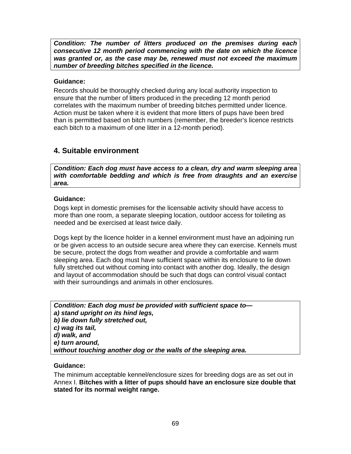*Condition: The number of litters produced on the premises during each consecutive 12 month period commencing with the date on which the licence was granted or, as the case may be, renewed must not exceed the maximum number of breeding bitches specified in the licence.* 

## **Guidance:**

Records should be thoroughly checked during any local authority inspection to ensure that the number of litters produced in the preceding 12 month period correlates with the maximum number of breeding bitches permitted under licence. Action must be taken where it is evident that more litters of pups have been bred than is permitted based on bitch numbers (remember, the breeder's licence restricts each bitch to a maximum of one litter in a 12-month period).

# **4. Suitable environment**

*Condition: Each dog must have access to a clean, dry and warm sleeping area with comfortable bedding and which is free from draughts and an exercise area.* 

## **Guidance:**

Dogs kept in domestic premises for the licensable activity should have access to more than one room, a separate sleeping location, outdoor access for toileting as needed and be exercised at least twice daily.

Dogs kept by the licence holder in a kennel environment must have an adjoining run or be given access to an outside secure area where they can exercise. Kennels must be secure, protect the dogs from weather and provide a comfortable and warm sleeping area. Each dog must have sufficient space within its enclosure to lie down fully stretched out without coming into contact with another dog. Ideally, the design and layout of accommodation should be such that dogs can control visual contact with their surroundings and animals in other enclosures.

*Condition: Each dog must be provided with sufficient space to a) stand upright on its hind legs, b) lie down fully stretched out, c) wag its tail, d) walk, and e) turn around, without touching another dog or the walls of the sleeping area.* 

## **Guidance:**

The minimum acceptable kennel/enclosure sizes for breeding dogs are as set out in Annex I. **Bitches with a litter of pups should have an enclosure size double that stated for its normal weight range.**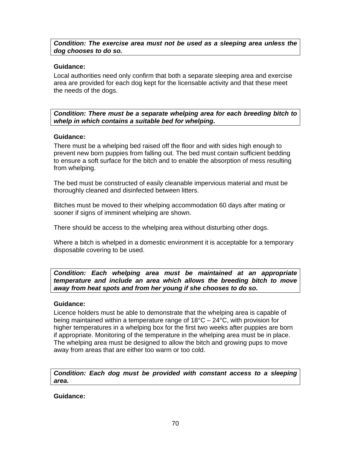## *Condition: The exercise area must not be used as a sleeping area unless the dog chooses to do so.*

## **Guidance:**

Local authorities need only confirm that both a separate sleeping area and exercise area are provided for each dog kept for the licensable activity and that these meet the needs of the dogs.

*Condition: There must be a separate whelping area for each breeding bitch to whelp in which contains a suitable bed for whelping.* 

#### **Guidance:**

There must be a whelping bed raised off the floor and with sides high enough to prevent new born puppies from falling out. The bed must contain sufficient bedding to ensure a soft surface for the bitch and to enable the absorption of mess resulting from whelping.

The bed must be constructed of easily cleanable impervious material and must be thoroughly cleaned and disinfected between litters.

Bitches must be moved to their whelping accommodation 60 days after mating or sooner if signs of imminent whelping are shown.

There should be access to the whelping area without disturbing other dogs.

Where a bitch is whelped in a domestic environment it is acceptable for a temporary disposable covering to be used.

*Condition: Each whelping area must be maintained at an appropriate temperature and include an area which allows the breeding bitch to move away from heat spots and from her young if she chooses to do so.* 

#### **Guidance:**

Licence holders must be able to demonstrate that the whelping area is capable of being maintained within a temperature range of 18°C – 24°C, with provision for higher temperatures in a whelping box for the first two weeks after puppies are born if appropriate. Monitoring of the temperature in the whelping area must be in place. The whelping area must be designed to allow the bitch and growing pups to move away from areas that are either too warm or too cold.

*Condition: Each dog must be provided with constant access to a sleeping area.*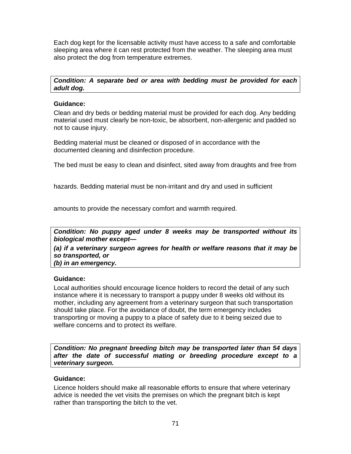Each dog kept for the licensable activity must have access to a safe and comfortable sleeping area where it can rest protected from the weather. The sleeping area must also protect the dog from temperature extremes.

## *Condition: A separate bed or area with bedding must be provided for each adult dog.*

## **Guidance:**

Clean and dry beds or bedding material must be provided for each dog. Any bedding material used must clearly be non-toxic, be absorbent, non-allergenic and padded so not to cause injury.

Bedding material must be cleaned or disposed of in accordance with the documented cleaning and disinfection procedure.

The bed must be easy to clean and disinfect, sited away from draughts and free from

hazards. Bedding material must be non-irritant and dry and used in sufficient

amounts to provide the necessary comfort and warmth required.

*Condition: No puppy aged under 8 weeks may be transported without its biological mother except—* 

*(a) if a veterinary surgeon agrees for health or welfare reasons that it may be so transported, or* 

*(b) in an emergency.*

## **Guidance:**

Local authorities should encourage licence holders to record the detail of any such instance where it is necessary to transport a puppy under 8 weeks old without its mother, including any agreement from a veterinary surgeon that such transportation should take place. For the avoidance of doubt, the term emergency includes transporting or moving a puppy to a place of safety due to it being seized due to welfare concerns and to protect its welfare.

*Condition: No pregnant breeding bitch may be transported later than 54 days after the date of successful mating or breeding procedure except to a veterinary surgeon.* 

## **Guidance:**

Licence holders should make all reasonable efforts to ensure that where veterinary advice is needed the vet visits the premises on which the pregnant bitch is kept rather than transporting the bitch to the vet.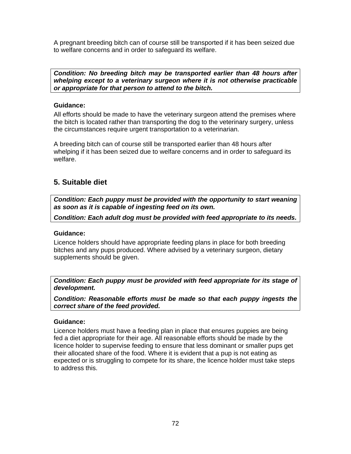A pregnant breeding bitch can of course still be transported if it has been seized due to welfare concerns and in order to safeguard its welfare.

*Condition: No breeding bitch may be transported earlier than 48 hours after whelping except to a veterinary surgeon where it is not otherwise practicable or appropriate for that person to attend to the bitch.* 

## **Guidance:**

All efforts should be made to have the veterinary surgeon attend the premises where the bitch is located rather than transporting the dog to the veterinary surgery, unless the circumstances require urgent transportation to a veterinarian.

A breeding bitch can of course still be transported earlier than 48 hours after whelping if it has been seized due to welfare concerns and in order to safeguard its welfare.

# **5. Suitable diet**

*Condition: Each puppy must be provided with the opportunity to start weaning as soon as it is capable of ingesting feed on its own.* 

*Condition: Each adult dog must be provided with feed appropriate to its needs.* 

## **Guidance:**

Licence holders should have appropriate feeding plans in place for both breeding bitches and any pups produced. Where advised by a veterinary surgeon, dietary supplements should be given.

*Condition: Each puppy must be provided with feed appropriate for its stage of development.* 

*Condition: Reasonable efforts must be made so that each puppy ingests the correct share of the feed provided.* 

## **Guidance:**

Licence holders must have a feeding plan in place that ensures puppies are being fed a diet appropriate for their age. All reasonable efforts should be made by the licence holder to supervise feeding to ensure that less dominant or smaller pups get their allocated share of the food. Where it is evident that a pup is not eating as expected or is struggling to compete for its share, the licence holder must take steps to address this.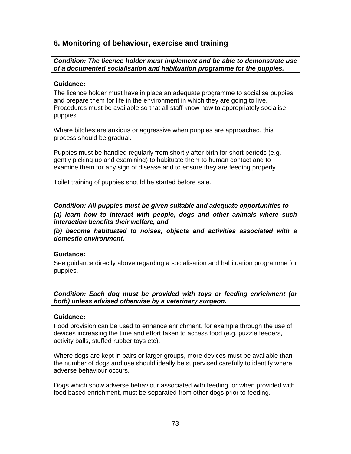# **6. Monitoring of behaviour, exercise and training**

*Condition: The licence holder must implement and be able to demonstrate use of a documented socialisation and habituation programme for the puppies.* 

#### **Guidance:**

The licence holder must have in place an adequate programme to socialise puppies and prepare them for life in the environment in which they are going to live. Procedures must be available so that all staff know how to appropriately socialise puppies.

Where bitches are anxious or aggressive when puppies are approached, this process should be gradual.

Puppies must be handled regularly from shortly after birth for short periods (e.g. gently picking up and examining) to habituate them to human contact and to examine them for any sign of disease and to ensure they are feeding properly.

Toilet training of puppies should be started before sale.

*Condition: All puppies must be given suitable and adequate opportunities to— (a) learn how to interact with people, dogs and other animals where such interaction benefits their welfare, and* 

*(b) become habituated to noises, objects and activities associated with a domestic environment.* 

#### **Guidance:**

See guidance directly above regarding a socialisation and habituation programme for puppies.

*Condition: Each dog must be provided with toys or feeding enrichment (or both) unless advised otherwise by a veterinary surgeon.* 

#### **Guidance:**

Food provision can be used to enhance enrichment, for example through the use of devices increasing the time and effort taken to access food (e.g. puzzle feeders, activity balls, stuffed rubber toys etc).

Where dogs are kept in pairs or larger groups, more devices must be available than the number of dogs and use should ideally be supervised carefully to identify where adverse behaviour occurs.

Dogs which show adverse behaviour associated with feeding, or when provided with food based enrichment, must be separated from other dogs prior to feeding.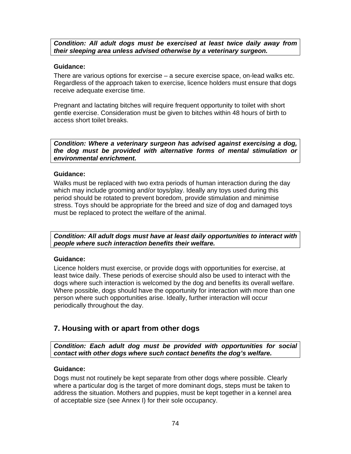*Condition: All adult dogs must be exercised at least twice daily away from their sleeping area unless advised otherwise by a veterinary surgeon.* 

#### **Guidance:**

There are various options for exercise – a secure exercise space, on-lead walks etc. Regardless of the approach taken to exercise, licence holders must ensure that dogs receive adequate exercise time.

Pregnant and lactating bitches will require frequent opportunity to toilet with short gentle exercise. Consideration must be given to bitches within 48 hours of birth to access short toilet breaks.

*Condition: Where a veterinary surgeon has advised against exercising a dog, the dog must be provided with alternative forms of mental stimulation or environmental enrichment.* 

### **Guidance:**

Walks must be replaced with two extra periods of human interaction during the day which may include grooming and/or toys/play. Ideally any toys used during this period should be rotated to prevent boredom, provide stimulation and minimise stress. Toys should be appropriate for the breed and size of dog and damaged toys must be replaced to protect the welfare of the animal.

*Condition: All adult dogs must have at least daily opportunities to interact with people where such interaction benefits their welfare.* 

# **Guidance:**

Licence holders must exercise, or provide dogs with opportunities for exercise, at least twice daily. These periods of exercise should also be used to interact with the dogs where such interaction is welcomed by the dog and benefits its overall welfare. Where possible, dogs should have the opportunity for interaction with more than one person where such opportunities arise. Ideally, further interaction will occur periodically throughout the day.

# **7. Housing with or apart from other dogs**

*Condition: Each adult dog must be provided with opportunities for social contact with other dogs where such contact benefits the dog's welfare.* 

# **Guidance:**

Dogs must not routinely be kept separate from other dogs where possible. Clearly where a particular dog is the target of more dominant dogs, steps must be taken to address the situation. Mothers and puppies, must be kept together in a kennel area of acceptable size (see Annex I) for their sole occupancy.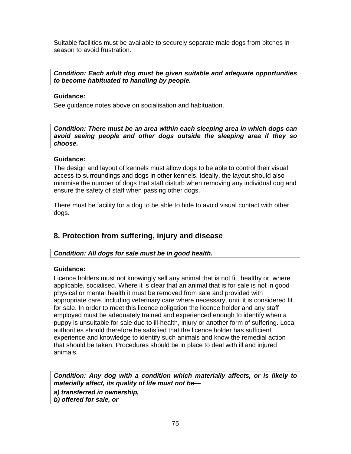Suitable facilities must be available to securely separate male dogs from bitches in season to avoid frustration.

*Condition: Each adult dog must be given suitable and adequate opportunities to become habituated to handling by people.* 

### **Guidance:**

See guidance notes above on socialisation and habituation.

*Condition: There must be an area within each sleeping area in which dogs can avoid seeing people and other dogs outside the sleeping area if they so choose.* 

### **Guidance:**

The design and layout of kennels must allow dogs to be able to control their visual access to surroundings and dogs in other kennels. Ideally, the layout should also minimise the number of dogs that staff disturb when removing any individual dog and ensure the safety of staff when passing other dogs.

There must be facility for a dog to be able to hide to avoid visual contact with other dogs.

# **8. Protection from suffering, injury and disease**

# *Condition: All dogs for sale must be in good health.*

# **Guidance:**

Licence holders must not knowingly sell any animal that is not fit, healthy or, where applicable, socialised. Where it is clear that an animal that is for sale is not in good physical or mental health it must be removed from sale and provided with appropriate care, including veterinary care where necessary, until it is considered fit for sale. In order to meet this licence obligation the licence holder and any staff employed must be adequately trained and experienced enough to identify when a puppy is unsuitable for sale due to ill-health, injury or another form of suffering. Local authorities should therefore be satisfied that the licence holder has sufficient experience and knowledge to identify such animals and know the remedial action that should be taken. Procedures should be in place to deal with ill and injured animals.

*Condition: Any dog with a condition which materially affects, or is likely to materially affect, its quality of life must not be—* 

*a) transferred in ownership, b) offered for sale, or*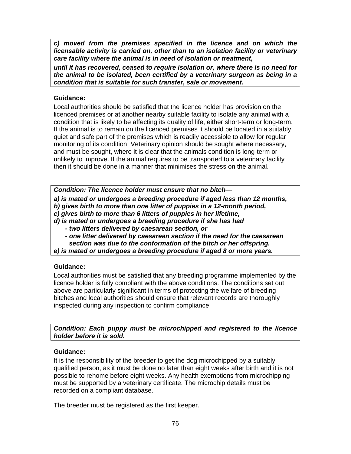*c) moved from the premises specified in the licence and on which the licensable activity is carried on, other than to an isolation facility or veterinary care facility where the animal is in need of isolation or treatment,* 

*until it has recovered, ceased to require isolation or, where there is no need for the animal to be isolated, been certified by a veterinary surgeon as being in a condition that is suitable for such transfer, sale or movement.*

### **Guidance:**

Local authorities should be satisfied that the licence holder has provision on the licenced premises or at another nearby suitable facility to isolate any animal with a condition that is likely to be affecting its quality of life, either short-term or long-term. If the animal is to remain on the licenced premises it should be located in a suitably quiet and safe part of the premises which is readily accessible to allow for regular monitoring of its condition. Veterinary opinion should be sought where necessary, and must be sought, where it is clear that the animals condition is long-term or unlikely to improve. If the animal requires to be transported to a veterinary facility then it should be done in a manner that minimises the stress on the animal.

*Condition: The licence holder must ensure that no bitch—* 

*a) is mated or undergoes a breeding procedure if aged less than 12 months,* 

*b) gives birth to more than one litter of puppies in a 12-month period,* 

*c) gives birth to more than 6 litters of puppies in her lifetime,* 

*d) is mated or undergoes a breeding procedure if she has had* 

 *- two litters delivered by caesarean section, or* 

 *- one litter delivered by caesarean section if the need for the caesarean section was due to the conformation of the bitch or her offspring.* 

*e) is mated or undergoes a breeding procedure if aged 8 or more years.* 

# **Guidance:**

Local authorities must be satisfied that any breeding programme implemented by the licence holder is fully compliant with the above conditions. The conditions set out above are particularly significant in terms of protecting the welfare of breeding bitches and local authorities should ensure that relevant records are thoroughly inspected during any inspection to confirm compliance.

*Condition: Each puppy must be microchipped and registered to the licence holder before it is sold.* 

# **Guidance:**

It is the responsibility of the breeder to get the dog microchipped by a suitably qualified person, as it must be done no later than eight weeks after birth and it is not possible to rehome before eight weeks. Any health exemptions from microchipping must be supported by a veterinary certificate. The microchip details must be recorded on a compliant database.

The breeder must be registered as the first keeper.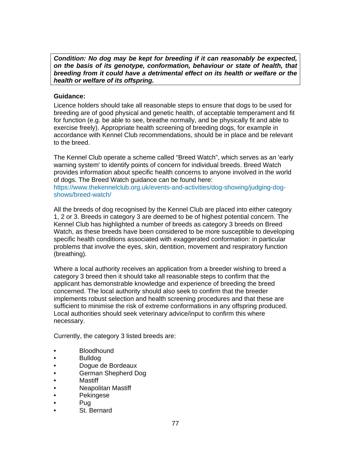*Condition: No dog may be kept for breeding if it can reasonably be expected, on the basis of its genotype, conformation, behaviour or state of health, that breeding from it could have a detrimental effect on its health or welfare or the health or welfare of its offspring.* 

### **Guidance:**

Licence holders should take all reasonable steps to ensure that dogs to be used for breeding are of good physical and genetic health, of acceptable temperament and fit for function (e.g. be able to see, breathe normally, and be physically fit and able to exercise freely). Appropriate health screening of breeding dogs, for example in accordance with Kennel Club recommendations, should be in place and be relevant to the breed.

The Kennel Club operate a scheme called "Breed Watch", which serves as an 'early warning system' to identify points of concern for individual breeds. Breed Watch provides information about specific health concerns to anyone involved in the world of dogs. The Breed Watch guidance can be found here:

https://www.thekennelclub.org.uk/events-and-activities/dog-showing/judging-dogshows/breed-watch/

All the breeds of dog recognised by the Kennel Club are placed into either category 1, 2 or 3. Breeds in category 3 are deemed to be of highest potential concern. The Kennel Club has highlighted a number of breeds as category 3 breeds on Breed Watch, as these breeds have been considered to be more susceptible to developing specific health conditions associated with exaggerated conformation: in particular problems that involve the eyes, skin, dentition, movement and respiratory function (breathing).

Where a local authority receives an application from a breeder wishing to breed a category 3 breed then it should take all reasonable steps to confirm that the applicant has demonstrable knowledge and experience of breeding the breed concerned. The local authority should also seek to confirm that the breeder implements robust selection and health screening procedures and that these are sufficient to minimise the risk of extreme conformations in any offspring produced. Local authorities should seek veterinary advice/input to confirm this where necessary.

Currently, the category 3 listed breeds are:

- Bloodhound
- Bulldog
- Dogue de Bordeaux
- German Shepherd Dog
- Mastiff
- Neapolitan Mastiff
- Pekingese
- Pug
- St. Bernard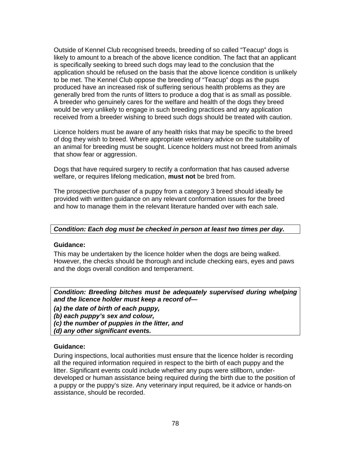Outside of Kennel Club recognised breeds, breeding of so called "Teacup" dogs is likely to amount to a breach of the above licence condition. The fact that an applicant is specifically seeking to breed such dogs may lead to the conclusion that the application should be refused on the basis that the above licence condition is unlikely to be met. The Kennel Club oppose the breeding of "Teacup" dogs as the pups produced have an increased risk of suffering serious health problems as they are generally bred from the runts of litters to produce a dog that is as small as possible. A breeder who genuinely cares for the welfare and health of the dogs they breed would be very unlikely to engage in such breeding practices and any application received from a breeder wishing to breed such dogs should be treated with caution.

Licence holders must be aware of any health risks that may be specific to the breed of dog they wish to breed. Where appropriate veterinary advice on the suitability of an animal for breeding must be sought. Licence holders must not breed from animals that show fear or aggression.

Dogs that have required surgery to rectify a conformation that has caused adverse welfare, or requires lifelong medication, **must not** be bred from.

The prospective purchaser of a puppy from a category 3 breed should ideally be provided with written guidance on any relevant conformation issues for the breed and how to manage them in the relevant literature handed over with each sale.

#### *Condition: Each dog must be checked in person at least two times per day.*

#### **Guidance:**

This may be undertaken by the licence holder when the dogs are being walked. However, the checks should be thorough and include checking ears, eyes and paws and the dogs overall condition and temperament.

*Condition: Breeding bitches must be adequately supervised during whelping and the licence holder must keep a record of—* 

*(a) the date of birth of each puppy,* 

*(b) each puppy's sex and colour,* 

*(c) the number of puppies in the litter, and* 

*(d) any other significant events.* 

#### **Guidance:**

During inspections, local authorities must ensure that the licence holder is recording all the required information required in respect to the birth of each puppy and the litter. Significant events could include whether any pups were stillborn, underdeveloped or human assistance being required during the birth due to the position of a puppy or the puppy's size. Any veterinary input required, be it advice or hands-on assistance, should be recorded.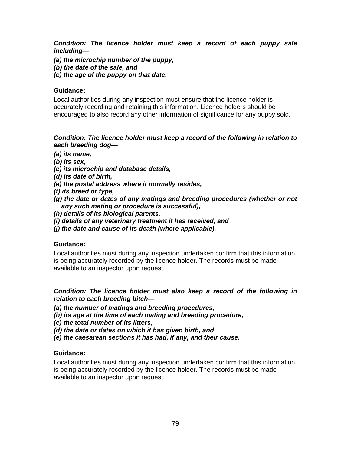*Condition: The licence holder must keep a record of each puppy sale including—* 

*(a) the microchip number of the puppy,* 

*(b) the date of the sale, and* 

*(c) the age of the puppy on that date.* 

### **Guidance:**

Local authorities during any inspection must ensure that the licence holder is accurately recording and retaining this information. Licence holders should be encouraged to also record any other information of significance for any puppy sold.

*Condition: The licence holder must keep a record of the following in relation to each breeding dog—* 

*(a) its name,* 

*(b) its sex,* 

*(c) its microchip and database details,* 

*(d) its date of birth,* 

*(e) the postal address where it normally resides,* 

*(f) its breed or type,* 

- *(g) the date or dates of any matings and breeding procedures (whether or not any such mating or procedure is successful),*
- *(h) details of its biological parents,*

*(i) details of any veterinary treatment it has received, and* 

*(j) the date and cause of its death (where applicable).* 

#### **Guidance:**

Local authorities must during any inspection undertaken confirm that this information is being accurately recorded by the licence holder. The records must be made available to an inspector upon request.

*Condition: The licence holder must also keep a record of the following in relation to each breeding bitch—* 

*(a) the number of matings and breeding procedures,* 

*(b) its age at the time of each mating and breeding procedure,* 

*(c) the total number of its litters,* 

*(d) the date or dates on which it has given birth, and* 

*(e) the caesarean sections it has had, if any, and their cause.* 

# **Guidance:**

Local authorities must during any inspection undertaken confirm that this information is being accurately recorded by the licence holder. The records must be made available to an inspector upon request.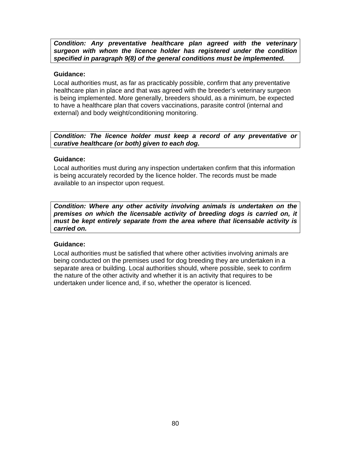*Condition: Any preventative healthcare plan agreed with the veterinary surgeon with whom the licence holder has registered under the condition specified in paragraph 9(8) of the general conditions must be implemented.* 

#### **Guidance:**

Local authorities must, as far as practicably possible, confirm that any preventative healthcare plan in place and that was agreed with the breeder's veterinary surgeon is being implemented. More generally, breeders should, as a minimum, be expected to have a healthcare plan that covers vaccinations, parasite control (internal and external) and body weight/conditioning monitoring.

*Condition: The licence holder must keep a record of any preventative or curative healthcare (or both) given to each dog.* 

#### **Guidance:**

Local authorities must during any inspection undertaken confirm that this information is being accurately recorded by the licence holder. The records must be made available to an inspector upon request.

*Condition: Where any other activity involving animals is undertaken on the premises on which the licensable activity of breeding dogs is carried on, it must be kept entirely separate from the area where that licensable activity is carried on.* 

#### **Guidance:**

Local authorities must be satisfied that where other activities involving animals are being conducted on the premises used for dog breeding they are undertaken in a separate area or building. Local authorities should, where possible, seek to confirm the nature of the other activity and whether it is an activity that requires to be undertaken under licence and, if so, whether the operator is licenced.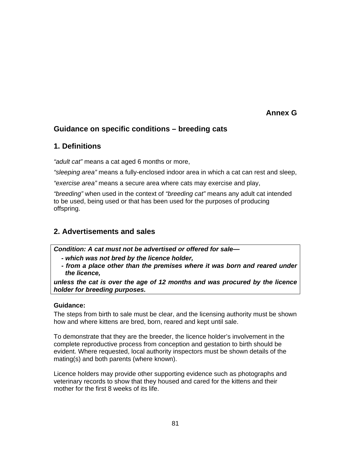# **Annex G**

# **Guidance on specific conditions – breeding cats**

# **1. Definitions**

*"adult cat"* means a cat aged 6 months or more,

*"sleeping area"* means a fully-enclosed indoor area in which a cat can rest and sleep,

*"exercise area"* means a secure area where cats may exercise and play,

*"breeding"* when used in the context of *"breeding cat"* means any adult cat intended to be used, being used or that has been used for the purposes of producing offspring.

# **2. Advertisements and sales**

*Condition: A cat must not be advertised or offered for sale—* 

- *which was not bred by the licence holder,*
- *from a place other than the premises where it was born and reared under the licence,*

*unless the cat is over the age of 12 months and was procured by the licence holder for breeding purposes.* 

#### **Guidance:**

The steps from birth to sale must be clear, and the licensing authority must be shown how and where kittens are bred, born, reared and kept until sale.

To demonstrate that they are the breeder, the licence holder's involvement in the complete reproductive process from conception and gestation to birth should be evident. Where requested, local authority inspectors must be shown details of the mating(s) and both parents (where known).

Licence holders may provide other supporting evidence such as photographs and veterinary records to show that they housed and cared for the kittens and their mother for the first 8 weeks of its life.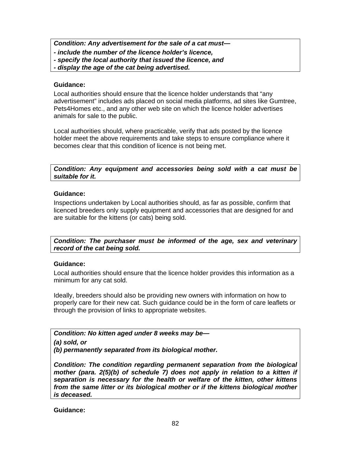*Condition: Any advertisement for the sale of a cat must—* 

- *include the number of the licence holder's licence,*
- *specify the local authority that issued the licence, and*
- *display the age of the cat being advertised.*

### **Guidance:**

Local authorities should ensure that the licence holder understands that "any advertisement" includes ads placed on social media platforms, ad sites like Gumtree, Pets4Homes etc., and any other web site on which the licence holder advertises animals for sale to the public.

Local authorities should, where practicable, verify that ads posted by the licence holder meet the above requirements and take steps to ensure compliance where it becomes clear that this condition of licence is not being met.

*Condition: Any equipment and accessories being sold with a cat must be suitable for it.* 

### **Guidance:**

Inspections undertaken by Local authorities should, as far as possible, confirm that licenced breeders only supply equipment and accessories that are designed for and are suitable for the kittens (or cats) being sold.

*Condition: The purchaser must be informed of the age, sex and veterinary record of the cat being sold.* 

# **Guidance:**

Local authorities should ensure that the licence holder provides this information as a minimum for any cat sold.

Ideally, breeders should also be providing new owners with information on how to properly care for their new cat. Such guidance could be in the form of care leaflets or through the provision of links to appropriate websites.

*Condition: No kitten aged under 8 weeks may be—* 

*(a) sold, or* 

*(b) permanently separated from its biological mother.* 

*Condition: The condition regarding permanent separation from the biological mother (para. 2(5)(b) of schedule 7) does not apply in relation to a kitten if separation is necessary for the health or welfare of the kitten, other kittens from the same litter or its biological mother or if the kittens biological mother is deceased.* 

**Guidance:**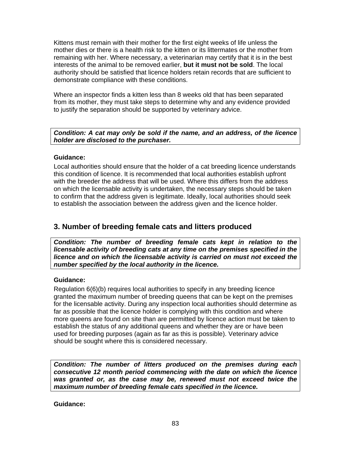Kittens must remain with their mother for the first eight weeks of life unless the mother dies or there is a health risk to the kitten or its littermates or the mother from remaining with her. Where necessary, a veterinarian may certify that it is in the best interests of the animal to be removed earlier, **but it must not be sold**. The local authority should be satisfied that licence holders retain records that are sufficient to demonstrate compliance with these conditions.

Where an inspector finds a kitten less than 8 weeks old that has been separated from its mother, they must take steps to determine why and any evidence provided to justify the separation should be supported by veterinary advice.

### *Condition: A cat may only be sold if the name, and an address, of the licence holder are disclosed to the purchaser.*

# **Guidance:**

Local authorities should ensure that the holder of a cat breeding licence understands this condition of licence. It is recommended that local authorities establish upfront with the breeder the address that will be used. Where this differs from the address on which the licensable activity is undertaken, the necessary steps should be taken to confirm that the address given is legitimate. Ideally, local authorities should seek to establish the association between the address given and the licence holder.

# **3. Number of breeding female cats and litters produced**

*Condition: The number of breeding female cats kept in relation to the licensable activity of breeding cats at any time on the premises specified in the licence and on which the licensable activity is carried on must not exceed the number specified by the local authority in the licence.* 

#### **Guidance:**

Regulation 6(6)(b) requires local authorities to specify in any breeding licence granted the maximum number of breeding queens that can be kept on the premises for the licensable activity. During any inspection local authorities should determine as far as possible that the licence holder is complying with this condition and where more queens are found on site than are permitted by licence action must be taken to establish the status of any additional queens and whether they are or have been used for breeding purposes (again as far as this is possible). Veterinary advice should be sought where this is considered necessary.

*Condition: The number of litters produced on the premises during each consecutive 12 month period commencing with the date on which the licence was granted or, as the case may be, renewed must not exceed twice the maximum number of breeding female cats specified in the licence.* 

**Guidance:**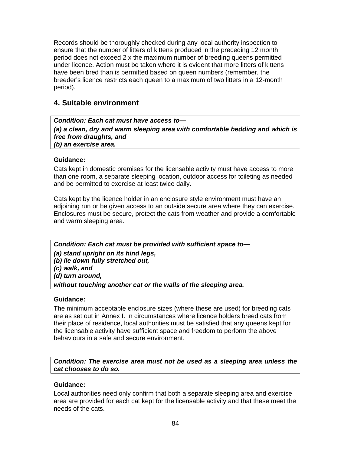Records should be thoroughly checked during any local authority inspection to ensure that the number of litters of kittens produced in the preceding 12 month period does not exceed 2 x the maximum number of breeding queens permitted under licence. Action must be taken where it is evident that more litters of kittens have been bred than is permitted based on queen numbers (remember, the breeder's licence restricts each queen to a maximum of two litters in a 12-month period).

# **4. Suitable environment**

*Condition: Each cat must have access to— (a) a clean, dry and warm sleeping area with comfortable bedding and which is free from draughts, and (b) an exercise area.* 

# **Guidance:**

Cats kept in domestic premises for the licensable activity must have access to more than one room, a separate sleeping location, outdoor access for toileting as needed and be permitted to exercise at least twice daily.

Cats kept by the licence holder in an enclosure style environment must have an adjoining run or be given access to an outside secure area where they can exercise. Enclosures must be secure, protect the cats from weather and provide a comfortable and warm sleeping area.

*Condition: Each cat must be provided with sufficient space to— (a) stand upright on its hind legs, (b) lie down fully stretched out, (c) walk, and (d) turn around, without touching another cat or the walls of the sleeping area.* 

#### **Guidance:**

The minimum acceptable enclosure sizes (where these are used) for breeding cats are as set out in Annex I. In circumstances where licence holders breed cats from their place of residence, local authorities must be satisfied that any queens kept for the licensable activity have sufficient space and freedom to perform the above behaviours in a safe and secure environment.

*Condition: The exercise area must not be used as a sleeping area unless the cat chooses to do so.* 

#### **Guidance:**

Local authorities need only confirm that both a separate sleeping area and exercise area are provided for each cat kept for the licensable activity and that these meet the needs of the cats.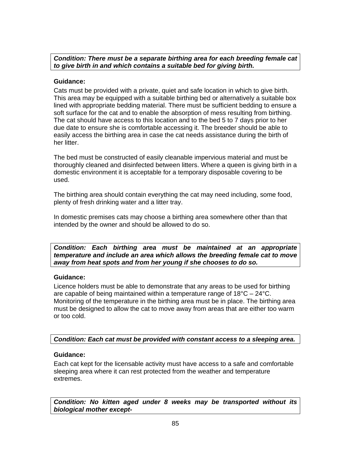*Condition: There must be a separate birthing area for each breeding female cat to give birth in and which contains a suitable bed for giving birth.* 

### **Guidance:**

Cats must be provided with a private, quiet and safe location in which to give birth. This area may be equipped with a suitable birthing bed or alternatively a suitable box lined with appropriate bedding material. There must be sufficient bedding to ensure a soft surface for the cat and to enable the absorption of mess resulting from birthing. The cat should have access to this location and to the bed 5 to 7 days prior to her due date to ensure she is comfortable accessing it. The breeder should be able to easily access the birthing area in case the cat needs assistance during the birth of her litter.

The bed must be constructed of easily cleanable impervious material and must be thoroughly cleaned and disinfected between litters. Where a queen is giving birth in a domestic environment it is acceptable for a temporary disposable covering to be used.

The birthing area should contain everything the cat may need including, some food, plenty of fresh drinking water and a litter tray.

In domestic premises cats may choose a birthing area somewhere other than that intended by the owner and should be allowed to do so.

*Condition: Each birthing area must be maintained at an appropriate temperature and include an area which allows the breeding female cat to move away from heat spots and from her young if she chooses to do so.* 

#### **Guidance:**

Licence holders must be able to demonstrate that any areas to be used for birthing are capable of being maintained within a temperature range of  $18^{\circ}$ C –  $24^{\circ}$ C. Monitoring of the temperature in the birthing area must be in place. The birthing area must be designed to allow the cat to move away from areas that are either too warm or too cold.

*Condition: Each cat must be provided with constant access to a sleeping area.* 

# **Guidance:**

Each cat kept for the licensable activity must have access to a safe and comfortable sleeping area where it can rest protected from the weather and temperature extremes.

*Condition: No kitten aged under 8 weeks may be transported without its biological mother except-*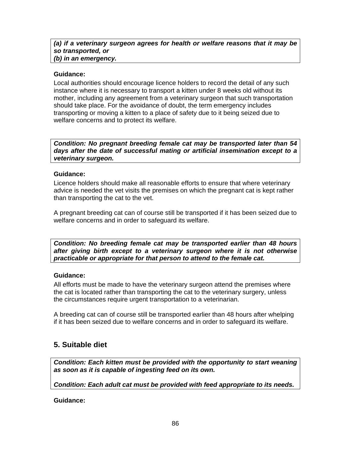#### *(a) if a veterinary surgeon agrees for health or welfare reasons that it may be so transported, or (b) in an emergency.*

### **Guidance:**

Local authorities should encourage licence holders to record the detail of any such instance where it is necessary to transport a kitten under 8 weeks old without its mother, including any agreement from a veterinary surgeon that such transportation should take place. For the avoidance of doubt, the term emergency includes transporting or moving a kitten to a place of safety due to it being seized due to welfare concerns and to protect its welfare.

*Condition: No pregnant breeding female cat may be transported later than 54 days after the date of successful mating or artificial insemination except to a veterinary surgeon.* 

#### **Guidance:**

Licence holders should make all reasonable efforts to ensure that where veterinary advice is needed the vet visits the premises on which the pregnant cat is kept rather than transporting the cat to the vet.

A pregnant breeding cat can of course still be transported if it has been seized due to welfare concerns and in order to safeguard its welfare.

*Condition: No breeding female cat may be transported earlier than 48 hours after giving birth except to a veterinary surgeon where it is not otherwise practicable or appropriate for that person to attend to the female cat.* 

# **Guidance:**

All efforts must be made to have the veterinary surgeon attend the premises where the cat is located rather than transporting the cat to the veterinary surgery, unless the circumstances require urgent transportation to a veterinarian.

A breeding cat can of course still be transported earlier than 48 hours after whelping if it has been seized due to welfare concerns and in order to safeguard its welfare.

# **5. Suitable diet**

*Condition: Each kitten must be provided with the opportunity to start weaning as soon as it is capable of ingesting feed on its own.* 

*Condition: Each adult cat must be provided with feed appropriate to its needs.* 

**Guidance:**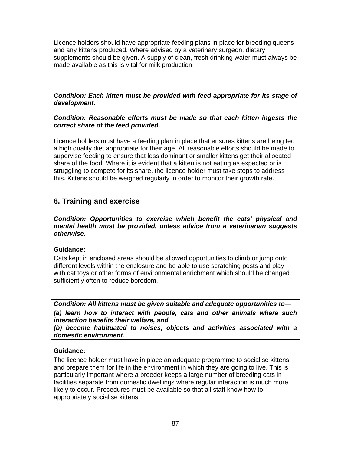Licence holders should have appropriate feeding plans in place for breeding queens and any kittens produced. Where advised by a veterinary surgeon, dietary supplements should be given. A supply of clean, fresh drinking water must always be made available as this is vital for milk production.

*Condition: Each kitten must be provided with feed appropriate for its stage of development.* 

*Condition: Reasonable efforts must be made so that each kitten ingests the correct share of the feed provided.* 

Licence holders must have a feeding plan in place that ensures kittens are being fed a high quality diet appropriate for their age. All reasonable efforts should be made to supervise feeding to ensure that less dominant or smaller kittens get their allocated share of the food. Where it is evident that a kitten is not eating as expected or is struggling to compete for its share, the licence holder must take steps to address this. Kittens should be weighed regularly in order to monitor their growth rate.

# **6. Training and exercise**

*Condition: Opportunities to exercise which benefit the cats' physical and mental health must be provided, unless advice from a veterinarian suggests otherwise.* 

#### **Guidance:**

Cats kept in enclosed areas should be allowed opportunities to climb or jump onto different levels within the enclosure and be able to use scratching posts and play with cat toys or other forms of environmental enrichment which should be changed sufficiently often to reduce boredom.

*Condition: All kittens must be given suitable and adequate opportunities to— (a) learn how to interact with people, cats and other animals where such interaction benefits their welfare, and* 

*(b) become habituated to noises, objects and activities associated with a domestic environment.* 

#### **Guidance:**

The licence holder must have in place an adequate programme to socialise kittens and prepare them for life in the environment in which they are going to live. This is particularly important where a breeder keeps a large number of breeding cats in facilities separate from domestic dwellings where regular interaction is much more likely to occur. Procedures must be available so that all staff know how to appropriately socialise kittens.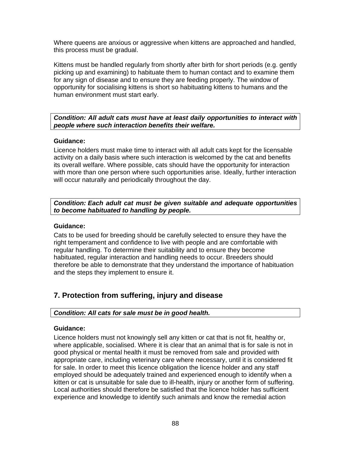Where queens are anxious or aggressive when kittens are approached and handled, this process must be gradual.

Kittens must be handled regularly from shortly after birth for short periods (e.g. gently picking up and examining) to habituate them to human contact and to examine them for any sign of disease and to ensure they are feeding properly. The window of opportunity for socialising kittens is short so habituating kittens to humans and the human environment must start early.

### *Condition: All adult cats must have at least daily opportunities to interact with people where such interaction benefits their welfare.*

### **Guidance:**

Licence holders must make time to interact with all adult cats kept for the licensable activity on a daily basis where such interaction is welcomed by the cat and benefits its overall welfare. Where possible, cats should have the opportunity for interaction with more than one person where such opportunities arise. Ideally, further interaction will occur naturally and periodically throughout the day.

### *Condition: Each adult cat must be given suitable and adequate opportunities to become habituated to handling by people.*

### **Guidance:**

Cats to be used for breeding should be carefully selected to ensure they have the right temperament and confidence to live with people and are comfortable with regular handling. To determine their suitability and to ensure they become habituated, regular interaction and handling needs to occur. Breeders should therefore be able to demonstrate that they understand the importance of habituation and the steps they implement to ensure it.

# **7. Protection from suffering, injury and disease**

# *Condition: All cats for sale must be in good health.*

#### **Guidance:**

Licence holders must not knowingly sell any kitten or cat that is not fit, healthy or, where applicable, socialised. Where it is clear that an animal that is for sale is not in good physical or mental health it must be removed from sale and provided with appropriate care, including veterinary care where necessary, until it is considered fit for sale. In order to meet this licence obligation the licence holder and any staff employed should be adequately trained and experienced enough to identify when a kitten or cat is unsuitable for sale due to ill-health, injury or another form of suffering. Local authorities should therefore be satisfied that the licence holder has sufficient experience and knowledge to identify such animals and know the remedial action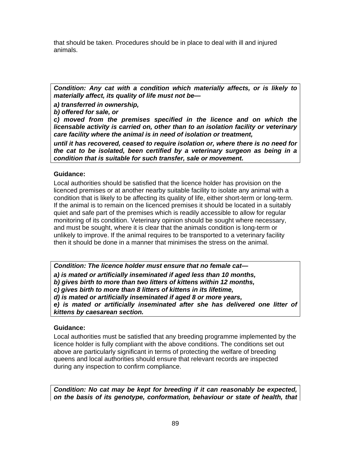that should be taken. Procedures should be in place to deal with ill and injured animals.

*Condition: Any cat with a condition which materially affects, or is likely to materially affect, its quality of life must not be—* 

*a) transferred in ownership,* 

*b) offered for sale, or* 

*c) moved from the premises specified in the licence and on which the licensable activity is carried on, other than to an isolation facility or veterinary care facility where the animal is in need of isolation or treatment,* 

*until it has recovered, ceased to require isolation or, where there is no need for the cat to be isolated, been certified by a veterinary surgeon as being in a condition that is suitable for such transfer, sale or movement.* 

### **Guidance:**

Local authorities should be satisfied that the licence holder has provision on the licenced premises or at another nearby suitable facility to isolate any animal with a condition that is likely to be affecting its quality of life, either short-term or long-term. If the animal is to remain on the licenced premises it should be located in a suitably quiet and safe part of the premises which is readily accessible to allow for regular monitoring of its condition. Veterinary opinion should be sought where necessary, and must be sought, where it is clear that the animals condition is long-term or unlikely to improve. If the animal requires to be transported to a veterinary facility then it should be done in a manner that minimises the stress on the animal.

*Condition: The licence holder must ensure that no female cat—* 

*a) is mated or artificially inseminated if aged less than 10 months,* 

*b) gives birth to more than two litters of kittens within 12 months,* 

*c) gives birth to more than 8 litters of kittens in its lifetime,* 

*d) is mated or artificially inseminated if aged 8 or more years,* 

*e) is mated or artificially inseminated after she has delivered one litter of kittens by caesarean section.* 

# **Guidance:**

Local authorities must be satisfied that any breeding programme implemented by the licence holder is fully compliant with the above conditions. The conditions set out above are particularly significant in terms of protecting the welfare of breeding queens and local authorities should ensure that relevant records are inspected during any inspection to confirm compliance.

*Condition: No cat may be kept for breeding if it can reasonably be expected, on the basis of its genotype, conformation, behaviour or state of health, that*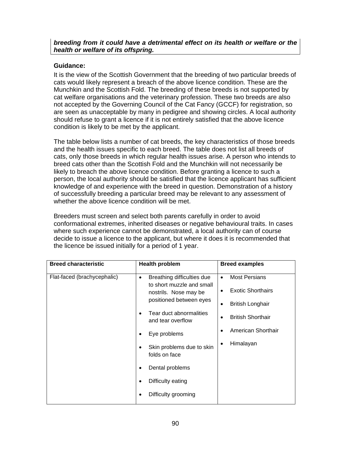# **Guidance:**

It is the view of the Scottish Government that the breeding of two particular breeds of cats would likely represent a breach of the above licence condition. These are the Munchkin and the Scottish Fold. The breeding of these breeds is not supported by cat welfare organisations and the veterinary profession. These two breeds are also not accepted by the Governing Council of the Cat Fancy (GCCF) for registration, so are seen as unacceptable by many in pedigree and showing circles. A local authority should refuse to grant a licence if it is not entirely satisfied that the above licence condition is likely to be met by the applicant.

The table below lists a number of cat breeds, the key characteristics of those breeds and the health issues specific to each breed. The table does not list all breeds of cats, only those breeds in which regular health issues arise. A person who intends to breed cats other than the Scottish Fold and the Munchkin will not necessarily be likely to breach the above licence condition. Before granting a licence to such a person, the local authority should be satisfied that the licence applicant has sufficient knowledge of and experience with the breed in question. Demonstration of a history of successfully breeding a particular breed may be relevant to any assessment of whether the above licence condition will be met.

Breeders must screen and select both parents carefully in order to avoid conformational extremes, inherited diseases or negative behavioural traits. In cases where such experience cannot be demonstrated, a local authority can of course decide to issue a licence to the applicant, but where it does it is recommended that the licence be issued initially for a period of 1 year.

| <b>Breed characteristic</b> | <b>Health problem</b>                                                                                                                                                                                                                       | <b>Breed examples</b>                                                                                                                                                                  |
|-----------------------------|---------------------------------------------------------------------------------------------------------------------------------------------------------------------------------------------------------------------------------------------|----------------------------------------------------------------------------------------------------------------------------------------------------------------------------------------|
| Flat-faced (brachycephalic) | Breathing difficulties due<br>$\bullet$<br>to short muzzle and small<br>nostrils. Nose may be<br>positioned between eyes<br>Tear duct abnormalities<br>and tear overflow<br>Eye problems<br>٠<br>Skin problems due to skin<br>folds on face | <b>Most Persians</b><br>$\bullet$<br><b>Exotic Shorthairs</b><br>$\bullet$<br><b>British Longhair</b><br>٠<br><b>British Shorthair</b><br>$\bullet$<br>American Shorthair<br>Himalayan |
|                             | Dental problems<br>Difficulty eating<br>Difficulty grooming                                                                                                                                                                                 |                                                                                                                                                                                        |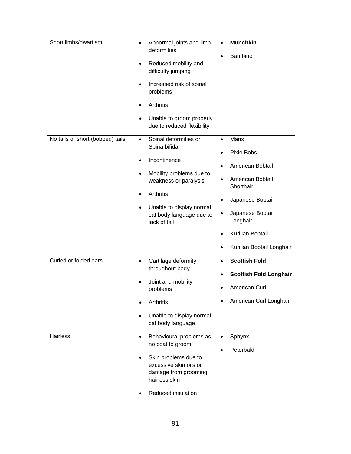| Short limbs/dwarfism              | Abnormal joints and limb<br>$\bullet$<br>deformities<br>Reduced mobility and<br>$\bullet$<br>difficulty jumping<br>Increased risk of spinal<br>$\bullet$<br>problems<br><b>Arthritis</b><br>$\bullet$<br>Unable to groom properly<br>$\bullet$<br>due to reduced flexibility | <b>Munchkin</b><br>$\bullet$<br>Bambino<br>$\bullet$                                                                                                                                                                                                                                 |
|-----------------------------------|------------------------------------------------------------------------------------------------------------------------------------------------------------------------------------------------------------------------------------------------------------------------------|--------------------------------------------------------------------------------------------------------------------------------------------------------------------------------------------------------------------------------------------------------------------------------------|
| No tails or short (bobbed) tails  | Spinal deformities or<br>$\bullet$<br>Spina bifida<br>Incontinence<br>$\bullet$<br>Mobility problems due to<br>$\bullet$<br>weakness or paralysis<br>Arthritis<br>$\bullet$<br>Unable to display normal<br>$\bullet$<br>cat body language due to<br>lack of tail             | Manx<br>$\bullet$<br>Pixie Bobs<br>$\bullet$<br>American Bobtail<br>$\bullet$<br>American Bobtail<br>$\bullet$<br>Shorthair<br>Japanese Bobtail<br>$\bullet$<br>Japanese Bobtail<br>$\bullet$<br>Longhair<br>Kurilian Bobtail<br>$\bullet$<br>Kurilian Bobtail Longhair<br>$\bullet$ |
| Curled or folded ears<br>Hairless | Cartilage deformity<br>$\bullet$<br>throughout body<br>Joint and mobility<br>problems<br>Arthritis<br>Unable to display normal<br>$\bullet$<br>cat body language<br>Behavioural problems as<br>$\bullet$                                                                     | <b>Scottish Fold</b><br>$\bullet$<br><b>Scottish Fold Longhair</b><br>$\bullet$<br>American Curl<br>$\bullet$<br>American Curl Longhair<br>Sphynx<br>$\bullet$                                                                                                                       |
|                                   | no coat to groom<br>Skin problems due to<br>$\bullet$<br>excessive skin oils or<br>damage from grooming<br>hairless skin<br>Reduced insulation<br>٠                                                                                                                          | Peterbald<br>$\bullet$                                                                                                                                                                                                                                                               |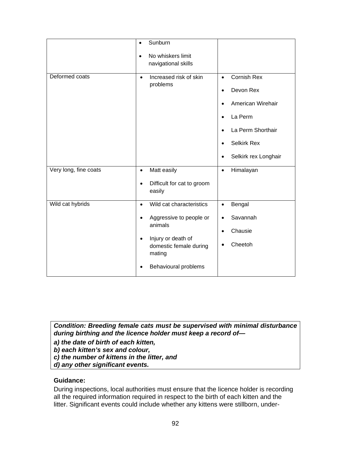|                       | Sunburn<br>$\bullet$                                                                                                                                                                         |                                                                                                                                                                                                                  |
|-----------------------|----------------------------------------------------------------------------------------------------------------------------------------------------------------------------------------------|------------------------------------------------------------------------------------------------------------------------------------------------------------------------------------------------------------------|
|                       | No whiskers limit<br>$\bullet$<br>navigational skills                                                                                                                                        |                                                                                                                                                                                                                  |
| Deformed coats        | Increased risk of skin<br>$\bullet$<br>problems                                                                                                                                              | <b>Cornish Rex</b><br>$\bullet$<br>Devon Rex<br>$\bullet$<br>American Wirehair<br>$\bullet$<br>La Perm<br>$\bullet$<br>La Perm Shorthair<br><b>Selkirk Rex</b><br>$\bullet$<br>Selkirk rex Longhair<br>$\bullet$ |
| Very long, fine coats | Matt easily<br>$\bullet$<br>Difficult for cat to groom<br>$\bullet$<br>easily                                                                                                                | Himalayan<br>$\bullet$                                                                                                                                                                                           |
| Wild cat hybrids      | Wild cat characteristics<br>$\bullet$<br>Aggressive to people or<br>$\bullet$<br>animals<br>Injury or death of<br>$\bullet$<br>domestic female during<br>mating<br>Behavioural problems<br>٠ | Bengal<br>$\bullet$<br>Savannah<br>$\bullet$<br>Chausie<br>$\bullet$<br>Cheetoh                                                                                                                                  |

*Condition: Breeding female cats must be supervised with minimal disturbance during birthing and the licence holder must keep a record of—* 

- *a) the date of birth of each kitten,*
- *b) each kitten's sex and colour,*
- *c) the number of kittens in the litter, and*
- *d) any other significant events.*

#### **Guidance:**

During inspections, local authorities must ensure that the licence holder is recording all the required information required in respect to the birth of each kitten and the litter. Significant events could include whether any kittens were stillborn, under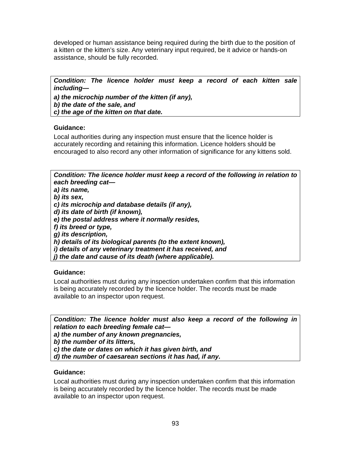developed or human assistance being required during the birth due to the position of a kitten or the kitten's size. Any veterinary input required, be it advice or hands-on assistance, should be fully recorded.

*Condition: The licence holder must keep a record of each kitten sale including—* 

*a) the microchip number of the kitten (if any), b) the date of the sale, and c) the age of the kitten on that date.* 

### **Guidance:**

Local authorities during any inspection must ensure that the licence holder is accurately recording and retaining this information. Licence holders should be encouraged to also record any other information of significance for any kittens sold.

*Condition: The licence holder must keep a record of the following in relation to each breeding cat—* 

*a) its name,* 

*b) its sex,* 

*c) its microchip and database details (if any),* 

*d) its date of birth (if known),* 

*e) the postal address where it normally resides,* 

*f) its breed or type,* 

*g) its description,* 

*h) details of its biological parents (to the extent known),* 

*i) details of any veterinary treatment it has received, and* 

*j) the date and cause of its death (where applicable).* 

# **Guidance:**

Local authorities must during any inspection undertaken confirm that this information is being accurately recorded by the licence holder. The records must be made available to an inspector upon request.

*Condition: The licence holder must also keep a record of the following in relation to each breeding female cat—* 

*a) the number of any known pregnancies,* 

*b) the number of its litters,* 

*c) the date or dates on which it has given birth, and* 

*d) the number of caesarean sections it has had, if any.* 

#### **Guidance:**

Local authorities must during any inspection undertaken confirm that this information is being accurately recorded by the licence holder. The records must be made available to an inspector upon request.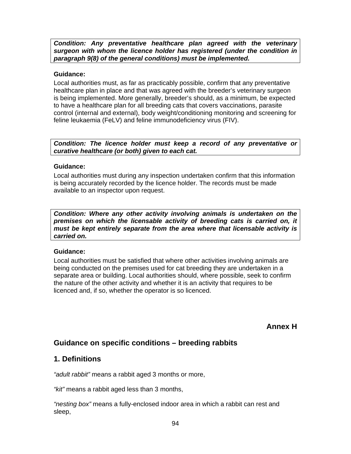*Condition: Any preventative healthcare plan agreed with the veterinary surgeon with whom the licence holder has registered (under the condition in paragraph 9(8) of the general conditions) must be implemented.* 

#### **Guidance:**

Local authorities must, as far as practicably possible, confirm that any preventative healthcare plan in place and that was agreed with the breeder's veterinary surgeon is being implemented. More generally, breeder's should, as a minimum, be expected to have a healthcare plan for all breeding cats that covers vaccinations, parasite control (internal and external), body weight/conditioning monitoring and screening for feline leukaemia (FeLV) and feline immunodeficiency virus (FIV).

*Condition: The licence holder must keep a record of any preventative or curative healthcare (or both) given to each cat.* 

#### **Guidance:**

Local authorities must during any inspection undertaken confirm that this information is being accurately recorded by the licence holder. The records must be made available to an inspector upon request.

*Condition: Where any other activity involving animals is undertaken on the premises on which the licensable activity of breeding cats is carried on, it must be kept entirely separate from the area where that licensable activity is carried on.* 

#### **Guidance:**

Local authorities must be satisfied that where other activities involving animals are being conducted on the premises used for cat breeding they are undertaken in a separate area or building. Local authorities should, where possible, seek to confirm the nature of the other activity and whether it is an activity that requires to be licenced and, if so, whether the operator is so licenced.

**Annex H** 

# **Guidance on specific conditions – breeding rabbits**

# **1. Definitions**

*"adult rabbit"* means a rabbit aged 3 months or more,

*"kit"* means a rabbit aged less than 3 months,

*"nesting box"* means a fully-enclosed indoor area in which a rabbit can rest and sleep,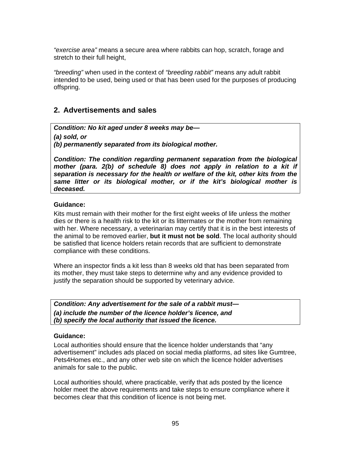*"exercise area"* means a secure area where rabbits can hop, scratch, forage and stretch to their full height,

*"breeding"* when used in the context of *"breeding rabbit"* means any adult rabbit intended to be used, being used or that has been used for the purposes of producing offspring.

# **2. Advertisements and sales**

*Condition: No kit aged under 8 weeks may be—* 

*(a) sold, or* 

*(b) permanently separated from its biological mother.* 

*Condition: The condition regarding permanent separation from the biological*  mother (para. 2(b) of schedule 8) does not apply in relation to a kit if *separation is necessary for the health or welfare of the kit, other kits from the same litter or its biological mother, or if the kit's biological mother is deceased.* 

#### **Guidance:**

Kits must remain with their mother for the first eight weeks of life unless the mother dies or there is a health risk to the kit or its littermates or the mother from remaining with her. Where necessary, a veterinarian may certify that it is in the best interests of the animal to be removed earlier, **but it must not be sold**. The local authority should be satisfied that licence holders retain records that are sufficient to demonstrate compliance with these conditions.

Where an inspector finds a kit less than 8 weeks old that has been separated from its mother, they must take steps to determine why and any evidence provided to justify the separation should be supported by veterinary advice.

*Condition: Any advertisement for the sale of a rabbit must— (a) include the number of the licence holder's licence, and (b) specify the local authority that issued the licence.* 

#### **Guidance:**

Local authorities should ensure that the licence holder understands that "any advertisement" includes ads placed on social media platforms, ad sites like Gumtree, Pets4Homes etc., and any other web site on which the licence holder advertises animals for sale to the public.

Local authorities should, where practicable, verify that ads posted by the licence holder meet the above requirements and take steps to ensure compliance where it becomes clear that this condition of licence is not being met.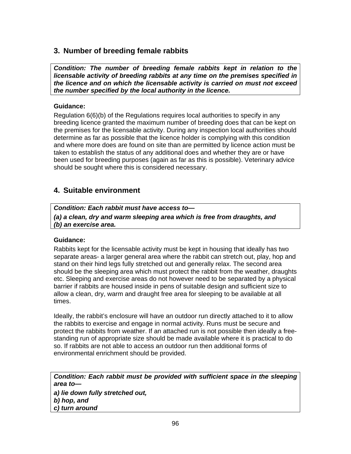# **3. Number of breeding female rabbits**

*Condition: The number of breeding female rabbits kept in relation to the licensable activity of breeding rabbits at any time on the premises specified in the licence and on which the licensable activity is carried on must not exceed the number specified by the local authority in the licence.* 

### **Guidance:**

Regulation 6(6)(b) of the Regulations requires local authorities to specify in any breeding licence granted the maximum number of breeding does that can be kept on the premises for the licensable activity. During any inspection local authorities should determine as far as possible that the licence holder is complying with this condition and where more does are found on site than are permitted by licence action must be taken to establish the status of any additional does and whether they are or have been used for breeding purposes (again as far as this is possible). Veterinary advice should be sought where this is considered necessary.

# **4. Suitable environment**

*Condition: Each rabbit must have access to—* 

*(a) a clean, dry and warm sleeping area which is free from draughts, and (b) an exercise area.* 

# **Guidance:**

Rabbits kept for the licensable activity must be kept in housing that ideally has two separate areas- a larger general area where the rabbit can stretch out, play, hop and stand on their hind legs fully stretched out and generally relax. The second area should be the sleeping area which must protect the rabbit from the weather, draughts etc. Sleeping and exercise areas do not however need to be separated by a physical barrier if rabbits are housed inside in pens of suitable design and sufficient size to allow a clean, dry, warm and draught free area for sleeping to be available at all times.

Ideally, the rabbit's enclosure will have an outdoor run directly attached to it to allow the rabbits to exercise and engage in normal activity. Runs must be secure and protect the rabbits from weather. If an attached run is not possible then ideally a freestanding run of appropriate size should be made available where it is practical to do so. If rabbits are not able to access an outdoor run then additional forms of environmental enrichment should be provided.

*Condition: Each rabbit must be provided with sufficient space in the sleeping area to—* 

*a) lie down fully stretched out, b) hop, and c) turn around*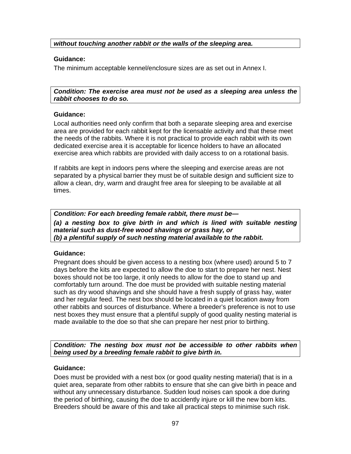*without touching another rabbit or the walls of the sleeping area.* 

#### **Guidance:**

The minimum acceptable kennel/enclosure sizes are as set out in Annex I.

#### *Condition: The exercise area must not be used as a sleeping area unless the rabbit chooses to do so.*

#### **Guidance:**

Local authorities need only confirm that both a separate sleeping area and exercise area are provided for each rabbit kept for the licensable activity and that these meet the needs of the rabbits. Where it is not practical to provide each rabbit with its own dedicated exercise area it is acceptable for licence holders to have an allocated exercise area which rabbits are provided with daily access to on a rotational basis.

If rabbits are kept in indoors pens where the sleeping and exercise areas are not separated by a physical barrier they must be of suitable design and sufficient size to allow a clean, dry, warm and draught free area for sleeping to be available at all times.

*Condition: For each breeding female rabbit, there must be—*  (a) a nesting box to give birth in and which is lined with suitable nesting *material such as dust-free wood shavings or grass hay, or (b) a plentiful supply of such nesting material available to the rabbit.* 

#### **Guidance:**

Pregnant does should be given access to a nesting box (where used) around 5 to 7 days before the kits are expected to allow the doe to start to prepare her nest. Nest boxes should not be too large, it only needs to allow for the doe to stand up and comfortably turn around. The doe must be provided with suitable nesting material such as dry wood shavings and she should have a fresh supply of grass hay, water and her regular feed. The nest box should be located in a quiet location away from other rabbits and sources of disturbance. Where a breeder's preference is not to use nest boxes they must ensure that a plentiful supply of good quality nesting material is made available to the doe so that she can prepare her nest prior to birthing.

*Condition: The nesting box must not be accessible to other rabbits when being used by a breeding female rabbit to give birth in.* 

#### **Guidance:**

Does must be provided with a nest box (or good quality nesting material) that is in a quiet area, separate from other rabbits to ensure that she can give birth in peace and without any unnecessary disturbance. Sudden loud noises can spook a doe during the period of birthing, causing the doe to accidently injure or kill the new born kits. Breeders should be aware of this and take all practical steps to minimise such risk.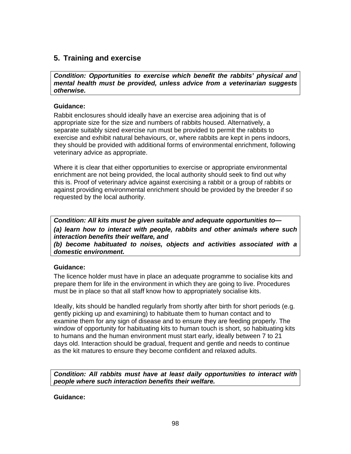# **5. Training and exercise**

*Condition: Opportunities to exercise which benefit the rabbits' physical and mental health must be provided, unless advice from a veterinarian suggests otherwise.* 

#### **Guidance:**

Rabbit enclosures should ideally have an exercise area adjoining that is of appropriate size for the size and numbers of rabbits housed. Alternatively, a separate suitably sized exercise run must be provided to permit the rabbits to exercise and exhibit natural behaviours, or, where rabbits are kept in pens indoors, they should be provided with additional forms of environmental enrichment, following veterinary advice as appropriate.

Where it is clear that either opportunities to exercise or appropriate environmental enrichment are not being provided, the local authority should seek to find out why this is. Proof of veterinary advice against exercising a rabbit or a group of rabbits or against providing environmental enrichment should be provided by the breeder if so requested by the local authority.

*Condition: All kits must be given suitable and adequate opportunities to— (a) learn how to interact with people, rabbits and other animals where such interaction benefits their welfare, and (b) become habituated to noises, objects and activities associated with a domestic environment.* 

#### **Guidance:**

The licence holder must have in place an adequate programme to socialise kits and prepare them for life in the environment in which they are going to live. Procedures must be in place so that all staff know how to appropriately socialise kits.

Ideally, kits should be handled regularly from shortly after birth for short periods (e.g. gently picking up and examining) to habituate them to human contact and to examine them for any sign of disease and to ensure they are feeding properly. The window of opportunity for habituating kits to human touch is short, so habituating kits to humans and the human environment must start early, ideally between 7 to 21 days old. Interaction should be gradual, frequent and gentle and needs to continue as the kit matures to ensure they become confident and relaxed adults.

*Condition: All rabbits must have at least daily opportunities to interact with people where such interaction benefits their welfare.* 

#### **Guidance:**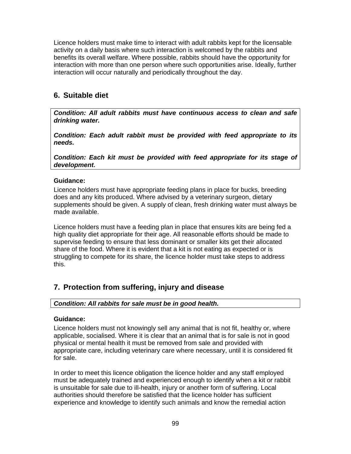Licence holders must make time to interact with adult rabbits kept for the licensable activity on a daily basis where such interaction is welcomed by the rabbits and benefits its overall welfare. Where possible, rabbits should have the opportunity for interaction with more than one person where such opportunities arise. Ideally, further interaction will occur naturally and periodically throughout the day.

# **6. Suitable diet**

*Condition: All adult rabbits must have continuous access to clean and safe drinking water.* 

*Condition: Each adult rabbit must be provided with feed appropriate to its needs.* 

*Condition: Each kit must be provided with feed appropriate for its stage of development***.**

### **Guidance:**

Licence holders must have appropriate feeding plans in place for bucks, breeding does and any kits produced. Where advised by a veterinary surgeon, dietary supplements should be given. A supply of clean, fresh drinking water must always be made available.

Licence holders must have a feeding plan in place that ensures kits are being fed a high quality diet appropriate for their age. All reasonable efforts should be made to supervise feeding to ensure that less dominant or smaller kits get their allocated share of the food. Where it is evident that a kit is not eating as expected or is struggling to compete for its share, the licence holder must take steps to address this.

# **7. Protection from suffering, injury and disease**

# *Condition: All rabbits for sale must be in good health.*

#### **Guidance:**

Licence holders must not knowingly sell any animal that is not fit, healthy or, where applicable, socialised. Where it is clear that an animal that is for sale is not in good physical or mental health it must be removed from sale and provided with appropriate care, including veterinary care where necessary, until it is considered fit for sale.

In order to meet this licence obligation the licence holder and any staff employed must be adequately trained and experienced enough to identify when a kit or rabbit is unsuitable for sale due to ill-health, injury or another form of suffering. Local authorities should therefore be satisfied that the licence holder has sufficient experience and knowledge to identify such animals and know the remedial action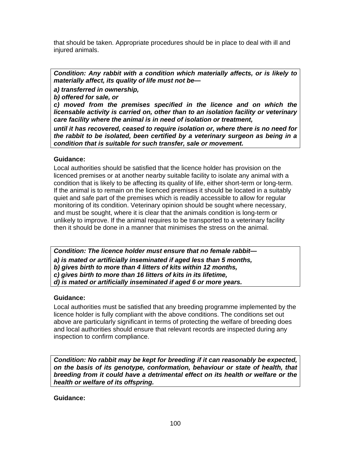that should be taken. Appropriate procedures should be in place to deal with ill and injured animals.

*Condition: Any rabbit with a condition which materially affects, or is likely to materially affect, its quality of life must not be—* 

*a) transferred in ownership,* 

*b) offered for sale, or* 

*c) moved from the premises specified in the licence and on which the licensable activity is carried on, other than to an isolation facility or veterinary care facility where the animal is in need of isolation or treatment,* 

*until it has recovered, ceased to require isolation or, where there is no need for the rabbit to be isolated, been certified by a veterinary surgeon as being in a condition that is suitable for such transfer, sale or movement.*

### **Guidance:**

Local authorities should be satisfied that the licence holder has provision on the licenced premises or at another nearby suitable facility to isolate any animal with a condition that is likely to be affecting its quality of life, either short-term or long-term. If the animal is to remain on the licenced premises it should be located in a suitably quiet and safe part of the premises which is readily accessible to allow for regular monitoring of its condition. Veterinary opinion should be sought where necessary, and must be sought, where it is clear that the animals condition is long-term or unlikely to improve. If the animal requires to be transported to a veterinary facility then it should be done in a manner that minimises the stress on the animal.

*Condition: The licence holder must ensure that no female rabbit—* 

*a) is mated or artificially inseminated if aged less than 5 months,* 

*b) gives birth to more than 4 litters of kits within 12 months,* 

*c) gives birth to more than 16 litters of kits in its lifetime,* 

*d) is mated or artificially inseminated if aged 6 or more years.* 

# **Guidance:**

Local authorities must be satisfied that any breeding programme implemented by the licence holder is fully compliant with the above conditions. The conditions set out above are particularly significant in terms of protecting the welfare of breeding does and local authorities should ensure that relevant records are inspected during any inspection to confirm compliance.

*Condition: No rabbit may be kept for breeding if it can reasonably be expected, on the basis of its genotype, conformation, behaviour or state of health, that breeding from it could have a detrimental effect on its health or welfare or the health or welfare of its offspring.* 

#### **Guidance:**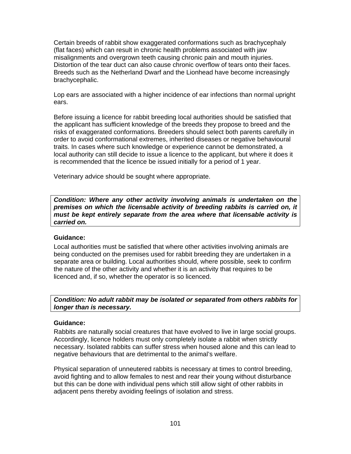Certain breeds of rabbit show exaggerated conformations such as brachycephaly (flat faces) which can result in chronic health problems associated with jaw misalignments and overgrown teeth causing chronic pain and mouth injuries. Distortion of the tear duct can also cause chronic overflow of tears onto their faces. Breeds such as the Netherland Dwarf and the Lionhead have become increasingly brachycephalic.

Lop ears are associated with a higher incidence of ear infections than normal upright ears.

Before issuing a licence for rabbit breeding local authorities should be satisfied that the applicant has sufficient knowledge of the breeds they propose to breed and the risks of exaggerated conformations. Breeders should select both parents carefully in order to avoid conformational extremes, inherited diseases or negative behavioural traits. In cases where such knowledge or experience cannot be demonstrated, a local authority can still decide to issue a licence to the applicant, but where it does it is recommended that the licence be issued initially for a period of 1 year.

Veterinary advice should be sought where appropriate.

*Condition: Where any other activity involving animals is undertaken on the premises on which the licensable activity of breeding rabbits is carried on, it must be kept entirely separate from the area where that licensable activity is carried on.* 

#### **Guidance:**

Local authorities must be satisfied that where other activities involving animals are being conducted on the premises used for rabbit breeding they are undertaken in a separate area or building. Local authorities should, where possible, seek to confirm the nature of the other activity and whether it is an activity that requires to be licenced and, if so, whether the operator is so licenced.

### *Condition: No adult rabbit may be isolated or separated from others rabbits for longer than is necessary.*

#### **Guidance:**

Rabbits are naturally social creatures that have evolved to live in large social groups. Accordingly, licence holders must only completely isolate a rabbit when strictly necessary. Isolated rabbits can suffer stress when housed alone and this can lead to negative behaviours that are detrimental to the animal's welfare.

Physical separation of unneutered rabbits is necessary at times to control breeding, avoid fighting and to allow females to nest and rear their young without disturbance but this can be done with individual pens which still allow sight of other rabbits in adjacent pens thereby avoiding feelings of isolation and stress.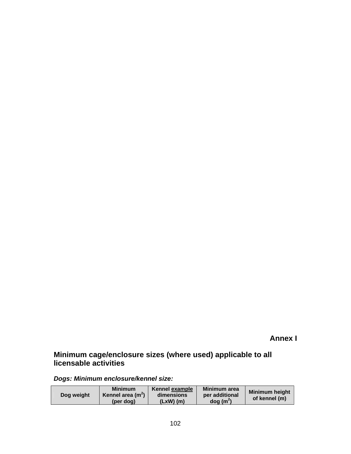**Annex I**

# **Minimum cage/enclosure sizes (where used) applicable to all licensable activities**

*Dogs: Minimum enclosure/kennel size:* 

| Dog weight | <b>Minimum</b><br>Kennel area $(m2)$<br>(per dog) | Kennel example<br>dimensions<br>$(LxW)$ (m) | Minimum area<br>per additional<br>$\log(m^2)$ | <b>Minimum height</b><br>of kennel (m) |
|------------|---------------------------------------------------|---------------------------------------------|-----------------------------------------------|----------------------------------------|
|------------|---------------------------------------------------|---------------------------------------------|-----------------------------------------------|----------------------------------------|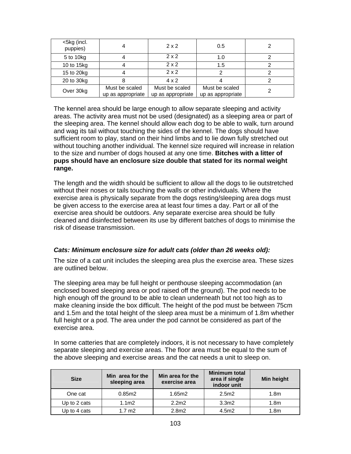| <5kg (incl.<br>puppies) |                                     | 2x2                                 | 0.5                                 |  |
|-------------------------|-------------------------------------|-------------------------------------|-------------------------------------|--|
| 5 to 10kg               |                                     | 2x2                                 | 1.0                                 |  |
| 10 to 15kg              |                                     | 2x2                                 | 1.5                                 |  |
| 15 to 20kg              |                                     | 2x2                                 |                                     |  |
| 20 to 30kg              |                                     | $4 \times 2$                        |                                     |  |
| Over 30kg               | Must be scaled<br>up as appropriate | Must be scaled<br>up as appropriate | Must be scaled<br>up as appropriate |  |

The kennel area should be large enough to allow separate sleeping and activity areas. The activity area must not be used (designated) as a sleeping area or part of the sleeping area. The kennel should allow each dog to be able to walk, turn around and wag its tail without touching the sides of the kennel. The dogs should have sufficient room to play, stand on their hind limbs and to lie down fully stretched out without touching another individual. The kennel size required will increase in relation to the size and number of dogs housed at any one time. **Bitches with a litter of pups should have an enclosure size double that stated for its normal weight range.**

The length and the width should be sufficient to allow all the dogs to lie outstretched without their noses or tails touching the walls or other individuals. Where the exercise area is physically separate from the dogs resting/sleeping area dogs must be given access to the exercise area at least four times a day. Part or all of the exercise area should be outdoors. Any separate exercise area should be fully cleaned and disinfected between its use by different batches of dogs to minimise the risk of disease transmission.

#### *Cats: Minimum enclosure size for adult cats (older than 26 weeks old):*

The size of a cat unit includes the sleeping area plus the exercise area. These sizes are outlined below.

The sleeping area may be full height or penthouse sleeping accommodation (an enclosed boxed sleeping area or pod raised off the ground). The pod needs to be high enough off the ground to be able to clean underneath but not too high as to make cleaning inside the box difficult. The height of the pod must be between 75cm and 1.5m and the total height of the sleep area must be a minimum of 1.8m whether full height or a pod. The area under the pod cannot be considered as part of the exercise area.

In some catteries that are completely indoors, it is not necessary to have completely separate sleeping and exercise areas. The floor area must be equal to the sum of the above sleeping and exercise areas and the cat needs a unit to sleep on.

| <b>Size</b>  | Min area for the<br>sleeping area | <b>Minimum total</b><br>Min area for the<br>area if single<br>exercise area<br>indoor unit |                   | <b>Min height</b> |
|--------------|-----------------------------------|--------------------------------------------------------------------------------------------|-------------------|-------------------|
| One cat      | 0.85m2                            | 1.65m2                                                                                     | 2.5m2             | 1.8 <sub>m</sub>  |
| Up to 2 cats | 1.1 <sub>m2</sub>                 | 2.2 <sub>m2</sub>                                                                          | 3.3 <sub>m2</sub> | 1.8 <sub>m</sub>  |
| Up to 4 cats | $1.7 \text{ m2}$                  | 2.8m2                                                                                      | 4.5m2             | 1.8 <sub>m</sub>  |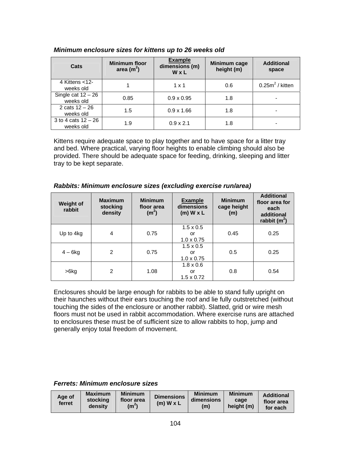| Cats                               | <b>Minimum floor</b><br>area $(m^2)$ | <b>Example</b><br>dimensions (m)<br>WxL |     | <b>Additional</b><br>space |
|------------------------------------|--------------------------------------|-----------------------------------------|-----|----------------------------|
| 4 Kittens $<$ 12-<br>weeks old     |                                      | $1 \times 1$                            | 0.6 | $0.25m2$ / kitten          |
| Single cat $12 - 26$<br>weeks old  | 0.85                                 | $0.9 \times 0.95$                       | 1.8 |                            |
| 2 cats $12 - 26$<br>weeks old      | 1.5                                  |                                         | 1.8 |                            |
| 3 to 4 cats $12 - 26$<br>weeks old | 1.9                                  | $0.9 \times 2.1$                        | 1.8 |                            |

#### *Minimum enclosure sizes for kittens up to 26 weeks old*

Kittens require adequate space to play together and to have space for a litter tray and bed. Where practical, varying floor heights to enable climbing should also be provided. There should be adequate space for feeding, drinking, sleeping and litter tray to be kept separate.

| <b>Weight of</b><br>rabbit | <b>Maximum</b><br>stocking<br>density | <b>Minimum</b><br>floor area<br>(m <sup>2</sup> ) | <b>Example</b><br>dimensions<br>$(m)$ W x L        | <b>Minimum</b><br>cage height<br>(m) | <b>Additional</b><br>floor area for<br>each<br>additional<br>rabbit $(m^2)$ |      |
|----------------------------|---------------------------------------|---------------------------------------------------|----------------------------------------------------|--------------------------------------|-----------------------------------------------------------------------------|------|
| Up to 4kg                  | 4                                     | 0.75                                              | $1.5 \times 0.5$<br>or<br>$1.0 \times 0.75$        | 0.45                                 | 0.25                                                                        |      |
| $4-6kg$                    | 2                                     | 0.75                                              | $1.5 \times 0.5$<br>or<br>$1.0 \times 0.75$        | 0.5                                  | 0.25                                                                        |      |
| >6kg                       | $\overline{2}$<br>1.08                |                                                   | $1.8 \times 0.6$<br>0.8<br>or<br>$1.5 \times 0.72$ |                                      |                                                                             | 0.54 |

#### *Rabbits: Minimum enclosure sizes (excluding exercise run/area)*

Enclosures should be large enough for rabbits to be able to stand fully upright on their haunches without their ears touching the roof and lie fully outstretched (without touching the sides of the enclosure or another rabbit). Slatted, grid or wire mesh floors must not be used in rabbit accommodation. Where exercise runs are attached to enclosures these must be of sufficient size to allow rabbits to hop, jump and generally enjoy total freedom of movement.

#### *Ferrets: Minimum enclosure sizes*

| Age of<br>ferret | <b>Maximum</b><br>stocking<br>densitv | <b>Minimum</b><br>floor area<br>(m <sup>2</sup> ) | <b>Dimensions</b><br>$(m)$ W x L | <b>Minimum</b><br>dimensions<br>(m) | <b>Minimum</b><br>cage<br>height (m) | <b>Additional</b><br>floor area<br>for each |
|------------------|---------------------------------------|---------------------------------------------------|----------------------------------|-------------------------------------|--------------------------------------|---------------------------------------------|
|------------------|---------------------------------------|---------------------------------------------------|----------------------------------|-------------------------------------|--------------------------------------|---------------------------------------------|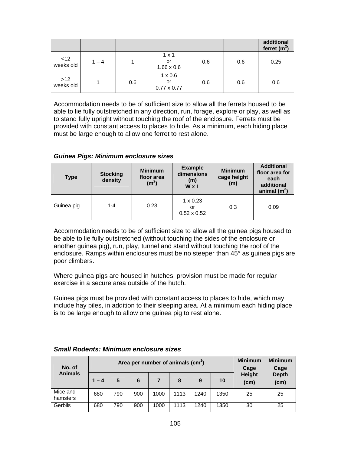|                    |         |     |                                            |     |     | additional<br>ferret $(m2)$ |
|--------------------|---------|-----|--------------------------------------------|-----|-----|-----------------------------|
| <12<br>weeks old   | $1 - 4$ |     | $1 \times 1$<br>or<br>$1.66 \times 0.6$    | 0.6 | 0.6 | 0.25                        |
| $>12$<br>weeks old |         | 0.6 | $1 \times 0.6$<br>or<br>$0.77 \times 0.77$ | 0.6 | 0.6 | 0.6                         |

Accommodation needs to be of sufficient size to allow all the ferrets housed to be able to lie fully outstretched in any direction, run, forage, explore or play, as well as to stand fully upright without touching the roof of the enclosure. Ferrets must be provided with constant access to places to hide. As a minimum, each hiding place must be large enough to allow one ferret to rest alone.

#### *Guinea Pigs: Minimum enclosure sizes*

| Type       | <b>Stocking</b><br>density | <b>Minimum</b><br>floor area<br>(m <sup>2</sup> ) | <b>Example</b><br>dimensions<br>(m)<br>WxL  | <b>Minimum</b><br>cage height<br>(m) | <b>Additional</b><br>floor area for<br>each<br>additional<br>animal $(m^2)$ |
|------------|----------------------------|---------------------------------------------------|---------------------------------------------|--------------------------------------|-----------------------------------------------------------------------------|
| Guinea pig | $1 - 4$                    | 0.23                                              | $1 \times 0.23$<br>or<br>$0.52 \times 0.52$ | 0.3                                  | 0.09                                                                        |

Accommodation needs to be of sufficient size to allow all the guinea pigs housed to be able to lie fully outstretched (without touching the sides of the enclosure or another guinea pig), run, play, tunnel and stand without touching the roof of the enclosure. Ramps within enclosures must be no steeper than 45° as guinea pigs are poor climbers.

Where guinea pigs are housed in hutches, provision must be made for regular exercise in a secure area outside of the hutch.

Guinea pigs must be provided with constant access to places to hide, which may include hay piles, in addition to their sleeping area. At a minimum each hiding place is to be large enough to allow one guinea pig to rest alone.

#### **Area per number of animals (cm<sup>2</sup> ) No. of Animals 1 – 4 5 6 7 8 9 10 Minimum Cage Height (cm) Minimum Cage Depth (cm)**  Mice and hamsters 680 | 790 | 900 | 1000 | 1113 | 1240 | 1350 | 25 | 25 Gerbils | 680 | 790 | 900 | 1000 | 1113 | 1240 | 1350 | 30 | 25

#### *Small Rodents: Minimum enclosure sizes*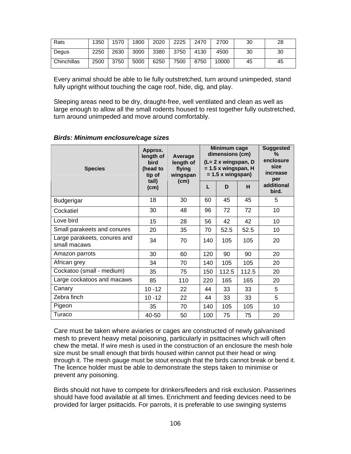| Rats        | 1350 | 1570 | 1800 | 2020 | 2225 | 2470 | 2700  | 30 | 28 |
|-------------|------|------|------|------|------|------|-------|----|----|
| Degus       | 2250 | 2630 | 3000 | 3380 | 3750 | 4130 | 4500  | 30 | 30 |
| Chinchillas | 2500 | 3750 | 5000 | 6250 | 7500 | 8750 | 10000 | 45 | 45 |

Every animal should be able to lie fully outstretched, turn around unimpeded, stand fully upright without touching the cage roof, hide, dig, and play.

Sleeping areas need to be dry, draught-free, well ventilated and clean as well as large enough to allow all the small rodents housed to rest together fully outstretched, turn around unimpeded and move around comfortably.

| <b>Species</b>                               | Approx.<br>length of<br>bird<br>(head to<br>tip of<br>tail)<br>(cm) | Average<br>length of<br>flying<br>wingspan<br>(cm) | Minimum cage<br>dimensions (cm)<br>(L= 2 x wingspan, D<br>$= 1.5$ x wingspan, H<br>$= 1.5 x$ wingspan) |       |       | <b>Suggested</b><br>%<br>enclosure<br>size<br>increase<br>per |
|----------------------------------------------|---------------------------------------------------------------------|----------------------------------------------------|--------------------------------------------------------------------------------------------------------|-------|-------|---------------------------------------------------------------|
|                                              |                                                                     |                                                    | L                                                                                                      | D     | H     | additional<br>bird.                                           |
| <b>Budgerigar</b>                            | 18                                                                  | 30                                                 | 60                                                                                                     | 45    | 45    | 5                                                             |
| Cockatiel                                    | 30                                                                  | 48                                                 | 96                                                                                                     | 72    | 72    | 10                                                            |
| Love bird                                    | 15                                                                  | 28                                                 | 56                                                                                                     | 42    | 42    | 10                                                            |
| Small parakeets and conures                  | 20                                                                  | 35                                                 | 70                                                                                                     | 52.5  | 52.5  | 10                                                            |
| Large parakeets, conures and<br>small macaws | 34                                                                  | 70                                                 | 140                                                                                                    | 105   | 105   | 20                                                            |
| Amazon parrots                               | 30                                                                  | 60                                                 | 120                                                                                                    | 90    | 90    | 20                                                            |
| African grey                                 | 34                                                                  | 70                                                 | 140                                                                                                    | 105   | 105   | 20                                                            |
| Cockatoo (small - medium)                    | 35                                                                  | 75                                                 | 150                                                                                                    | 112.5 | 112.5 | 20                                                            |
| Large cockatoos and macaws                   | 85                                                                  | 110                                                | 220                                                                                                    | 165   | 165   | 20                                                            |
| Canary                                       | $10 - 12$                                                           | 22                                                 | 44                                                                                                     | 33    | 33    | 5                                                             |
| Zebra finch                                  | $10 - 12$                                                           | 22                                                 | 44                                                                                                     | 33    | 33    | 5                                                             |
| Pigeon                                       | 35                                                                  | 70                                                 | 140                                                                                                    | 105   | 105   | 10                                                            |
| Turaco                                       | 40-50                                                               | 50                                                 | 100                                                                                                    | 75    | 75    | 20                                                            |

#### *Birds: Minimum enclosure/cage sizes*

Care must be taken where aviaries or cages are constructed of newly galvanised mesh to prevent heavy metal poisoning, particularly in psittacines which will often chew the metal. If wire mesh is used in the construction of an enclosure the mesh hole size must be small enough that birds housed within cannot put their head or wing through it. The mesh gauge must be stout enough that the birds cannot break or bend it. The licence holder must be able to demonstrate the steps taken to minimise or prevent any poisoning.

Birds should not have to compete for drinkers/feeders and risk exclusion. Passerines should have food available at all times. Enrichment and feeding devices need to be provided for larger psittacids. For parrots, it is preferable to use swinging systems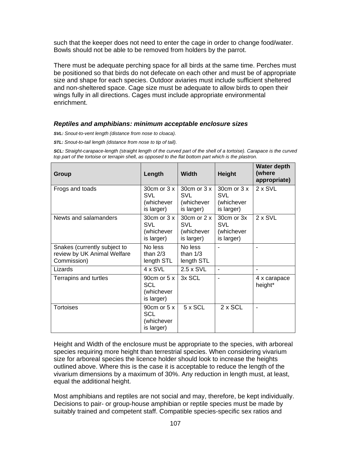such that the keeper does not need to enter the cage in order to change food/water. Bowls should not be able to be removed from holders by the parrot.

There must be adequate perching space for all birds at the same time. Perches must be positioned so that birds do not defecate on each other and must be of appropriate size and shape for each species. Outdoor aviaries must include sufficient sheltered and non-sheltered space. Cage size must be adequate to allow birds to open their wings fully in all directions. Cages must include appropriate environmental enrichment.

#### *Reptiles and amphibians: minimum acceptable enclosure sizes*

*SVL: Snout-to-vent length (distance from nose to cloaca).*

*STL: Snout-to-tail length (distance from nose to tip of tail).*

SCL: Straight-carapace-length (straight length of the curved part of the shell of a tortoise). Carapace is the curved *top part of the tortoise or terrapin shell, as opposed to the flat bottom part which is the plastron.*

| Group                                                                      | Length                                                     | <b>Width</b>                                               | <b>Height</b>                                         | <b>Water depth</b><br>(where<br>appropriate) |
|----------------------------------------------------------------------------|------------------------------------------------------------|------------------------------------------------------------|-------------------------------------------------------|----------------------------------------------|
| Frogs and toads                                                            | $30cm$ or $3x$<br>SVL<br>(whichever<br>is larger)          | 30cm or 3 x<br>SVL<br>(whichever<br>is larger)             | 30cm or 3 x<br><b>SVL</b><br>(whichever<br>is larger) | $2 \times$ SVL                               |
| Newts and salamanders                                                      | $30cm$ or $3x$<br><b>SVL</b><br>(whichever<br>is larger)   | 30 $cm$ or 2 $x$<br><b>SVL</b><br>(whichever<br>is larger) | 30cm or 3x<br><b>SVL</b><br>(whichever<br>is larger)  | $2 \times$ SVL                               |
| Snakes (currently subject to<br>review by UK Animal Welfare<br>Commission) | No less<br>than $2/3$<br>length STL                        | No less<br>than $1/3$<br>length STL                        |                                                       |                                              |
| Lizards                                                                    | $4 \times$ SVL                                             | $2.5 \times$ SVL                                           | ۰                                                     |                                              |
| Terrapins and turtles                                                      | 90 $cm$ or 5 $x$<br><b>SCL</b><br>(whichever<br>is larger) | 3x SCL                                                     |                                                       | 4 x carapace<br>height*                      |
| <b>Tortoises</b>                                                           | 90 $cm$ or 5 $x$<br><b>SCL</b><br>(whichever<br>is larger) | $5 \times$ SCL                                             | $2 \times$ SCL                                        |                                              |

Height and Width of the enclosure must be appropriate to the species, with arboreal species requiring more height than terrestrial species. When considering vivarium size for arboreal species the licence holder should look to increase the heights outlined above. Where this is the case it is acceptable to reduce the length of the vivarium dimensions by a maximum of 30%. Any reduction in length must, at least, equal the additional height.

Most amphibians and reptiles are not social and may, therefore, be kept individually. Decisions to pair- or group-house amphibian or reptile species must be made by suitably trained and competent staff. Compatible species-specific sex ratios and